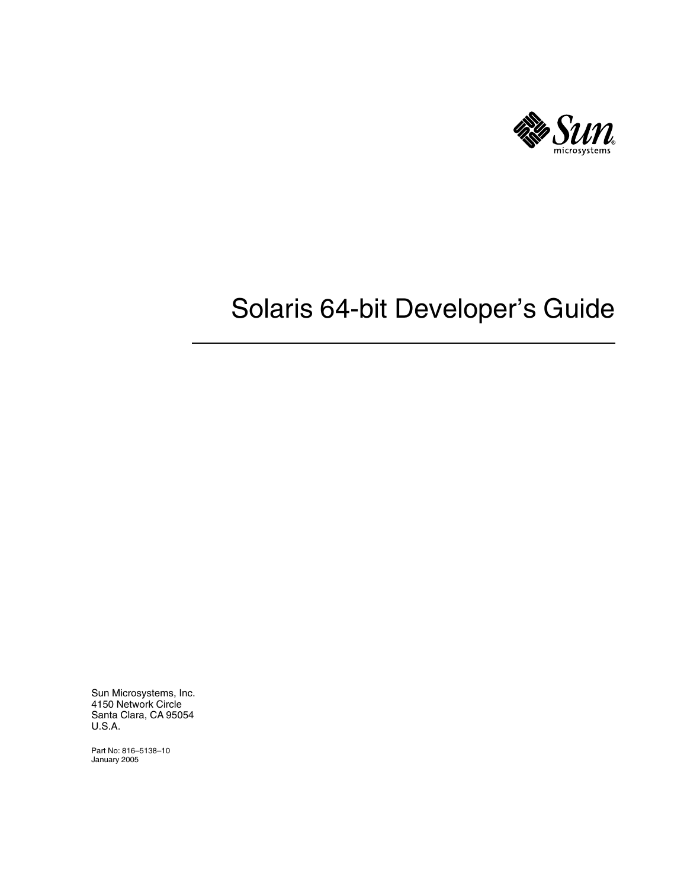

# Solaris 64-bit Developer's Guide

Sun Microsystems, Inc. 4150 Network Circle Santa Clara, CA 95054 U.S.A.

Part No: 816–5138–10 January 2005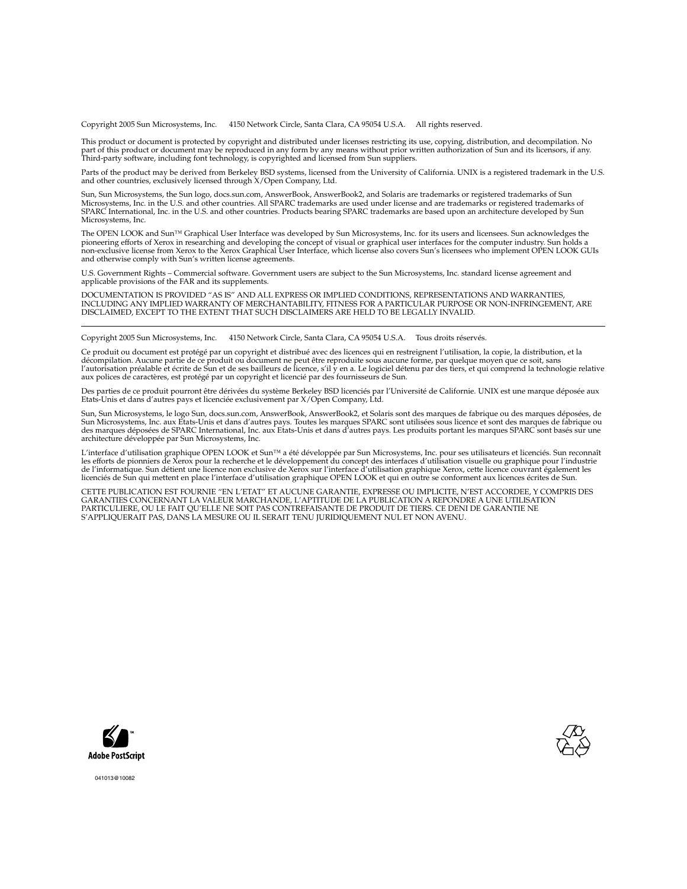Copyright 2005 Sun Microsystems, Inc. 4150 Network Circle, Santa Clara, CA 95054 U.S.A. All rights reserved.

This product or document is protected by copyright and distributed under licenses restricting its use, copying, distribution, and decompilation. No part of this product or document may be reproduced in any form by any means without prior written authorization of Sun and its licensors, if any.<br>Third-party software, including font technology, is copyrighted and licensed

Parts of the product may be derived from Berkeley BSD systems, licensed from the University of California. UNIX is a registered trademark in the U.S. and other countries, exclusively licensed through X/Open Company, Ltd.

Sun, Sun Microsystems, the Sun logo, docs.sun.com, AnswerBook, AnswerBook2, and Solaris are trademarks or registered trademarks of Sun<br>Microsystems, Inc. in the U.S. and other countries. All SPARC trademarks are used under Microsystems, Inc.

The OPEN LOOK and Sun™ Graphical User Interface was developed by Sun Microsystems, Inc. for its users and licensees. Sun acknowledges the pioneering efforts of Xerox in researching and developing the concept of visual or graphical user interfaces for the computer industry. Sun holds a<br>non-exclusive license from Xerox to the Xerox Graphical User Interface, wh and otherwise comply with Sun's written license agreements.

U.S. Government Rights – Commercial software. Government users are subject to the Sun Microsystems, Inc. standard license agreement and applicable provisions of the FAR and its supplements.

DOCUMENTATION IS PROVIDED "AS IS" AND ALL EXPRESS OR IMPLIED CONDITIONS, REPRESENTATIONS AND WARRANTIES,<br>INCLUDING ANY IMPLIED WARRANTY OF MERCHANTABILITY, FITNESS FOR A PARTICULAR PURPOSE OR NON-INFRINGEMENT, ARE<br>DISCLAIM

Copyright 2005 Sun Microsystems, Inc. 4150 Network Circle, Santa Clara, CA 95054 U.S.A. Tous droits réservés.

Ce produit ou document est protégé par un copyright et distribué avec des licences qui en restreignent l'utilisation, la copie, la distribution, et la décompilation. Aucune partie de ce produit ou document ne peut être reproduite sous aucune forme, par quelque moyen que ce soit, sans<br>l'autorisation préalable et écrite de Sun et de ses bailleurs de licence, s'il y en a. L

Des parties de ce produit pourront être dérivées du système Berkeley BSD licenciés par l'Université de Californie. UNIX est une marque déposée aux Etats-Unis et dans d'autres pays et licenciée exclusivement par X/Open Company, Ltd.

Sun, Sun Microsystems, le logo Sun, docs.sun.com, AnswerBook, AnswerBook2, et Solaris sont des marques de fabrique ou des marques déposées, de<br>Sun Microsystems, Inc. aux Etats-Unis et dans d'autres pays. Toutes les marques architecture développée par Sun Microsystems, Inc.

L'interface d'utilisation graphique OPEN LOOK et Sun™a été développée par Sun Microsystems, Inc. pour ses utilisateurs et licenciés. Sun reconnaît<br>les efforts de pionniers de Xerox pour la recherche et le développement du de l'informatique. Sun détient une licence non exclusive de Xerox sur l'interface d'utilisation graphique Xerox, cette licence couvrant également les<br>licenciés de Sun qui mettent en place l'interface d'utilisation graphiqu

CETTE PUBLICATION EST FOURNIE "EN L'ETAT" ET AUCUNE GARANTIE, EXPRESSE OU IMPLICITE, N'EST ACCORDEE, Y COMPRIS DES GARANTIES CONCERNANT LA VALEUR MARCHANDE, L'APTITUDE DE LA PUBLICATION A REPONDRE A UNE UTILISATION<br>PARTICULIERE, OU LE FAIT QU'ELLE NE SOIT PAS CONTREFAISANTE DE PRODUIT DE TIERS. CE DENI DE GARANTIE NE<br>S'APPLIQUERAIT PAS





041013@10082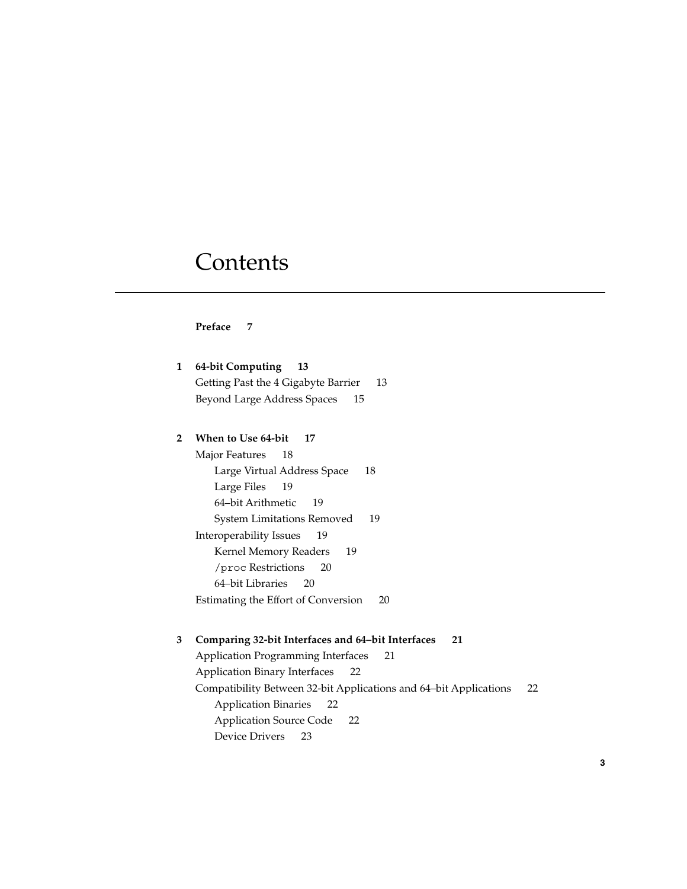### **Contents**

#### **[Preface 7](#page-6-0)**

**[1 64-bit Computing 13](#page-12-0)** [Getting Past the 4 Gigabyte Barrier 13](#page-12-0) [Beyond Large Address Spaces 15](#page-14-0)

**[2 When to Use 64-bit 17](#page-16-0)** [Major Features 18](#page-17-0) [Large Virtual Address Space 18](#page-17-0) [Large Files 19](#page-18-0) [64–bit Arithmetic 19](#page-18-0) [System Limitations Removed 19](#page-18-0) [Interoperability Issues 19](#page-18-0) [Kernel Memory Readers 19](#page-18-0) /proc [Restrictions 20](#page-19-0) [64–bit Libraries 20](#page-19-0) [Estimating the Effort of Conversion 20](#page-19-0)

#### **[3 Comparing 32-bit Interfaces and 64–bit Interfaces 21](#page-20-0)**

[Application Programming Interfaces 21](#page-20-0) [Application Binary Interfaces 22](#page-21-0) [Compatibility Between 32-bit Applications and 64–bit Applications 22](#page-21-0) [Application Binaries 22](#page-21-0) [Application Source Code 22](#page-21-0) [Device Drivers 23](#page-22-0)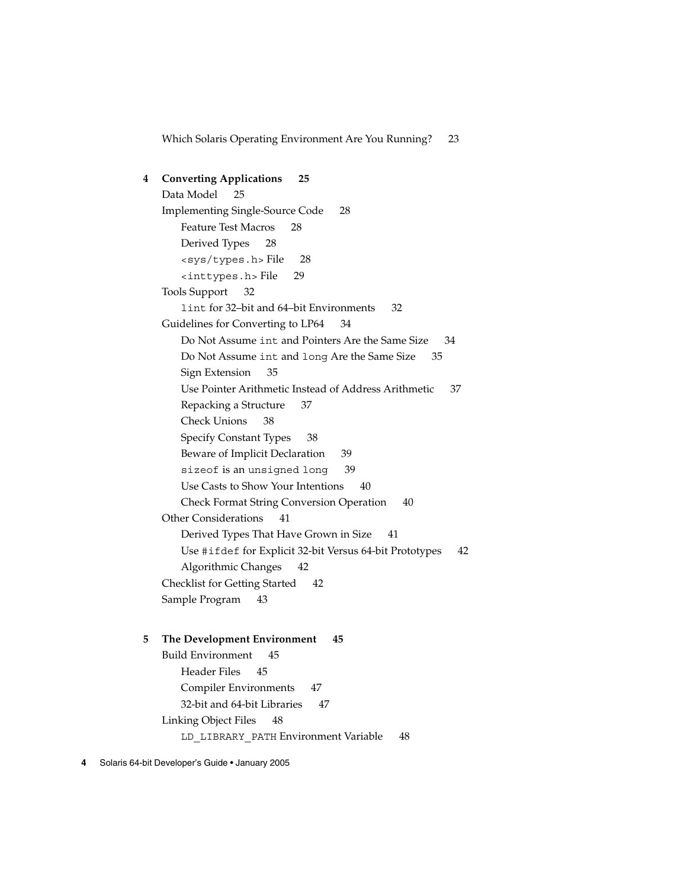[Which Solaris Operating Environment Are You Running? 23](#page-22-0)

**[4 Converting Applications 25](#page-24-0)** [Data Model 25](#page-24-0) [Implementing Single-Source Code 28](#page-27-0) [Feature Test Macros 28](#page-27-0) [Derived Types 28](#page-27-0) [<sys/types.h>](#page-27-0) File 28 [<inttypes.h>](#page-28-0) File 29 [Tools Support 32](#page-31-0) lint [for 32–bit and 64–bit Environments 32](#page-31-0) [Guidelines for Converting to LP64 34](#page-33-0) Do Not Assume int [and Pointers Are the Same Size 34](#page-33-0) Do Not Assume int and long [Are the Same Size 35](#page-34-0) [Sign Extension 35](#page-34-0) [Use Pointer Arithmetic Instead of Address Arithmetic 37](#page-36-0) [Repacking a Structure 37](#page-36-0) [Check Unions 38](#page-37-0) [Specify Constant Types 38](#page-37-0) [Beware of Implicit Declaration 39](#page-38-0) sizeof is an [unsigned long](#page-38-0) 39 [Use Casts to Show Your Intentions 40](#page-39-0) [Check Format String Conversion Operation 40](#page-39-0) [Other Considerations 41](#page-40-0) [Derived Types That Have Grown in Size 41](#page-40-0) Use #ifdef [for Explicit 32-bit Versus 64-bit Prototypes 42](#page-41-0) [Algorithmic Changes 42](#page-41-0) [Checklist for Getting Started 42](#page-41-0) [Sample Program 43](#page-42-0)

#### **[5 The Development Environment 45](#page-44-0)** [Build Environment 45](#page-44-0)

[Header Files 45](#page-44-0) [Compiler Environments 47](#page-46-0) [32-bit and 64-bit Libraries 47](#page-46-0) [Linking Object Files 48](#page-47-0) LD\_LIBRARY\_PATH [Environment Variable 48](#page-47-0)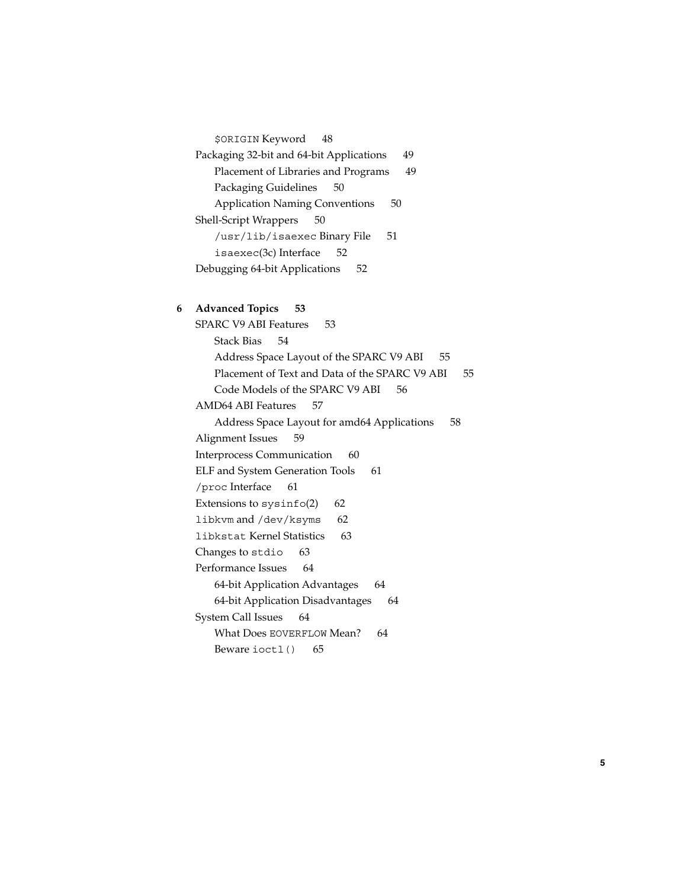\$ORIGIN [Keyword 48](#page-47-0) [Packaging 32-bit and 64-bit Applications 49](#page-48-0) [Placement of Libraries and Programs 49](#page-48-0) [Packaging Guidelines 50](#page-49-0) [Application Naming Conventions 50](#page-49-0) [Shell-Script Wrappers 50](#page-49-0) [/usr/lib/isaexec](#page-50-0) Binary File 51 isaexec[\(3c\) Interface 52](#page-51-0) [Debugging 64-bit Applications 52](#page-51-0)

#### **[6 Advanced Topics 53](#page-52-0)**

[SPARC V9 ABI Features 53](#page-52-0) [Stack Bias 54](#page-53-0) [Address Space Layout of the SPARC V9 ABI 55](#page-54-0) [Placement of Text and Data of the SPARC V9 ABI 55](#page-54-0) [Code Models of the SPARC V9 ABI 56](#page-55-0) [AMD64 ABI Features 57](#page-56-0) [Address Space Layout for amd64 Applications 58](#page-57-0) [Alignment Issues 59](#page-58-0) [Interprocess Communication 60](#page-59-0) [ELF and System Generation Tools 61](#page-60-0) /proc [Interface 61](#page-60-0) [Extensions to](#page-61-0) sysinfo(2)  $62$ libkvm and [/dev/ksyms](#page-61-0) 62 libkstat [Kernel Statistics 63](#page-62-0) [Changes to](#page-62-0) stdio 63 [Performance Issues 64](#page-63-0) [64-bit Application Advantages 64](#page-63-0) [64-bit Application Disadvantages 64](#page-63-0) [System Call Issues 64](#page-63-0) What Does EOVERFLOW [Mean? 64](#page-63-0) Beware [ioctl\(\)](#page-64-0) 65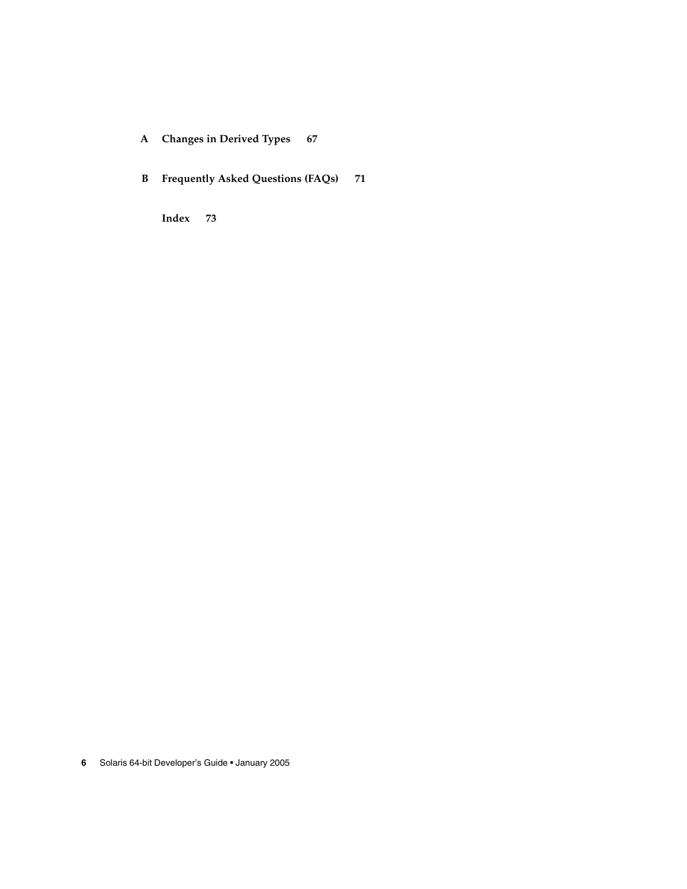- **[A Changes in Derived Types 67](#page-66-0)**
- **[B Frequently Asked Questions \(FAQs\) 71](#page-70-0)**

**[Index 73](#page-72-0)**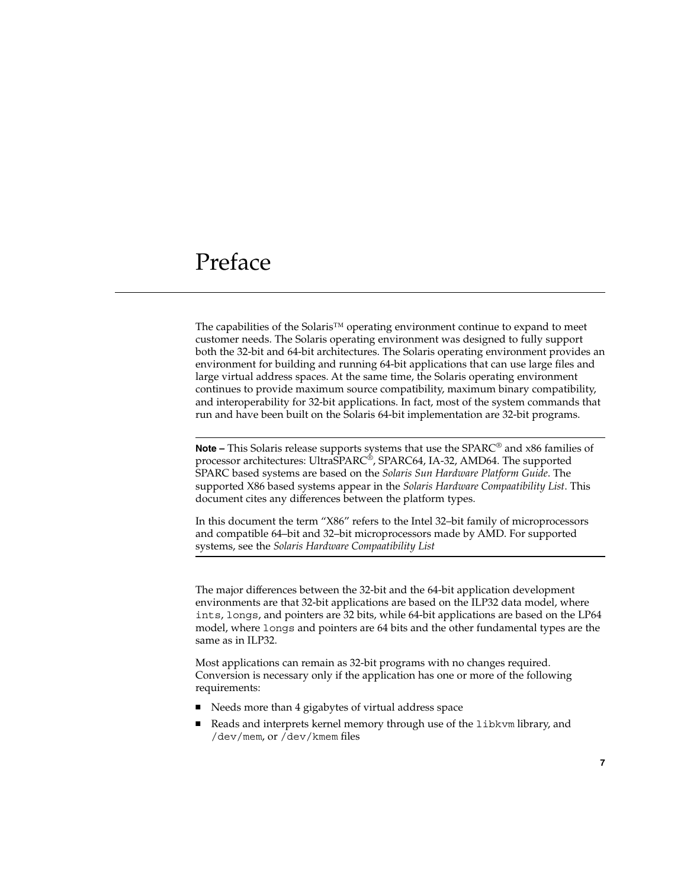### <span id="page-6-0"></span>Preface

The capabilities of the Solaris™ operating environment continue to expand to meet customer needs. The Solaris operating environment was designed to fully support both the 32-bit and 64-bit architectures. The Solaris operating environment provides an environment for building and running 64-bit applications that can use large files and large virtual address spaces. At the same time, the Solaris operating environment continues to provide maximum source compatibility, maximum binary compatibility, and interoperability for 32-bit applications. In fact, most of the system commands that run and have been built on the Solaris 64-bit implementation are 32-bit programs.

**Note –** This Solaris release supports systems that use the SPARC® and x86 families of processor architectures: UltraSPARC®, SPARC64, IA-32, AMD64. The supported SPARC based systems are based on the *Solaris Sun Hardware Platform Guide*. The supported X86 based systems appear in the *Solaris Hardware Compaatibility List*. This document cites any differences between the platform types.

In this document the term "X86" refers to the Intel 32–bit family of microprocessors and compatible 64–bit and 32–bit microprocessors made by AMD. For supported systems, see the *Solaris Hardware Compaatibility List*

The major differences between the 32-bit and the 64-bit application development environments are that 32-bit applications are based on the ILP32 data model, where ints, longs, and pointers are 32 bits, while 64-bit applications are based on the LP64 model, where longs and pointers are 64 bits and the other fundamental types are the same as in ILP32.

Most applications can remain as 32-bit programs with no changes required. Conversion is necessary only if the application has one or more of the following requirements:

- Needs more than 4 gigabytes of virtual address space
- Reads and interprets kernel memory through use of the libkvm library, and /dev/mem, or /dev/kmem files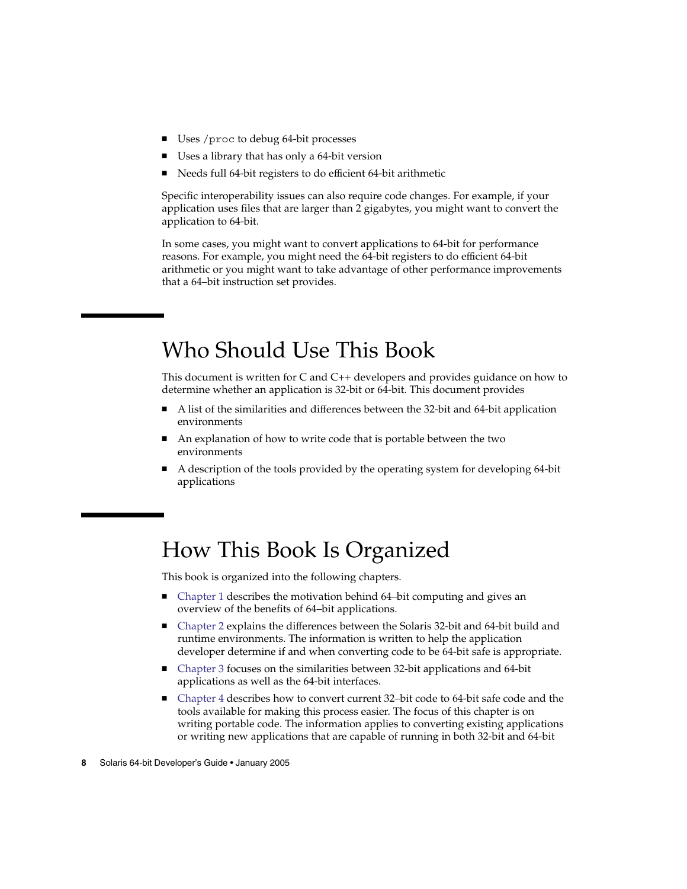- Uses /proc to debug 64-bit processes
- Uses a library that has only a 64-bit version
- Needs full 64-bit registers to do efficient 64-bit arithmetic

Specific interoperability issues can also require code changes. For example, if your application uses files that are larger than 2 gigabytes, you might want to convert the application to 64-bit.

In some cases, you might want to convert applications to 64-bit for performance reasons. For example, you might need the 64-bit registers to do efficient 64-bit arithmetic or you might want to take advantage of other performance improvements that a 64–bit instruction set provides.

### Who Should Use This Book

This document is written for C and C++ developers and provides guidance on how to determine whether an application is 32-bit or 64-bit. This document provides

- A list of the similarities and differences between the 32-bit and 64-bit application environments
- An explanation of how to write code that is portable between the two environments
- A description of the tools provided by the operating system for developing 64-bit applications

### How This Book Is Organized

This book is organized into the following chapters.

- [Chapter 1](#page-12-0) describes the motivation behind 64–bit computing and gives an overview of the benefits of 64–bit applications.
- [Chapter 2](#page-16-0) explains the differences between the Solaris 32-bit and 64-bit build and runtime environments. The information is written to help the application developer determine if and when converting code to be 64-bit safe is appropriate.
- [Chapter 3](#page-20-0) focuses on the similarities between 32-bit applications and 64-bit applications as well as the 64-bit interfaces.
- [Chapter 4](#page-24-0) describes how to convert current 32–bit code to 64-bit safe code and the tools available for making this process easier. The focus of this chapter is on writing portable code. The information applies to converting existing applications or writing new applications that are capable of running in both 32-bit and 64-bit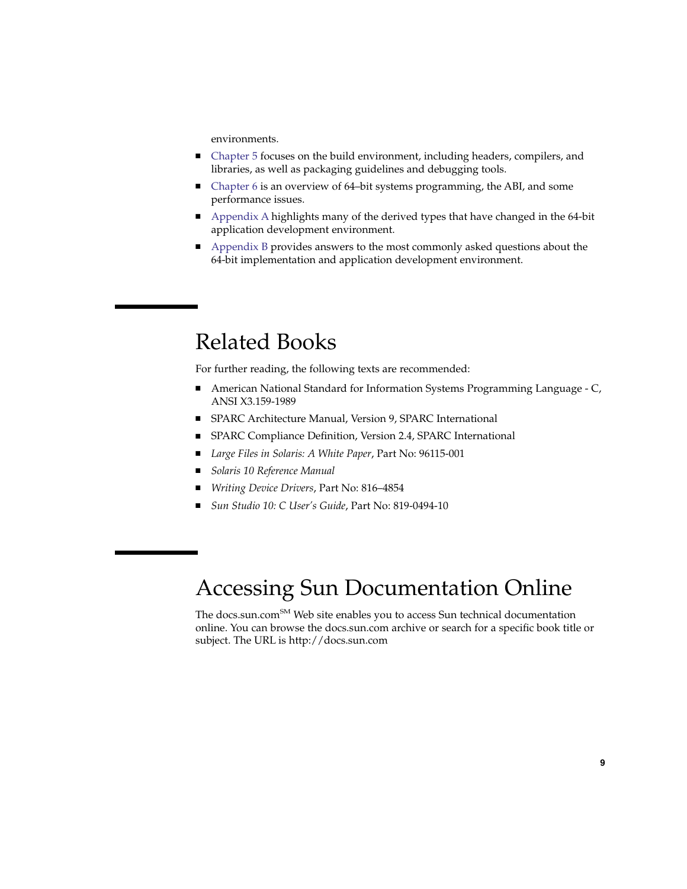environments.

- [Chapter 5](#page-44-0) focuses on the build environment, including headers, compilers, and libraries, as well as packaging guidelines and debugging tools.
- [Chapter 6](#page-52-0) is an overview of 64–bit systems programming, the ABI, and some performance issues.
- [Appendix A](#page-66-0) highlights many of the derived types that have changed in the 64-bit application development environment.
- [Appendix B](#page-70-0) provides answers to the most commonly asked questions about the 64-bit implementation and application development environment.

## Related Books

For further reading, the following texts are recommended:

- American National Standard for Information Systems Programming Language C, ANSI X3.159-1989
- SPARC Architecture Manual, Version 9, SPARC International
- SPARC Compliance Definition, Version 2.4, SPARC International
- *Large Files in Solaris: A White Paper*, Part No: 96115-001
- *Solaris 10 Reference Manual*
- *Writing Device Drivers*, Part No: 816–4854
- *Sun Studio 10: C User's Guide*, Part No: 819-0494-10

### Accessing Sun Documentation Online

The docs.sun.com<sup>SM</sup> Web site enables you to access Sun technical documentation online. You can browse the docs.sun.com archive or search for a specific book title or subject. The URL is [http://docs.sun.com.](http://docs.sun.com)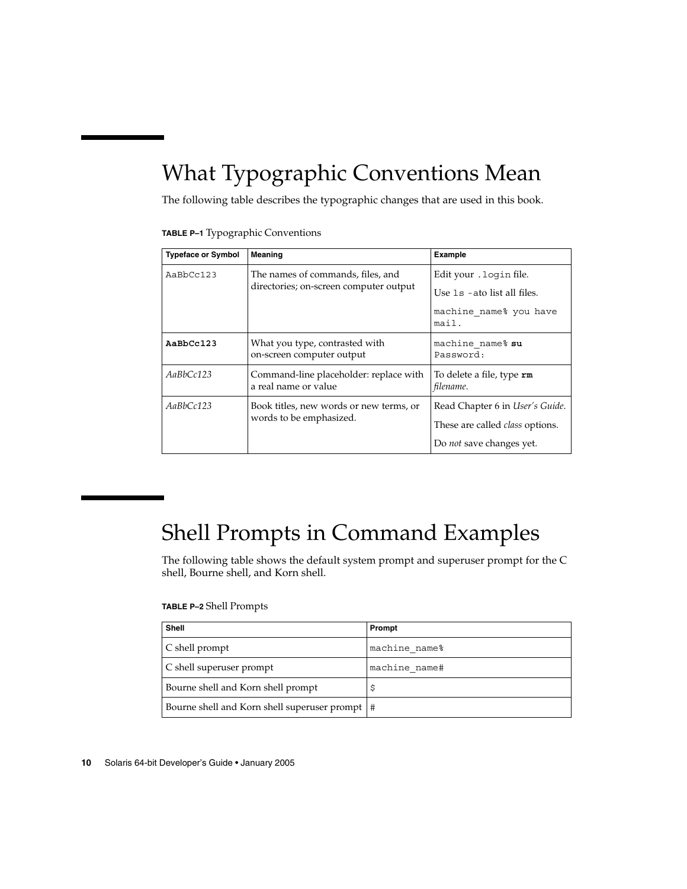## What Typographic Conventions Mean

The following table describes the typographic changes that are used in this book.

|  | TABLE P-1 Typographic Conventions |  |  |
|--|-----------------------------------|--|--|
|--|-----------------------------------|--|--|

| <b>Typeface or Symbol</b> | Meaning                                                                     | Example                                                                                                      |
|---------------------------|-----------------------------------------------------------------------------|--------------------------------------------------------------------------------------------------------------|
| AaBbCc123                 | The names of commands, files, and<br>directories; on-screen computer output | Edit your . login file.<br>Use 1s -ato list all files.                                                       |
|                           |                                                                             | machine name% you have<br>mail.                                                                              |
| AaBbCc123                 | What you type, contrasted with<br>on-screen computer output                 | machine name% su<br>Password:                                                                                |
| AaBbCc123                 | Command-line placeholder: replace with<br>a real name or value              | To delete a file, type <b>rm</b><br>filename.                                                                |
| AaBbCc123                 | Book titles, new words or new terms, or<br>words to be emphasized.          | Read Chapter 6 in User's Guide.<br>These are called <i>class</i> options.<br>Do <i>not</i> save changes yet. |

## Shell Prompts in Command Examples

The following table shows the default system prompt and superuser prompt for the C shell, Bourne shell, and Korn shell.

#### **TABLE P–2** Shell Prompts

| <b>Shell</b>                                     | Prompt        |
|--------------------------------------------------|---------------|
| C shell prompt                                   | machine name% |
| C shell superuser prompt                         | machine name# |
| Bourne shell and Korn shell prompt               |               |
| Bourne shell and Korn shell superuser prompt   # |               |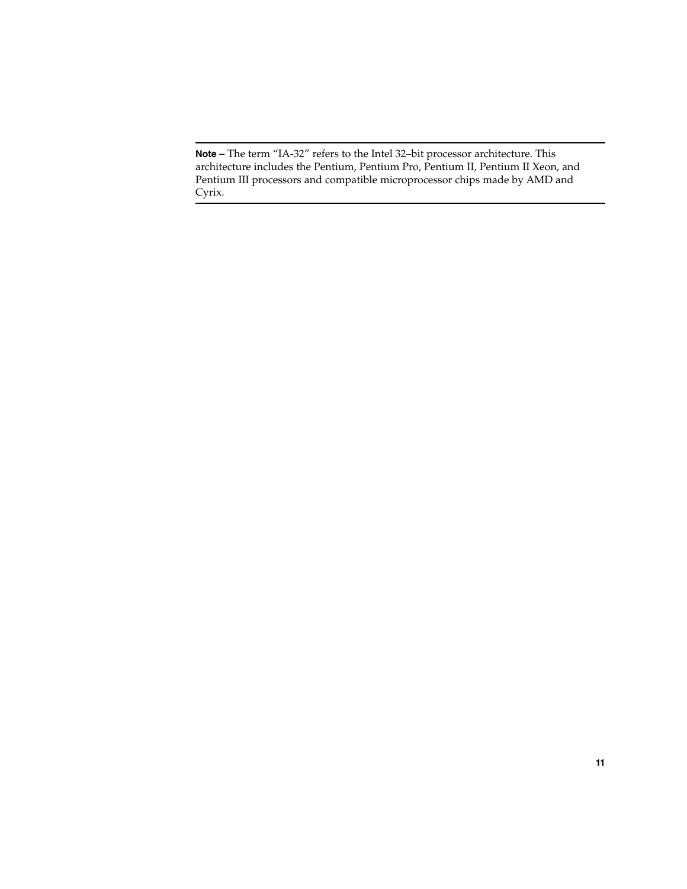**Note –** The term "IA-32" refers to the Intel 32–bit processor architecture. This architecture includes the Pentium, Pentium Pro, Pentium II, Pentium II Xeon, and Pentium III processors and compatible microprocessor chips made by AMD and Cyrix.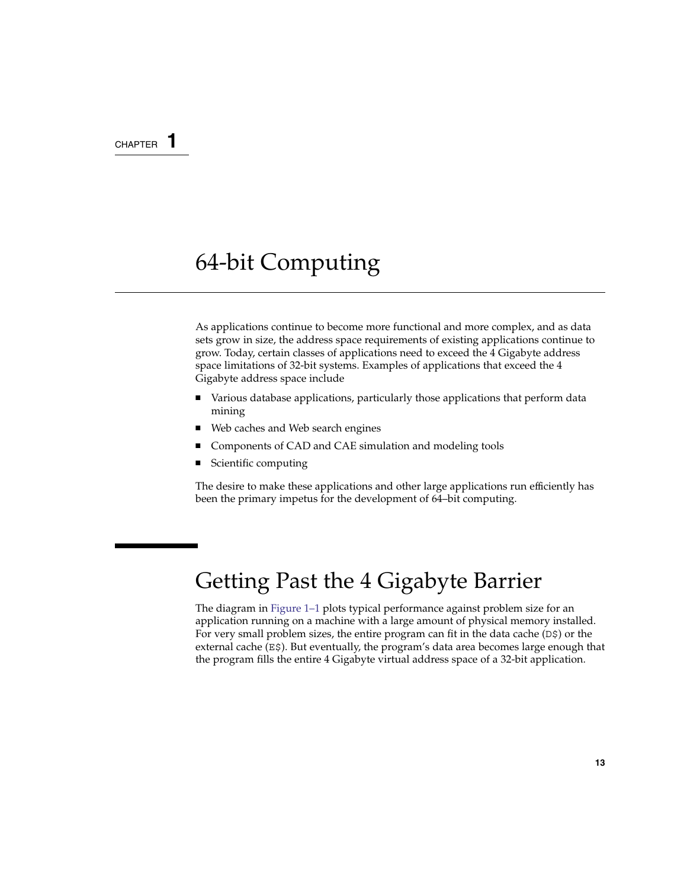#### <span id="page-12-0"></span>CHAPTER **1**

## 64-bit Computing

As applications continue to become more functional and more complex, and as data sets grow in size, the address space requirements of existing applications continue to grow. Today, certain classes of applications need to exceed the 4 Gigabyte address space limitations of 32-bit systems. Examples of applications that exceed the 4 Gigabyte address space include

- Various database applications, particularly those applications that perform data mining
- Web caches and Web search engines
- Components of CAD and CAE simulation and modeling tools
- Scientific computing

The desire to make these applications and other large applications run efficiently has been the primary impetus for the development of 64–bit computing.

### Getting Past the 4 Gigabyte Barrier

The diagram in [Figure 1–1](#page-13-0) plots typical performance against problem size for an application running on a machine with a large amount of physical memory installed. For very small problem sizes, the entire program can fit in the data cache  $(D\hat{S})$  or the external cache (E\$). But eventually, the program's data area becomes large enough that the program fills the entire 4 Gigabyte virtual address space of a 32-bit application.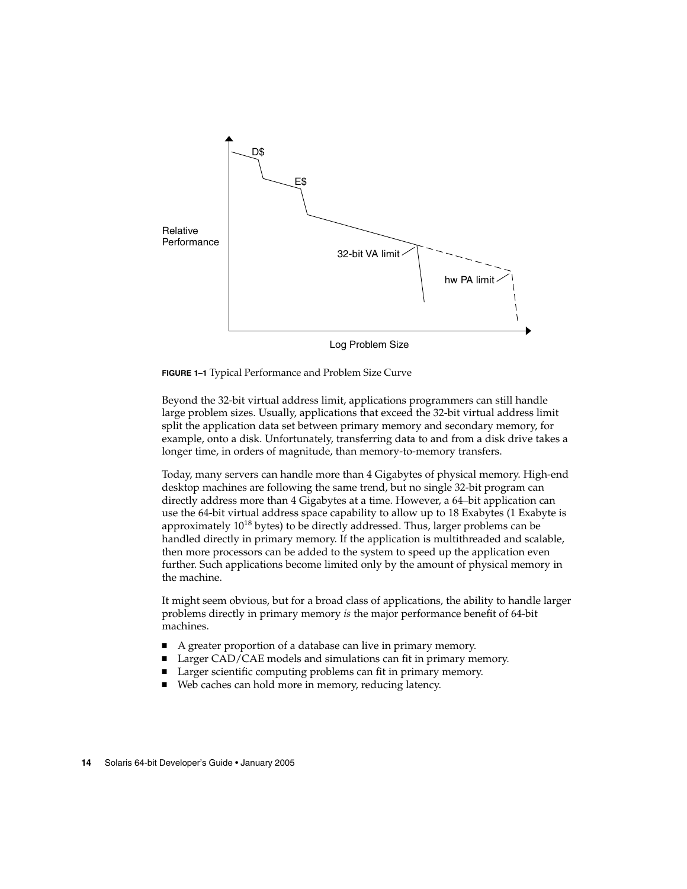<span id="page-13-0"></span>

Log Problem Size

**FIGURE 1–1** Typical Performance and Problem Size Curve

Beyond the 32-bit virtual address limit, applications programmers can still handle large problem sizes. Usually, applications that exceed the 32-bit virtual address limit split the application data set between primary memory and secondary memory, for example, onto a disk. Unfortunately, transferring data to and from a disk drive takes a longer time, in orders of magnitude, than memory-to-memory transfers.

Today, many servers can handle more than 4 Gigabytes of physical memory. High-end desktop machines are following the same trend, but no single 32-bit program can directly address more than 4 Gigabytes at a time. However, a 64–bit application can use the 64-bit virtual address space capability to allow up to 18 Exabytes (1 Exabyte is approximately  $10^{18}$  bytes) to be directly addressed. Thus, larger problems can be handled directly in primary memory. If the application is multithreaded and scalable, then more processors can be added to the system to speed up the application even further. Such applications become limited only by the amount of physical memory in the machine.

It might seem obvious, but for a broad class of applications, the ability to handle larger problems directly in primary memory *is* the major performance benefit of 64-bit machines.

- A greater proportion of a database can live in primary memory.
- Larger CAD/CAE models and simulations can fit in primary memory.
- Larger scientific computing problems can fit in primary memory.
- Web caches can hold more in memory, reducing latency.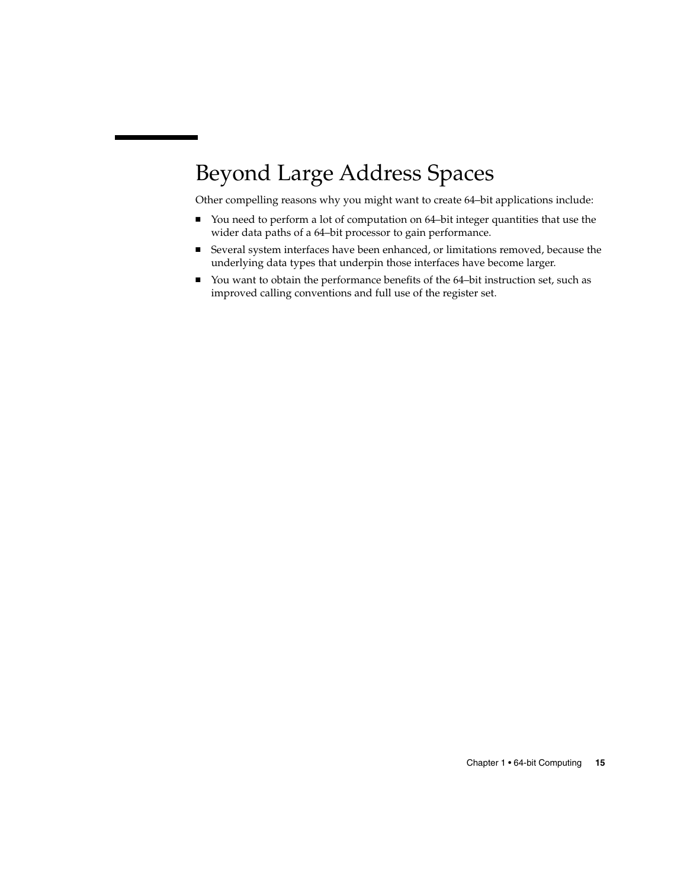## <span id="page-14-0"></span>Beyond Large Address Spaces

Other compelling reasons why you might want to create 64–bit applications include:

- You need to perform a lot of computation on 64–bit integer quantities that use the wider data paths of a 64–bit processor to gain performance.
- Several system interfaces have been enhanced, or limitations removed, because the underlying data types that underpin those interfaces have become larger.
- You want to obtain the performance benefits of the 64–bit instruction set, such as improved calling conventions and full use of the register set.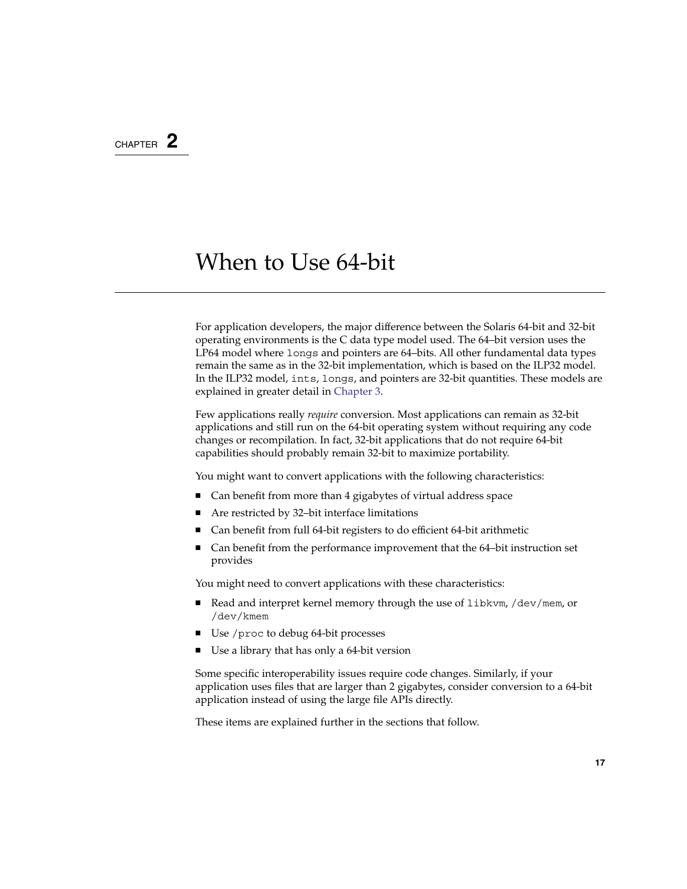#### <span id="page-16-0"></span>CHAPTER **2**

### When to Use 64-bit

For application developers, the major difference between the Solaris 64-bit and 32-bit operating environments is the C data type model used. The 64–bit version uses the LP64 model where longs and pointers are 64–bits. All other fundamental data types remain the same as in the 32-bit implementation, which is based on the ILP32 model. In the ILP32 model, ints, longs, and pointers are 32-bit quantities. These models are explained in greater detail in [Chapter 3.](#page-20-0)

Few applications really *require* conversion. Most applications can remain as 32-bit applications and still run on the 64-bit operating system without requiring any code changes or recompilation. In fact, 32-bit applications that do not require 64-bit capabilities should probably remain 32-bit to maximize portability.

You might want to convert applications with the following characteristics:

- Can benefit from more than 4 gigabytes of virtual address space
- Are restricted by 32-bit interface limitations
- Can benefit from full 64-bit registers to do efficient 64-bit arithmetic
- Can benefit from the performance improvement that the 64–bit instruction set provides

You might need to convert applications with these characteristics:

- Read and interpret kernel memory through the use of libkvm, /dev/mem, or /dev/kmem
- Use / proc to debug 64-bit processes
- Use a library that has only a 64-bit version

Some specific interoperability issues require code changes. Similarly, if your application uses files that are larger than 2 gigabytes, consider conversion to a 64-bit application instead of using the large file APIs directly.

These items are explained further in the sections that follow.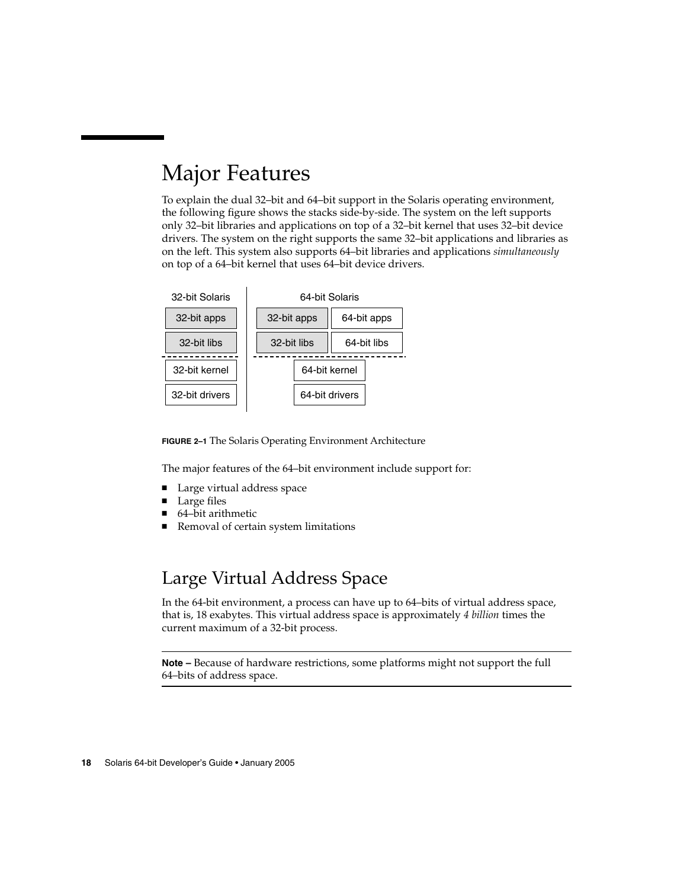### <span id="page-17-0"></span>Major Features

To explain the dual 32–bit and 64–bit support in the Solaris operating environment, the following figure shows the stacks side-by-side. The system on the left supports only 32–bit libraries and applications on top of a 32–bit kernel that uses 32–bit device drivers. The system on the right supports the same 32–bit applications and libraries as on the left. This system also supports 64–bit libraries and applications *simultaneously* on top of a 64–bit kernel that uses 64–bit device drivers.

| 32-bit Solaris |             | 64-bit Solaris |             |
|----------------|-------------|----------------|-------------|
| 32-bit apps    |             | 32-bit apps    | 64-bit apps |
| 32-bit libs    | 32-bit libs |                | 64-bit libs |
| 32-bit kernel  |             | 64-bit kernel  |             |
| 32-bit drivers |             | 64-bit drivers |             |

**FIGURE 2–1** The Solaris Operating Environment Architecture

The major features of the 64–bit environment include support for:

- Large virtual address space
- Large files
- 64–bit arithmetic
- Removal of certain system limitations

### Large Virtual Address Space

In the 64-bit environment, a process can have up to 64–bits of virtual address space, that is, 18 exabytes. This virtual address space is approximately *4 billion* times the current maximum of a 32-bit process.

**Note –** Because of hardware restrictions, some platforms might not support the full 64–bits of address space.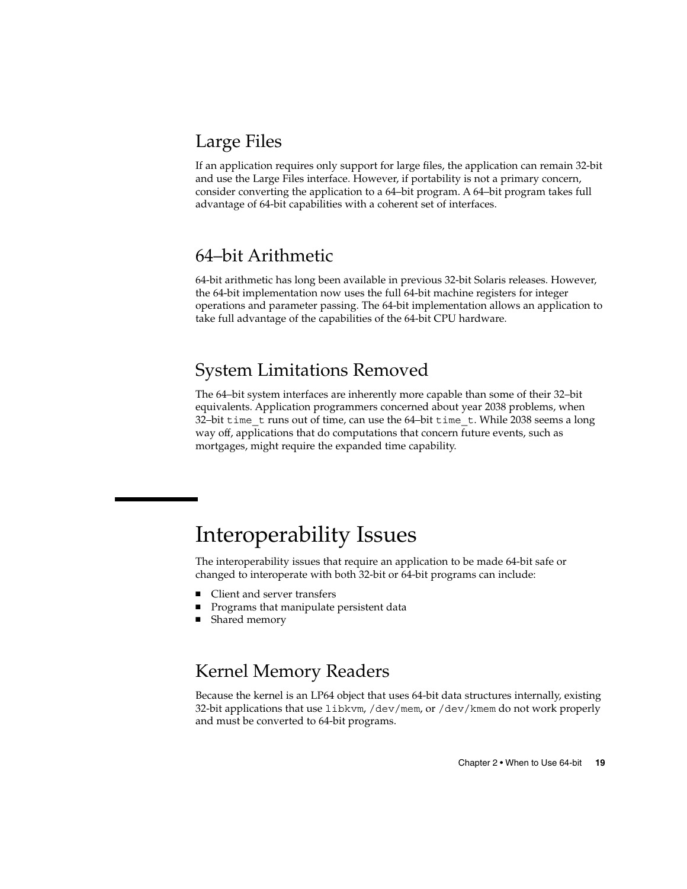### <span id="page-18-0"></span>Large Files

If an application requires only support for large files, the application can remain 32-bit and use the Large Files interface. However, if portability is not a primary concern, consider converting the application to a 64–bit program. A 64–bit program takes full advantage of 64-bit capabilities with a coherent set of interfaces.

#### 64–bit Arithmetic

64-bit arithmetic has long been available in previous 32-bit Solaris releases. However, the 64-bit implementation now uses the full 64-bit machine registers for integer operations and parameter passing. The 64-bit implementation allows an application to take full advantage of the capabilities of the 64-bit CPU hardware.

### System Limitations Removed

The 64–bit system interfaces are inherently more capable than some of their 32–bit equivalents. Application programmers concerned about year 2038 problems, when 32–bit time t runs out of time, can use the 64–bit time t. While 2038 seems a long way off, applications that do computations that concern future events, such as mortgages, might require the expanded time capability.

### Interoperability Issues

The interoperability issues that require an application to be made 64-bit safe or changed to interoperate with both 32-bit or 64-bit programs can include:

- Client and server transfers
- Programs that manipulate persistent data
- Shared memory

### Kernel Memory Readers

Because the kernel is an LP64 object that uses 64-bit data structures internally, existing 32-bit applications that use libkvm, /dev/mem, or /dev/kmem do not work properly and must be converted to 64-bit programs.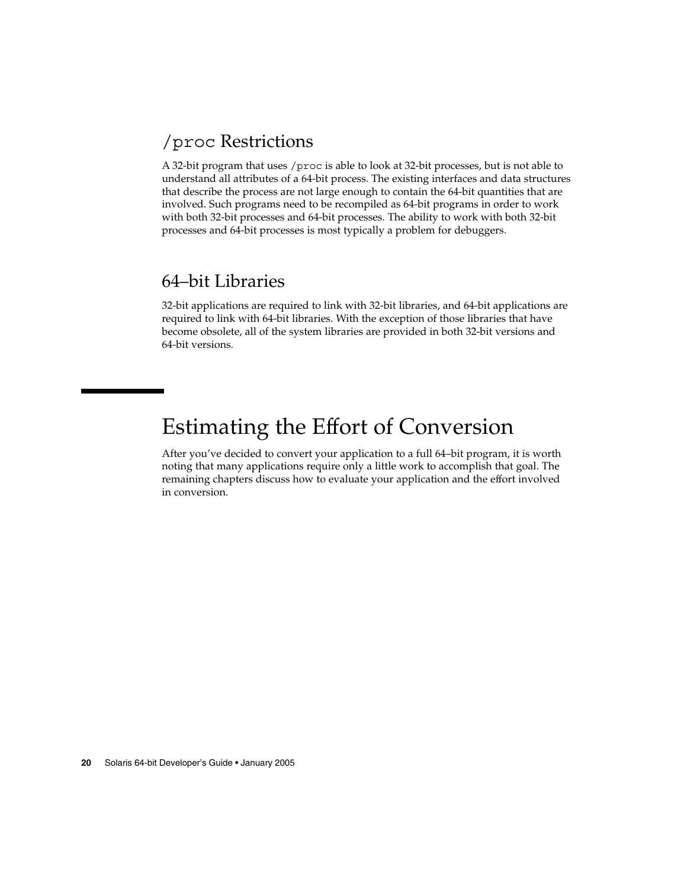### <span id="page-19-0"></span>/proc Restrictions

A 32-bit program that uses /proc is able to look at 32-bit processes, but is not able to understand all attributes of a 64-bit process. The existing interfaces and data structures that describe the process are not large enough to contain the 64-bit quantities that are involved. Such programs need to be recompiled as 64-bit programs in order to work with both 32-bit processes and 64-bit processes. The ability to work with both 32-bit processes and 64-bit processes is most typically a problem for debuggers.

#### 64–bit Libraries

32-bit applications are required to link with 32-bit libraries, and 64-bit applications are required to link with 64-bit libraries. With the exception of those libraries that have become obsolete, all of the system libraries are provided in both 32-bit versions and 64-bit versions.

## Estimating the Effort of Conversion

After you've decided to convert your application to a full 64–bit program, it is worth noting that many applications require only a little work to accomplish that goal. The remaining chapters discuss how to evaluate your application and the effort involved in conversion.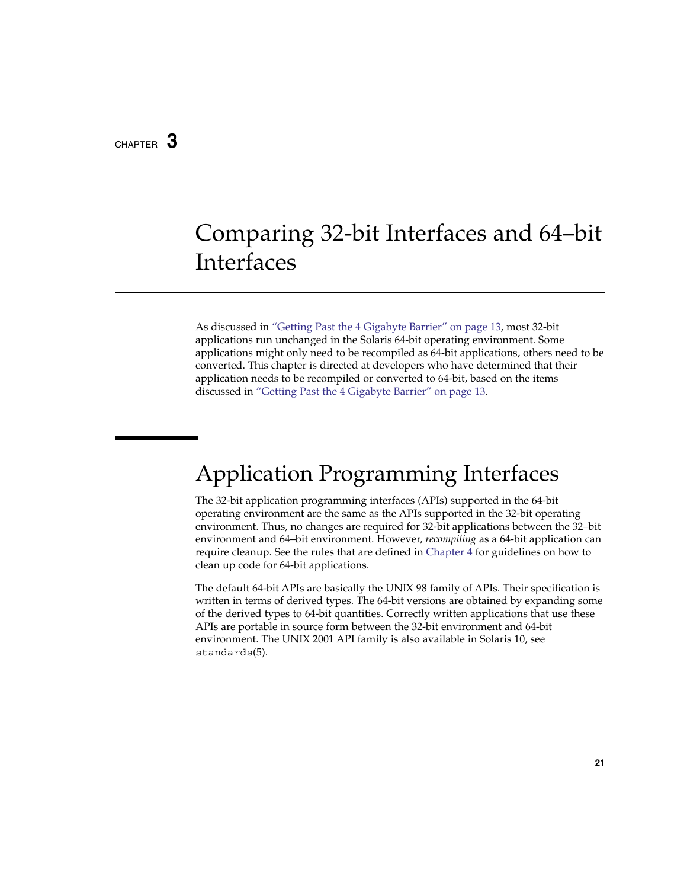#### <span id="page-20-0"></span>CHAPTER **3**

## Comparing 32-bit Interfaces and 64–bit Interfaces

As discussed in ["Getting Past the 4 Gigabyte Barrier"](#page-12-0) on page 13, most 32-bit applications run unchanged in the Solaris 64-bit operating environment. Some applications might only need to be recompiled as 64-bit applications, others need to be converted. This chapter is directed at developers who have determined that their application needs to be recompiled or converted to 64-bit, based on the items discussed in ["Getting Past the 4 Gigabyte Barrier"](#page-12-0) on page 13.

## Application Programming Interfaces

The 32-bit application programming interfaces (APIs) supported in the 64-bit operating environment are the same as the APIs supported in the 32-bit operating environment. Thus, no changes are required for 32-bit applications between the 32–bit environment and 64–bit environment. However, *recompiling* as a 64-bit application can require cleanup. See the rules that are defined in [Chapter 4](#page-24-0) for guidelines on how to clean up code for 64-bit applications.

The default 64-bit APIs are basically the UNIX 98 family of APIs. Their specification is written in terms of derived types. The 64-bit versions are obtained by expanding some of the derived types to 64-bit quantities. Correctly written applications that use these APIs are portable in source form between the 32-bit environment and 64-bit environment. The UNIX 2001 API family is also available in Solaris 10, see standards(5).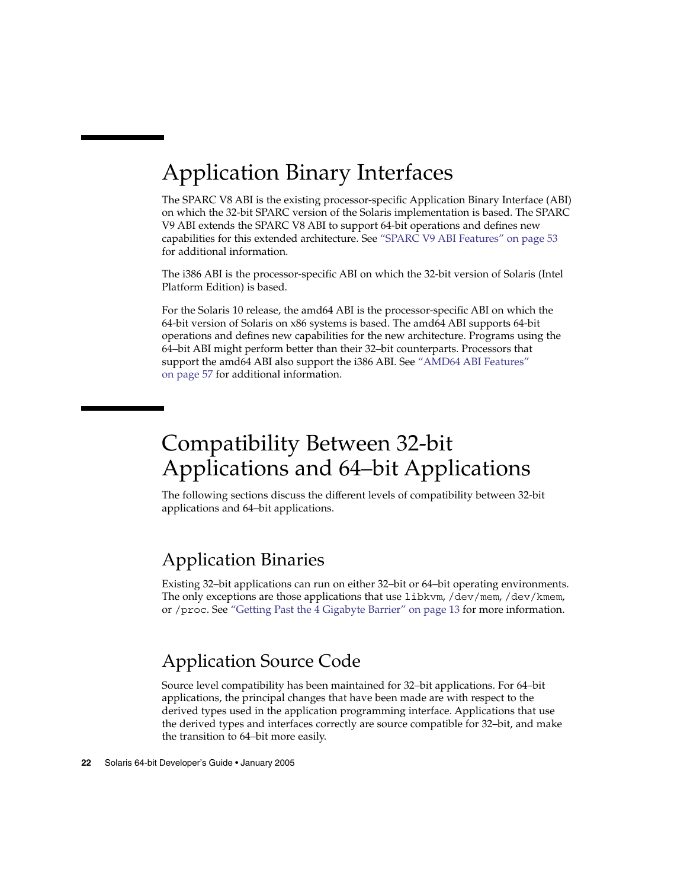### <span id="page-21-0"></span>Application Binary Interfaces

The SPARC V8 ABI is the existing processor-specific Application Binary Interface (ABI) on which the 32-bit SPARC version of the Solaris implementation is based. The SPARC V9 ABI extends the SPARC V8 ABI to support 64-bit operations and defines new capabilities for this extended architecture. See ["SPARC V9 ABI Features"](#page-52-0) on page 53 for additional information.

The i386 ABI is the processor-specific ABI on which the 32-bit version of Solaris (Intel Platform Edition) is based.

For the Solaris 10 release, the amd64 ABI is the processor-specific ABI on which the 64-bit version of Solaris on x86 systems is based. The amd64 ABI supports 64-bit operations and defines new capabilities for the new architecture. Programs using the 64–bit ABI might perform better than their 32–bit counterparts. Processors that support the amd64 ABI also support the i386 ABI. See ["AMD64 ABI Features"](#page-56-0) [on page 57](#page-56-0) for additional information.

## Compatibility Between 32-bit Applications and 64–bit Applications

The following sections discuss the different levels of compatibility between 32-bit applications and 64–bit applications.

### Application Binaries

Existing 32–bit applications can run on either 32–bit or 64–bit operating environments. The only exceptions are those applications that use libkvm, /dev/mem, /dev/kmem, or /proc. See ["Getting Past the 4 Gigabyte Barrier"](#page-12-0) on page 13 for more information.

### Application Source Code

Source level compatibility has been maintained for 32–bit applications. For 64–bit applications, the principal changes that have been made are with respect to the derived types used in the application programming interface. Applications that use the derived types and interfaces correctly are source compatible for 32–bit, and make the transition to 64–bit more easily.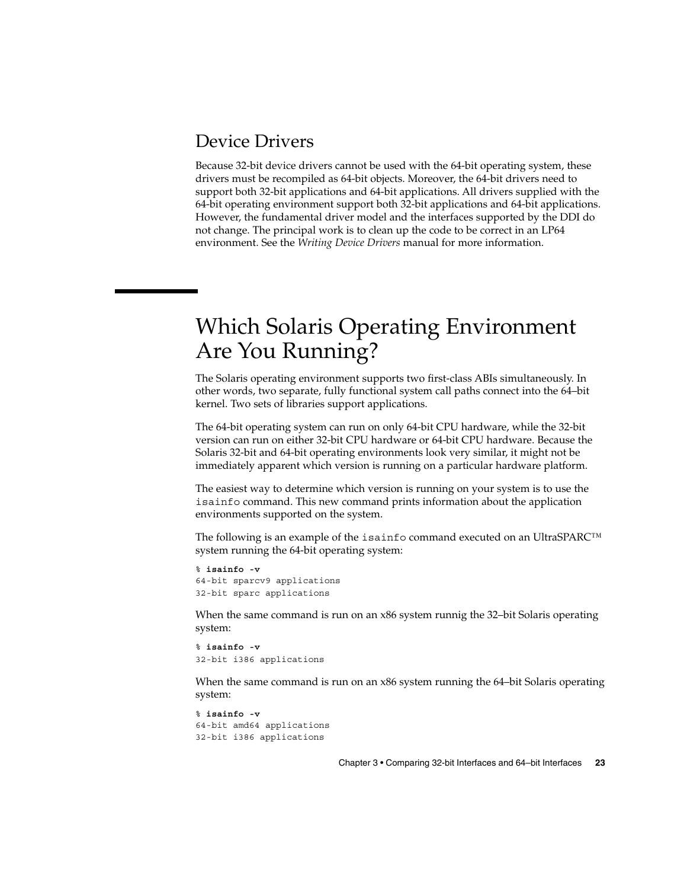#### <span id="page-22-0"></span>Device Drivers

Because 32-bit device drivers cannot be used with the 64-bit operating system, these drivers must be recompiled as 64-bit objects. Moreover, the 64-bit drivers need to support both 32-bit applications and 64-bit applications. All drivers supplied with the 64-bit operating environment support both 32-bit applications and 64-bit applications. However, the fundamental driver model and the interfaces supported by the DDI do not change. The principal work is to clean up the code to be correct in an LP64 environment. See the *Writing Device Drivers* manual for more information.

### Which Solaris Operating Environment Are You Running?

The Solaris operating environment supports two first-class ABIs simultaneously. In other words, two separate, fully functional system call paths connect into the 64–bit kernel. Two sets of libraries support applications.

The 64-bit operating system can run on only 64-bit CPU hardware, while the 32-bit version can run on either 32-bit CPU hardware or 64-bit CPU hardware. Because the Solaris 32-bit and 64-bit operating environments look very similar, it might not be immediately apparent which version is running on a particular hardware platform.

The easiest way to determine which version is running on your system is to use the isainfo command. This new command prints information about the application environments supported on the system.

The following is an example of the isainfo command executed on an UltraSPARC™ system running the 64-bit operating system:

```
% isainfo -v
64-bit sparcv9 applications
32-bit sparc applications
```
When the same command is run on an x86 system runnig the 32–bit Solaris operating system:

```
% isainfo -v
32-bit i386 applications
```
When the same command is run on an x86 system running the 64–bit Solaris operating system:

```
% isainfo -v
64-bit amd64 applications
32-bit i386 applications
```
Chapter 3 • Comparing 32-bit Interfaces and 64–bit Interfaces **23**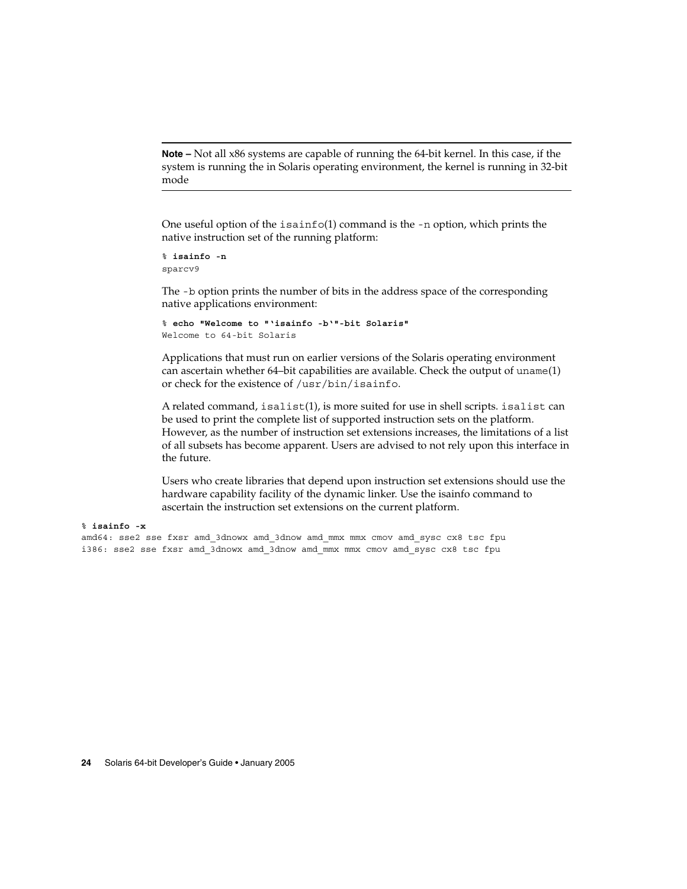**Note –** Not all x86 systems are capable of running the 64-bit kernel. In this case, if the system is running the in Solaris operating environment, the kernel is running in 32-bit mode

One useful option of the  $\text{isainfo}(1)$  command is the -n option, which prints the native instruction set of the running platform:

```
% isainfo -n
sparcv9
```
The -b option prints the number of bits in the address space of the corresponding native applications environment:

```
% echo "Welcome to "'isainfo -b'"-bit Solaris"
Welcome to 64-bit Solaris
```
Applications that must run on earlier versions of the Solaris operating environment can ascertain whether 64–bit capabilities are available. Check the output of uname(1) or check for the existence of /usr/bin/isainfo.

A related command, isalist(1), is more suited for use in shell scripts. isalist can be used to print the complete list of supported instruction sets on the platform. However, as the number of instruction set extensions increases, the limitations of a list of all subsets has become apparent. Users are advised to not rely upon this interface in the future.

Users who create libraries that depend upon instruction set extensions should use the hardware capability facility of the dynamic linker. Use the isainfo command to ascertain the instruction set extensions on the current platform.

#### % **isainfo -x**

amd64: sse2 sse fxsr amd\_3dnowx amd\_3dnow amd\_mmx mmx cmov amd\_sysc cx8 tsc fpu i386: sse2 sse fxsr amd\_3dnowx amd\_3dnow amd\_mmx mmx cmov amd\_sysc cx8 tsc fpu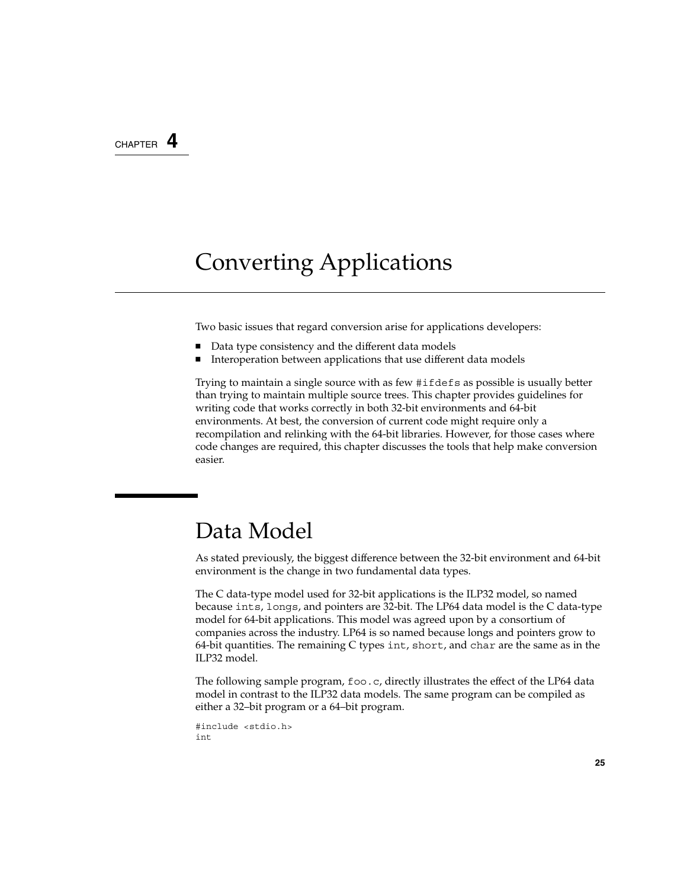#### <span id="page-24-0"></span>CHAPTER **4**

## Converting Applications

Two basic issues that regard conversion arise for applications developers:

- Data type consistency and the different data models
- Interoperation between applications that use different data models

Trying to maintain a single source with as few #ifdefs as possible is usually better than trying to maintain multiple source trees. This chapter provides guidelines for writing code that works correctly in both 32-bit environments and 64-bit environments. At best, the conversion of current code might require only a recompilation and relinking with the 64-bit libraries. However, for those cases where code changes are required, this chapter discusses the tools that help make conversion easier.

### Data Model

As stated previously, the biggest difference between the 32-bit environment and 64-bit environment is the change in two fundamental data types.

The C data-type model used for 32-bit applications is the ILP32 model, so named because ints, longs, and pointers are 32-bit. The LP64 data model is the C data-type model for 64-bit applications. This model was agreed upon by a consortium of companies across the industry. LP64 is so named because longs and pointers grow to 64-bit quantities. The remaining C types int, short, and char are the same as in the ILP32 model.

The following sample program, foo.c, directly illustrates the effect of the LP64 data model in contrast to the ILP32 data models. The same program can be compiled as either a 32–bit program or a 64–bit program.

```
#include <stdio.h>
int
```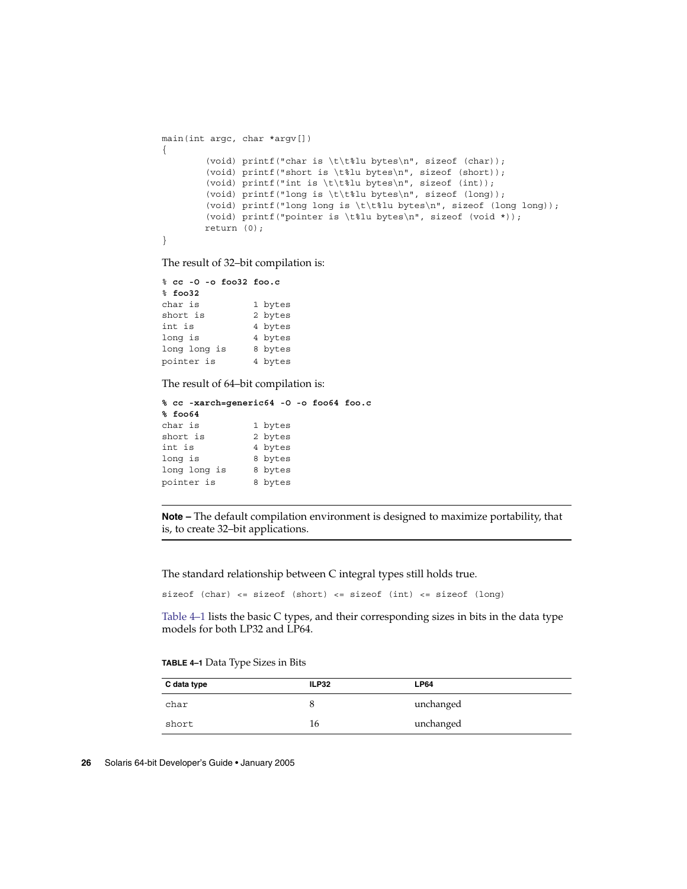```
main(int argc, char *argv[])
{
        (void) printf("char is \t\t%lu bytes\n", sizeof (char));
        (void) printf("short is \t%lu bytes\n", sizeof (short));
        (void) printf("int is \t\t%lu bytes\n", sizeof (int));
        (void) printf("long is \t\t%lu bytes\n", sizeof (long));
        (void) printf("long long is \t\t%lu bytes\n", sizeof (long long));
        (void) printf("pointer is \t%lu bytes\n", sizeof (void *));
        return (0);
}
```
The result of 32–bit compilation is:

% **cc -O -o foo32 foo.c** % **foo32** char is 1 bytes short is 2 bytes int is 4 bytes long is 4 bytes<br>long long is 8 bytes long long is pointer is 4 bytes

The result of 64–bit compilation is:

```
% cc -xarch=generic64 -O -o foo64 foo.c
% foo64
             1 bytes
short is 2 bytes
int is 4 bytes
long is 8 bytes
long long is 8 bytes
pointer is 8 bytes
```
**Note –** The default compilation environment is designed to maximize portability, that is, to create 32–bit applications.

The standard relationship between C integral types still holds true.

sizeof (char) <= sizeof (short) <= sizeof (int) <= sizeof (long)

Table 4–1 lists the basic C types, and their corresponding sizes in bits in the data type models for both LP32 and LP64.

| <b>TABLE 4–1</b> Data Type Sizes in Bits |
|------------------------------------------|
|------------------------------------------|

| C data type | ILP32 | <b>LP64</b> |
|-------------|-------|-------------|
| char        |       | unchanged   |
| short       | 16    | unchanged   |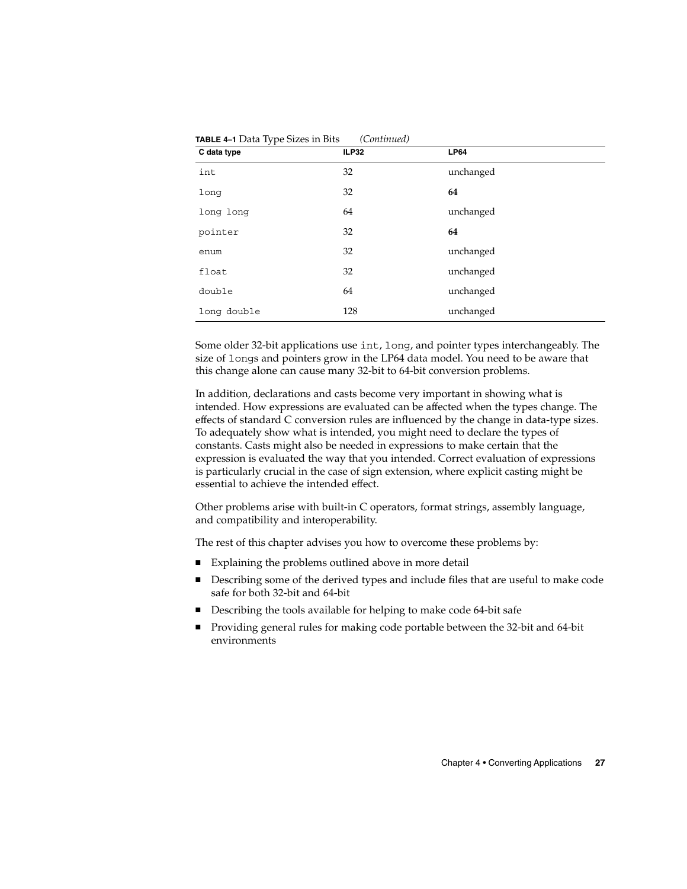| - л. г<br>C data type | <b>ILP32</b> | <b>LP64</b> |
|-----------------------|--------------|-------------|
| int                   | 32           | unchanged   |
| long                  | 32           | 64          |
| long long             | 64           | unchanged   |
| pointer               | 32           | 64          |
| enum                  | 32           | unchanged   |
| float                 | 32           | unchanged   |
| double                | 64           | unchanged   |
| long double           | 128          | unchanged   |

**TABLE 4–1** Data Type Sizes in Bits *(Continued)*

Some older 32-bit applications use int, long, and pointer types interchangeably. The size of longs and pointers grow in the LP64 data model. You need to be aware that this change alone can cause many 32-bit to 64-bit conversion problems.

In addition, declarations and casts become very important in showing what is intended. How expressions are evaluated can be affected when the types change. The effects of standard C conversion rules are influenced by the change in data-type sizes. To adequately show what is intended, you might need to declare the types of constants. Casts might also be needed in expressions to make certain that the expression is evaluated the way that you intended. Correct evaluation of expressions is particularly crucial in the case of sign extension, where explicit casting might be essential to achieve the intended effect.

Other problems arise with built-in C operators, format strings, assembly language, and compatibility and interoperability.

The rest of this chapter advises you how to overcome these problems by:

- Explaining the problems outlined above in more detail
- Describing some of the derived types and include files that are useful to make code safe for both 32-bit and 64-bit
- Describing the tools available for helping to make code 64-bit safe
- Providing general rules for making code portable between the 32-bit and 64-bit environments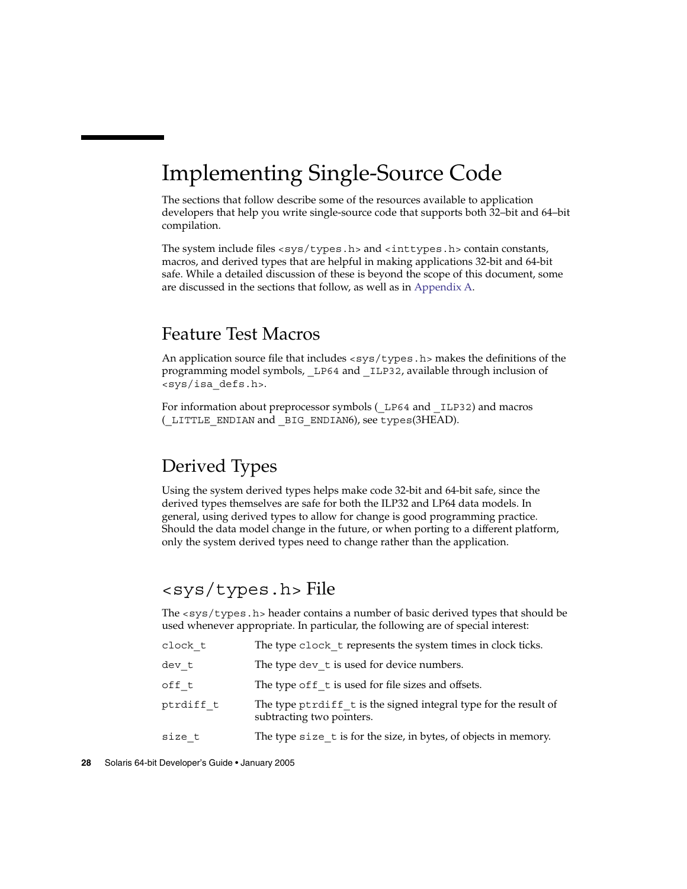## <span id="page-27-0"></span>Implementing Single-Source Code

The sections that follow describe some of the resources available to application developers that help you write single-source code that supports both 32–bit and 64–bit compilation.

The system include files <sys/types.h> and <inttypes.h> contain constants, macros, and derived types that are helpful in making applications 32-bit and 64-bit safe. While a detailed discussion of these is beyond the scope of this document, some are discussed in the sections that follow, as well as in [Appendix A.](#page-66-0)

#### Feature Test Macros

An application source file that includes <sys/types.h> makes the definitions of the programming model symbols, LP64 and ILP32, available through inclusion of <sys/isa\_defs.h>.

For information about preprocessor symbols ( LP64 and ILP32) and macros (\_LITTLE\_ENDIAN and \_BIG\_ENDIAN6), see types(3HEAD).

### Derived Types

Using the system derived types helps make code 32-bit and 64-bit safe, since the derived types themselves are safe for both the ILP32 and LP64 data models. In general, using derived types to allow for change is good programming practice. Should the data model change in the future, or when porting to a different platform, only the system derived types need to change rather than the application.

#### <sys/types.h> File

The <sys/types.h> header contains a number of basic derived types that should be used whenever appropriate. In particular, the following are of special interest:

| clock t   | The type clock t represents the system times in clock ticks.                                  |
|-----------|-----------------------------------------------------------------------------------------------|
| dev t     | The type dev t is used for device numbers.                                                    |
| off t     | The type $\circ$ f $f$ is used for file sizes and offsets.                                    |
| ptrdiff t | The type ptrdiff t is the signed integral type for the result of<br>subtracting two pointers. |
| size t    | The type $size$ t is for the size, in bytes, of objects in memory.                            |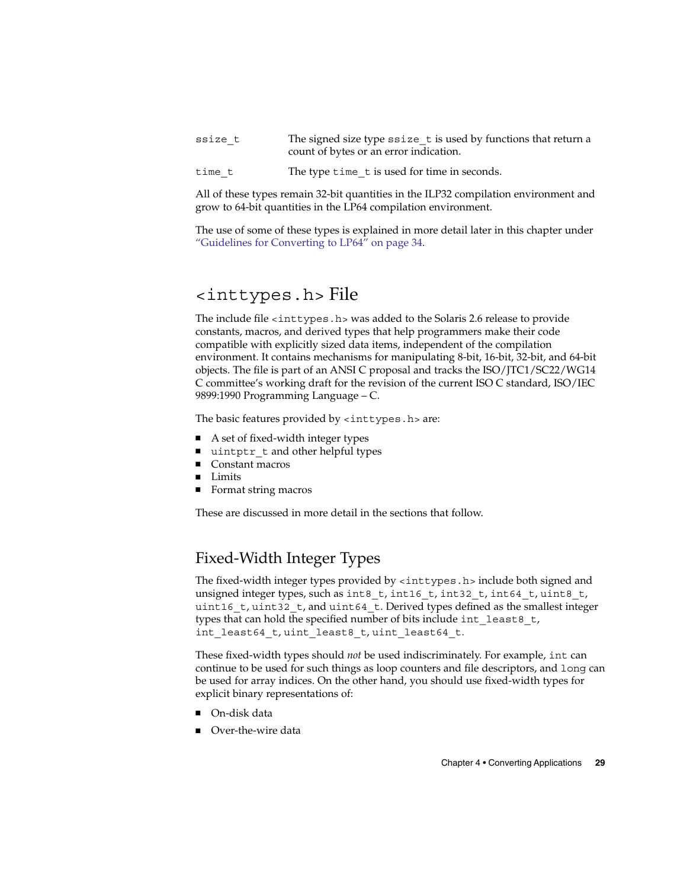<span id="page-28-0"></span>

| ssize t | The signed size type ssize t is used by functions that return a |
|---------|-----------------------------------------------------------------|
|         | count of bytes or an error indication.                          |
| time t  | The type time t is used for time in seconds.                    |

All of these types remain 32-bit quantities in the ILP32 compilation environment and grow to 64-bit quantities in the LP64 compilation environment.

The use of some of these types is explained in more detail later in this chapter under ["Guidelines for Converting to LP64"](#page-33-0) on page 34.

### <inttypes.h> File

The include file <inttypes.h> was added to the Solaris 2.6 release to provide constants, macros, and derived types that help programmers make their code compatible with explicitly sized data items, independent of the compilation environment. It contains mechanisms for manipulating 8-bit, 16-bit, 32-bit, and 64-bit objects. The file is part of an ANSI C proposal and tracks the ISO/JTC1/SC22/WG14 C committee's working draft for the revision of the current ISO C standard, ISO/IEC 9899:1990 Programming Language – C.

The basic features provided by <inttypes.h> are:

- A set of fixed-width integer types
- uintptr t and other helpful types
- Constant macros
- Limits
- Format string macros

These are discussed in more detail in the sections that follow.

#### Fixed-Width Integer Types

The fixed-width integer types provided by <inttypes.h> include both signed and unsigned integer types, such as int8 t, int16 t, int32 t, int64 t, uint8 t, uint16 t, uint32 t, and uint64 t. Derived types defined as the smallest integer types that can hold the specified number of bits include int\_least8\_t, int\_least64\_t, uint\_least8\_t, uint\_least64\_t.

These fixed-width types should *not* be used indiscriminately. For example, int can continue to be used for such things as loop counters and file descriptors, and long can be used for array indices. On the other hand, you should use fixed-width types for explicit binary representations of:

- On-disk data
- Over-the-wire data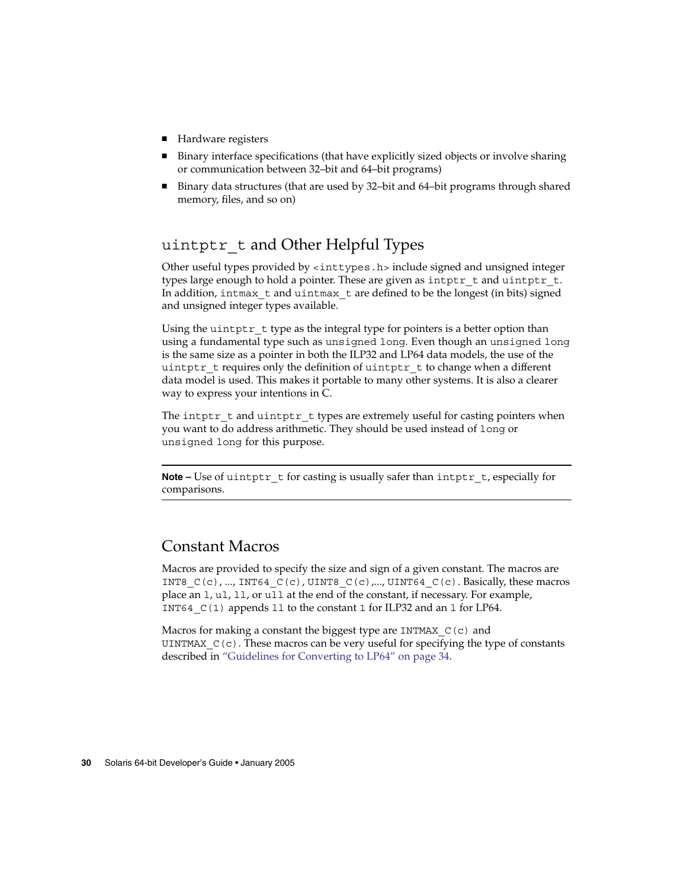- Hardware registers
- Binary interface specifications (that have explicitly sized objects or involve sharing or communication between 32–bit and 64–bit programs)
- Binary data structures (that are used by 32–bit and 64–bit programs through shared memory, files, and so on)

#### uintptr t and Other Helpful Types

Other useful types provided by <inttypes.h> include signed and unsigned integer types large enough to hold a pointer. These are given as intptr  $t$  and uintptr  $t$ . In addition, intmax  $t$  and uintmax  $t$  are defined to be the longest (in bits) signed and unsigned integer types available.

Using the uintptr  $t$  type as the integral type for pointers is a better option than using a fundamental type such as unsigned long. Even though an unsigned long is the same size as a pointer in both the ILP32 and LP64 data models, the use of the uintptr t requires only the definition of uintptr t to change when a different data model is used. This makes it portable to many other systems. It is also a clearer way to express your intentions in C.

The intptr  $t$  and uintptr  $t$  types are extremely useful for casting pointers when you want to do address arithmetic. They should be used instead of long or unsigned long for this purpose.

**Note** – Use of uintptr t for casting is usually safer than intptr t, especially for comparisons.

#### Constant Macros

Macros are provided to specify the size and sign of a given constant. The macros are INT8  $C(c)$ , ..., INT64  $C(c)$ , UINT8  $C(c)$ , ..., UINT64  $C(c)$ . Basically, these macros place an l, ul, ll, or ull at the end of the constant, if necessary. For example, INT64  $C(1)$  appends 11 to the constant 1 for ILP32 and an 1 for LP64.

Macros for making a constant the biggest type are INTMAX  $C(c)$  and UINTMAX  $C(c)$ . These macros can be very useful for specifying the type of constants described in ["Guidelines for Converting to LP64"](#page-33-0) on page 34.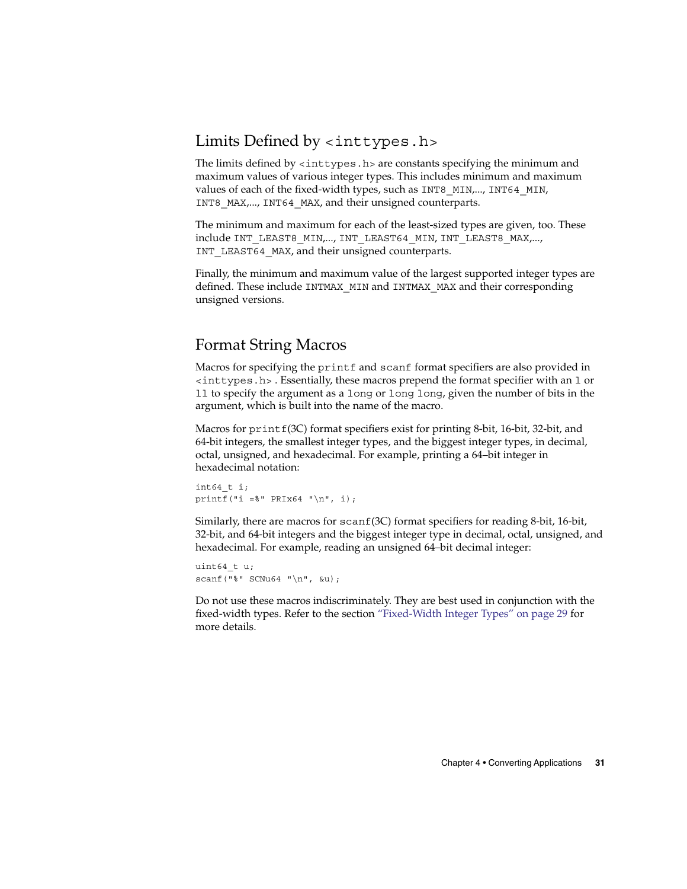#### Limits Defined by <inttypes.h>

The limits defined by  $\langle$  inttypes.h> are constants specifying the minimum and maximum values of various integer types. This includes minimum and maximum values of each of the fixed-width types, such as INT8\_MIN,..., INT64\_MIN, INT8\_MAX,..., INT64\_MAX, and their unsigned counterparts.

The minimum and maximum for each of the least-sized types are given, too. These include INT\_LEAST8\_MIN,..., INT\_LEAST64\_MIN, INT\_LEAST8\_MAX,..., INT\_LEAST64\_MAX, and their unsigned counterparts.

Finally, the minimum and maximum value of the largest supported integer types are defined. These include INTMAX\_MIN and INTMAX\_MAX and their corresponding unsigned versions.

#### Format String Macros

Macros for specifying the printf and scanf format specifiers are also provided in <inttypes.h> . Essentially, these macros prepend the format specifier with an l or ll to specify the argument as a long or long long, given the number of bits in the argument, which is built into the name of the macro.

Macros for  $print(f(3C)$  format specifiers exist for printing 8-bit, 16-bit, 32-bit, and 64-bit integers, the smallest integer types, and the biggest integer types, in decimal, octal, unsigned, and hexadecimal. For example, printing a 64–bit integer in hexadecimal notation:

 $int64$  t i; printf("i =%" PRIx64 "\n", i);

Similarly, there are macros for  $\text{scant}(3C)$  format specifiers for reading 8-bit, 16-bit, 32-bit, and 64-bit integers and the biggest integer type in decimal, octal, unsigned, and hexadecimal. For example, reading an unsigned 64–bit decimal integer:

```
uint64 t u;
scanf("%" SCNu64 "\n", &u);
```
Do not use these macros indiscriminately. They are best used in conjunction with the fixed-width types. Refer to the section ["Fixed-Width Integer Types"](#page-28-0) on page 29 for more details.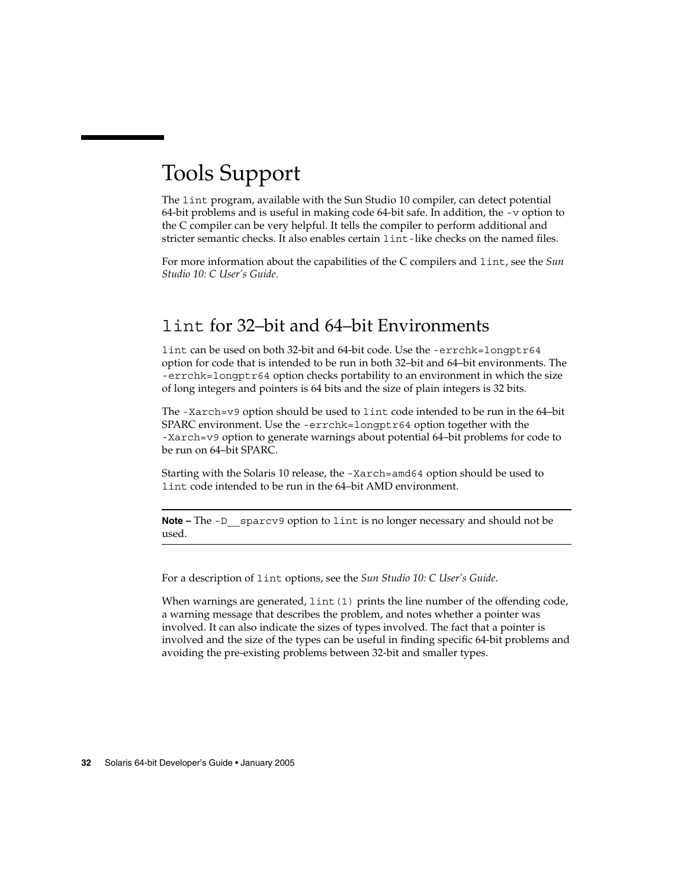### <span id="page-31-0"></span>Tools Support

The lint program, available with the Sun Studio 10 compiler, can detect potential 64-bit problems and is useful in making code 64-bit safe. In addition, the -v option to the C compiler can be very helpful. It tells the compiler to perform additional and stricter semantic checks. It also enables certain lint-like checks on the named files.

For more information about the capabilities of the C compilers and lint, see the *Sun Studio 10: C User's Guide*.

#### lint for 32–bit and 64–bit Environments

lint can be used on both 32-bit and 64-bit code. Use the -errchk=longptr64 option for code that is intended to be run in both 32–bit and 64–bit environments. The -errchk=longptr64 option checks portability to an environment in which the size of long integers and pointers is 64 bits and the size of plain integers is 32 bits.

The -Xarch=v9 option should be used to lint code intended to be run in the 64–bit SPARC environment. Use the -errchk=longptr64 option together with the -Xarch=v9 option to generate warnings about potential 64–bit problems for code to be run on 64–bit SPARC.

Starting with the Solaris 10 release, the -Xarch=amd64 option should be used to lint code intended to be run in the 64–bit AMD environment.

**Note** – The -D\_sparcv9 option to lint is no longer necessary and should not be used.

For a description of lint options, see the *Sun Studio 10: C User's Guide*.

When warnings are generated,  $1$  int  $(1)$  prints the line number of the offending code, a warning message that describes the problem, and notes whether a pointer was involved. It can also indicate the sizes of types involved. The fact that a pointer is involved and the size of the types can be useful in finding specific 64-bit problems and avoiding the pre-existing problems between 32-bit and smaller types.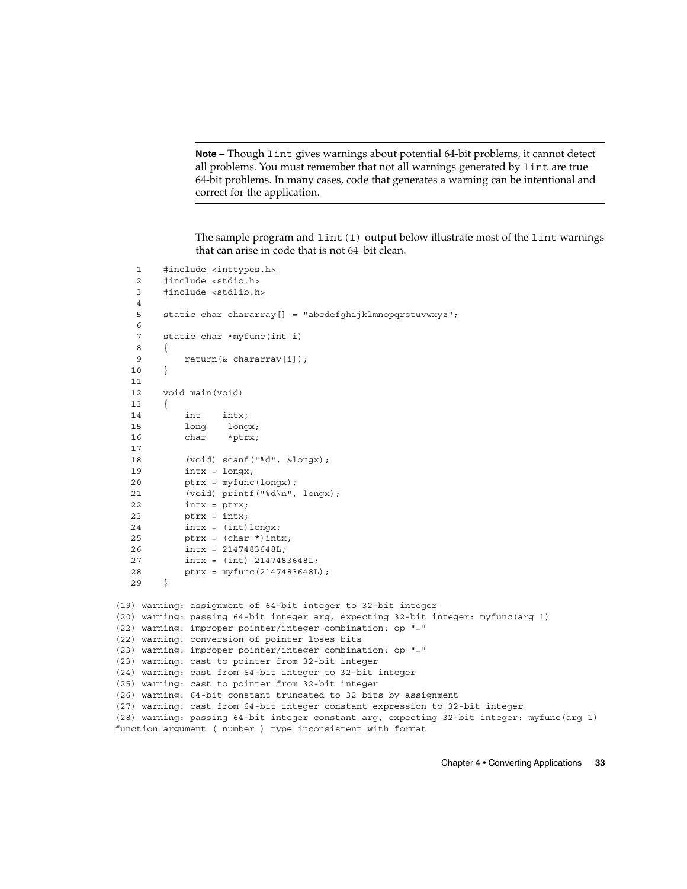**Note –** Though lint gives warnings about potential 64-bit problems, it cannot detect all problems. You must remember that not all warnings generated by lint are true 64-bit problems. In many cases, code that generates a warning can be intentional and correct for the application.

The sample program and  $1$  int  $(1)$  output below illustrate most of the  $1$  int warnings that can arise in code that is not 64–bit clean.

```
1 #include <inttypes.h>
   2 #include <stdio.h>
   3 #include <stdlib.h>
   4
   5 static char chararray[] = "abcdefghijklmnopqrstuvwxyz";
   6
   7 static char *myfunc(int i)
   8 {
   9 return(& chararray[i]);
  10 }
  11
  12 void main(void)
  13 {
  14 int intx;
  15 long longx;
  16 char *ptrx;
  17
  18 (void) scanf("%d", &longx);
  19 intx = longx;
  20 ptrx = myfunc(longx);
  21 (void) printf("%d\n", longx);
  22 intx = ptrx;
  23 ptrx = intx;24 intx = (int)longx;
  25 ptrx = (char *)intx;26 intx = 2147483648L;
  27 intx = (int) 2147483648L;
  28 ptrx = myfunc(2147483648L);
  29 }
(19) warning: assignment of 64-bit integer to 32-bit integer
(20) warning: passing 64-bit integer arg, expecting 32-bit integer: myfunc(arg 1)
(22) warning: improper pointer/integer combination: op "="
(22) warning: conversion of pointer loses bits
(23) warning: improper pointer/integer combination: op "="
(23) warning: cast to pointer from 32-bit integer
(24) warning: cast from 64-bit integer to 32-bit integer
(25) warning: cast to pointer from 32-bit integer
(26) warning: 64-bit constant truncated to 32 bits by assignment
(27) warning: cast from 64-bit integer constant expression to 32-bit integer
(28) warning: passing 64-bit integer constant arg, expecting 32-bit integer: myfunc(arg 1)
function argument ( number ) type inconsistent with format
```
Chapter 4 • Converting Applications **33**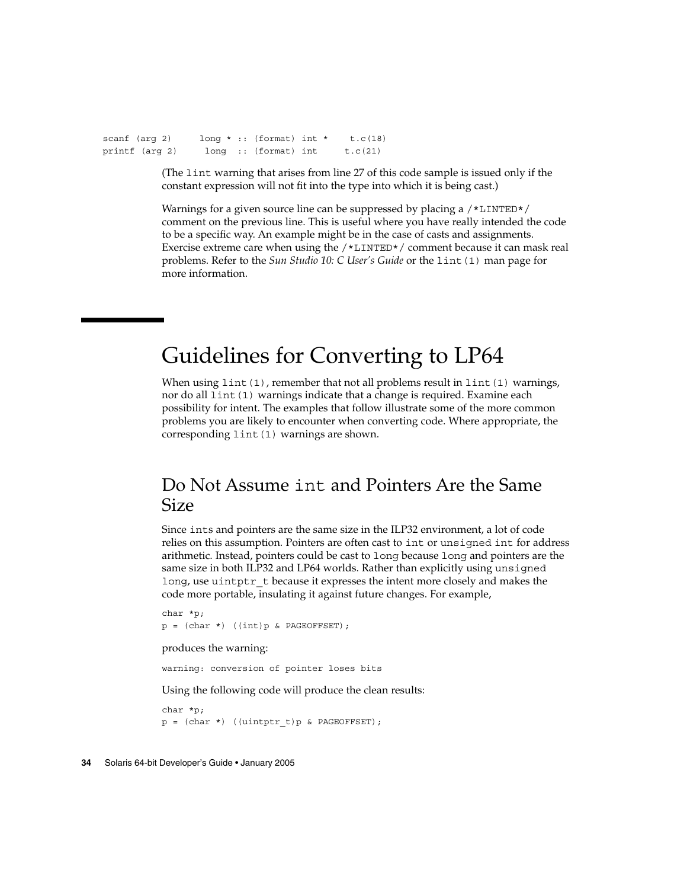<span id="page-33-0"></span>scanf (arg 2) long  $*$  :: (format) int  $*$  t.c(18) printf (arg 2) long :: (format) int  $t.c(21)$ 

> (The lint warning that arises from line 27 of this code sample is issued only if the constant expression will not fit into the type into which it is being cast.)

Warnings for a given source line can be suppressed by placing a  $/*LINTED*/$ comment on the previous line. This is useful where you have really intended the code to be a specific way. An example might be in the case of casts and assignments. Exercise extreme care when using the /\*LINTED\*/ comment because it can mask real problems. Refer to the *Sun Studio 10: C User's Guide* or the lint(1) man page for more information.

### Guidelines for Converting to LP64

When using  $\text{lint}(1)$ , remember that not all problems result in  $\text{lint}(1)$  warnings, nor do all lint (1) warnings indicate that a change is required. Examine each possibility for intent. The examples that follow illustrate some of the more common problems you are likely to encounter when converting code. Where appropriate, the corresponding lint(1) warnings are shown.

#### Do Not Assume int and Pointers Are the Same Size

Since ints and pointers are the same size in the ILP32 environment, a lot of code relies on this assumption. Pointers are often cast to int or unsigned int for address arithmetic. Instead, pointers could be cast to long because long and pointers are the same size in both ILP32 and LP64 worlds. Rather than explicitly using unsigned long, use uintptr t because it expresses the intent more closely and makes the code more portable, insulating it against future changes. For example,

```
char *p;
p = (char *) ((int)p & PAGEOFFSET);
```
produces the warning:

warning: conversion of pointer loses bits

Using the following code will produce the clean results:

```
char *p;
p = (char *) ((uintptr_t)p & PAGEOFFSET);
```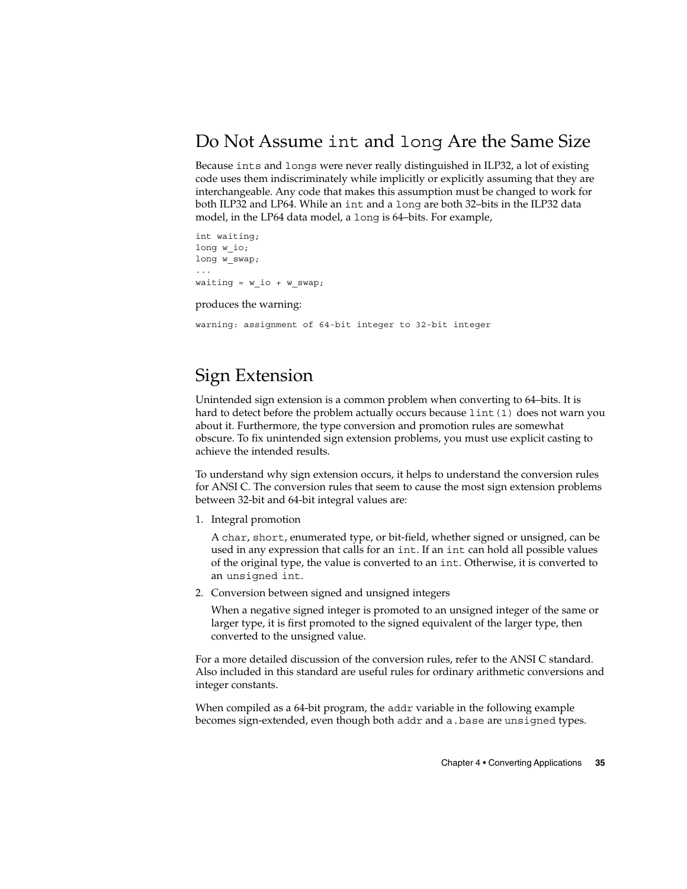#### <span id="page-34-0"></span>Do Not Assume int and long Are the Same Size

Because ints and longs were never really distinguished in ILP32, a lot of existing code uses them indiscriminately while implicitly or explicitly assuming that they are interchangeable. Any code that makes this assumption must be changed to work for both ILP32 and LP64. While an int and a long are both 32–bits in the ILP32 data model, in the LP64 data model, a long is 64–bits. For example,

```
int waiting;
long w_io;
long w_swap;
...
waiting = w\_io + w\_swap;
```
produces the warning:

warning: assignment of 64-bit integer to 32-bit integer

### Sign Extension

Unintended sign extension is a common problem when converting to 64–bits. It is hard to detect before the problem actually occurs because lint (1) does not warn you about it. Furthermore, the type conversion and promotion rules are somewhat obscure. To fix unintended sign extension problems, you must use explicit casting to achieve the intended results.

To understand why sign extension occurs, it helps to understand the conversion rules for ANSI C. The conversion rules that seem to cause the most sign extension problems between 32-bit and 64-bit integral values are:

1. Integral promotion

A char, short, enumerated type, or bit-field, whether signed or unsigned, can be used in any expression that calls for an int. If an int can hold all possible values of the original type, the value is converted to an int. Otherwise, it is converted to an unsigned int.

2. Conversion between signed and unsigned integers

When a negative signed integer is promoted to an unsigned integer of the same or larger type, it is first promoted to the signed equivalent of the larger type, then converted to the unsigned value.

For a more detailed discussion of the conversion rules, refer to the ANSI C standard. Also included in this standard are useful rules for ordinary arithmetic conversions and integer constants.

When compiled as a 64-bit program, the addr variable in the following example becomes sign-extended, even though both addr and a.base are unsigned types.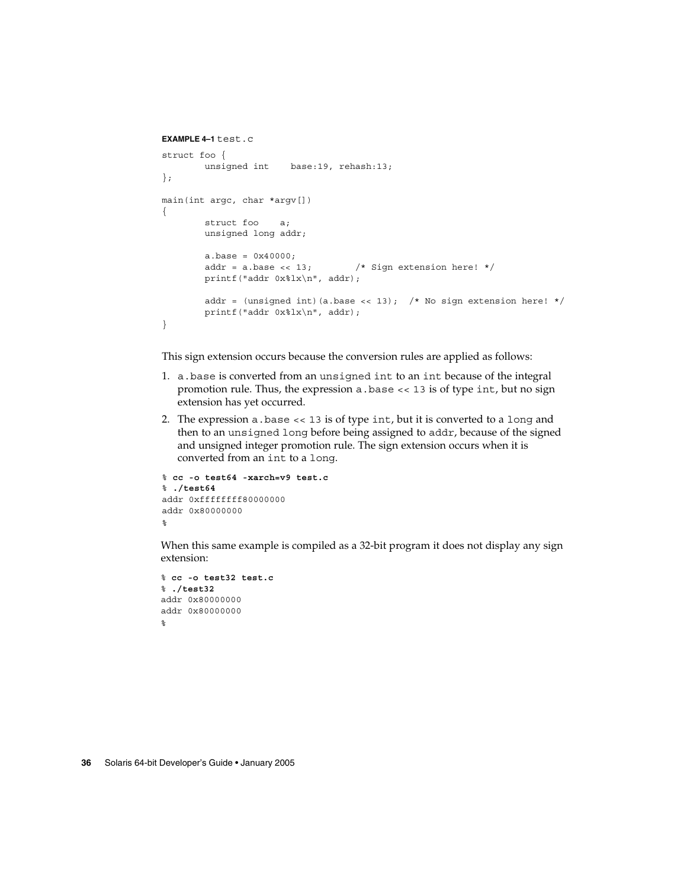```
EXAMPLE 4–1 test.c
struct foo {
       unsigned int base:19, rehash:13;
};
main(int argc, char *argv[])
{
       struct foo a;
       unsigned long addr;
       a.base = 0x40000;addr = a.base << 13; \frac{1}{2} /* Sign extension here! */
       printf("addr 0x%lx\n", addr);
       addr = (unsigned int)(a.base << 13); /* No sign extension here! */
       printf("addr 0x%lx\n", addr);
}
```
This sign extension occurs because the conversion rules are applied as follows:

- 1. a.base is converted from an unsigned int to an int because of the integral promotion rule. Thus, the expression a.base << 13 is of type int, but no sign extension has yet occurred.
- 2. The expression a.base << 13 is of type int, but it is converted to a long and then to an unsigned long before being assigned to addr, because of the signed and unsigned integer promotion rule. The sign extension occurs when it is converted from an int to a long.

```
% cc -o test64 -xarch=v9 test.c
% ./test64
addr 0xffffffff80000000
addr 0x80000000
\mathbf{S}
```
When this same example is compiled as a 32-bit program it does not display any sign extension:

```
% cc -o test32 test.c
% ./test32
addr 0x80000000
addr 0x80000000
%
```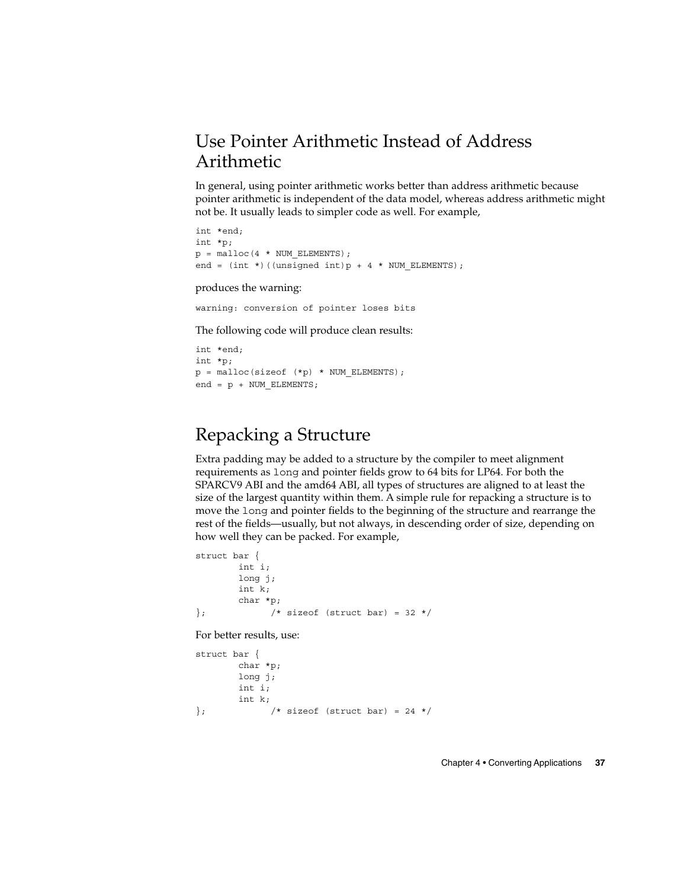## Use Pointer Arithmetic Instead of Address Arithmetic

In general, using pointer arithmetic works better than address arithmetic because pointer arithmetic is independent of the data model, whereas address arithmetic might not be. It usually leads to simpler code as well. For example,

```
int *end;
int *p;
p = \text{malloc}(4 \times \text{NUM\_ELEMENTS});end = (int *)((unsigned int)p + 4 * NUM_ELEMENTS);
```
#### produces the warning:

warning: conversion of pointer loses bits

The following code will produce clean results:

```
int *end;
int *p;
p = malloc(sizeof (*p) * NUM ELEMENTS);
end = p + NUM ELEMENTS;
```
## Repacking a Structure

Extra padding may be added to a structure by the compiler to meet alignment requirements as long and pointer fields grow to 64 bits for LP64. For both the SPARCV9 ABI and the amd64 ABI, all types of structures are aligned to at least the size of the largest quantity within them. A simple rule for repacking a structure is to move the long and pointer fields to the beginning of the structure and rearrange the rest of the fields—usually, but not always, in descending order of size, depending on how well they can be packed. For example,

```
struct bar {
      int i;
      long j;
      int k;
      char *p;
}; /* sizeof (struct bar) = 32 */
```
For better results, use:

```
struct bar {
      char *p;
       long j;
       int i;
       int k;
\}; /* sizeof (struct bar) = 24 */
```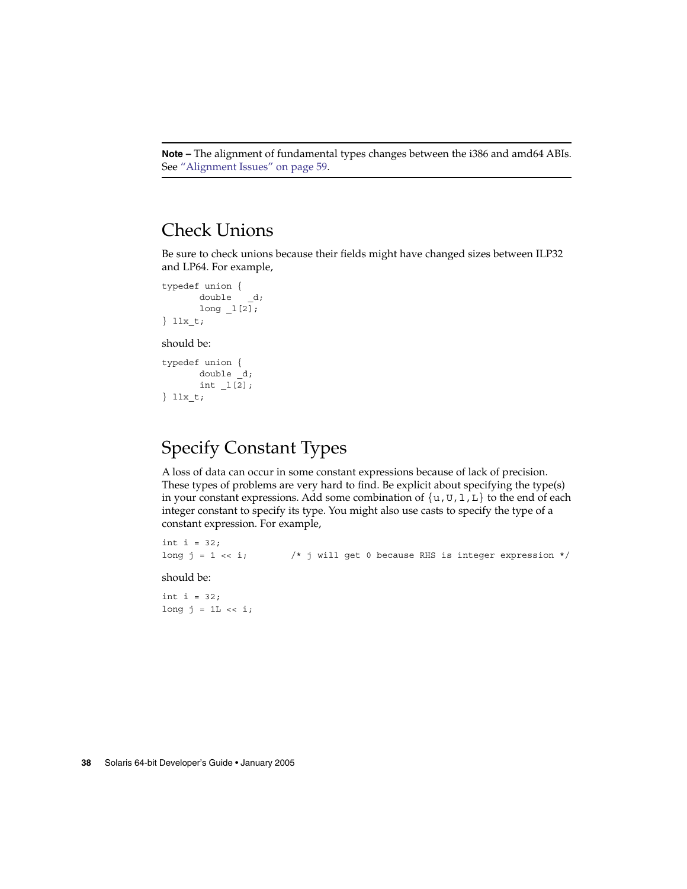**Note –** The alignment of fundamental types changes between the i386 and amd64 ABIs. See ["Alignment Issues"](#page-58-0) on page 59.

## Check Unions

Be sure to check unions because their fields might have changed sizes between ILP32 and LP64. For example,

```
typedef union {
       double _d;
       long \lfloor 1[2];
} llx_t;
```
should be:

```
typedef union {
      double d;
       int _l[2];
} llx_t;
```
# Specify Constant Types

A loss of data can occur in some constant expressions because of lack of precision. These types of problems are very hard to find. Be explicit about specifying the type(s) in your constant expressions. Add some combination of  $\{u, U, L, L\}$  to the end of each integer constant to specify its type. You might also use casts to specify the type of a constant expression. For example,

int i =  $32;$ long  $j = 1 \ll i$ ;  $/* j$  will get 0 because RHS is integer expression  $*/$ 

should be:

int  $i = 32$ ; long  $j = 1L \ll i;$ 

**38** Solaris 64-bit Developer's Guide • January 2005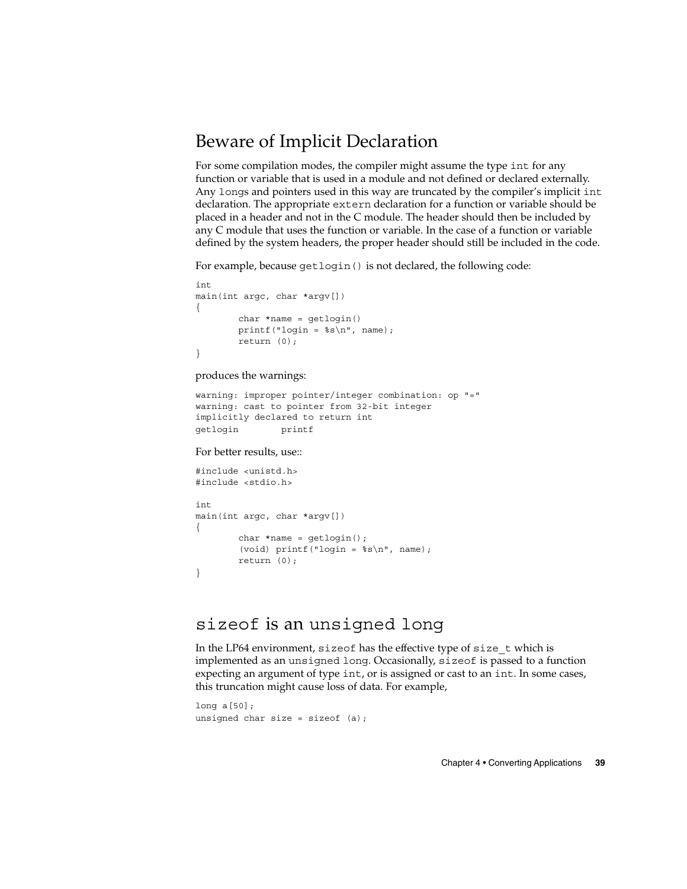## Beware of Implicit Declaration

For some compilation modes, the compiler might assume the type int for any function or variable that is used in a module and not defined or declared externally. Any longs and pointers used in this way are truncated by the compiler's implicit int declaration. The appropriate extern declaration for a function or variable should be placed in a header and not in the C module. The header should then be included by any C module that uses the function or variable. In the case of a function or variable defined by the system headers, the proper header should still be included in the code.

For example, because getlogin() is not declared, the following code:

```
int
main(int argc, char *argv[])
{
        char *name = getlogin()
        printf("login = s\n\n\in", name);
        return (0);
}
```
#### produces the warnings:

```
warning: improper pointer/integer combination: op "="
warning: cast to pointer from 32-bit integer
implicitly declared to return int
getlogin printf
```
#### For better results, use::

```
#include <unistd.h>
#include <stdio.h>
int
main(int argc, char *argv[])
{
         char *name = getlogin();
         (void) print(f'login = <math>\n\leq \n\leq n</math>, name);return (0);
}
```
### sizeof is an unsigned long

In the LP64 environment, sizeof has the effective type of size\_t which is implemented as an unsigned long. Occasionally, sizeof is passed to a function expecting an argument of type int, or is assigned or cast to an int. In some cases, this truncation might cause loss of data. For example,

```
long a[50];
unsigned char size = sizeof (a);
```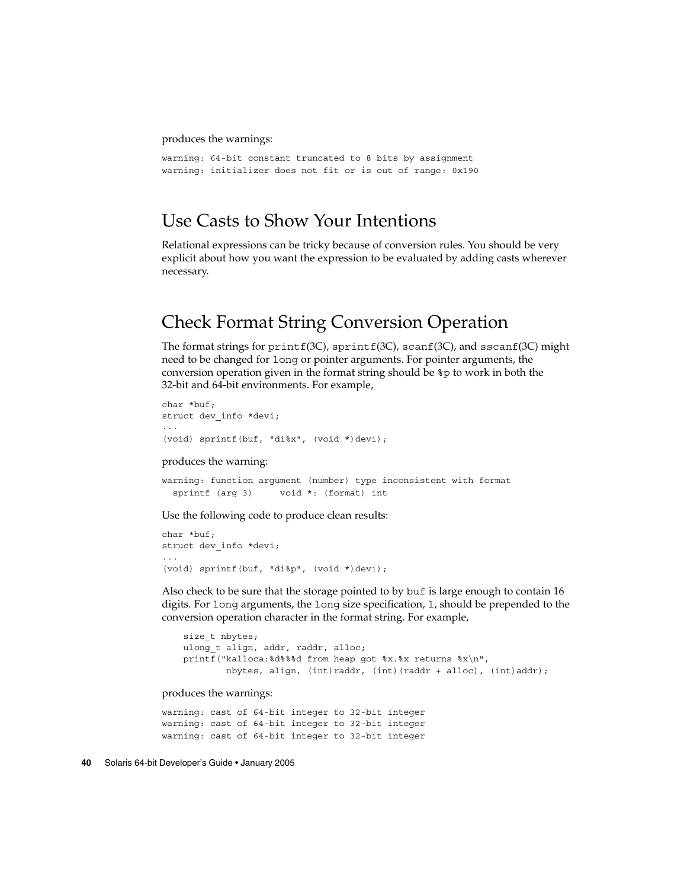produces the warnings:

```
warning: 64-bit constant truncated to 8 bits by assignment
warning: initializer does not fit or is out of range: 0x190
```
### Use Casts to Show Your Intentions

Relational expressions can be tricky because of conversion rules. You should be very explicit about how you want the expression to be evaluated by adding casts wherever necessary.

## Check Format String Conversion Operation

The format strings for  $printf(3C)$ ,  $synintf(3C)$ ,  $scanf(3C)$ , and  $sscanf(3C)$  might need to be changed for long or pointer arguments. For pointer arguments, the conversion operation given in the format string should be %p to work in both the 32-bit and 64-bit environments. For example,

```
char *buf;
struct dev info *devi;
...
(void) sprintf(buf, "di%x", (void *)devi);
```
#### produces the warning:

warning: function argument (number) type inconsistent with format sprintf (arg 3) void \*: (format) int

Use the following code to produce clean results:

char \*buf; struct dev info \*devi; ... (void) sprintf(buf, "di%p", (void \*)devi);

Also check to be sure that the storage pointed to by buf is large enough to contain 16 digits. For long arguments, the long size specification, l, should be prepended to the conversion operation character in the format string. For example,

```
size t nbytes;
ulong_t align, addr, raddr, alloc;
printf("kalloca:%d%%%d from heap got %x.%x returns %x\n",
       nbytes, align, (int)raddr, (int)(raddr + alloc), (int)addr);
```
produces the warnings:

warning: cast of 64-bit integer to 32-bit integer warning: cast of 64-bit integer to 32-bit integer warning: cast of 64-bit integer to 32-bit integer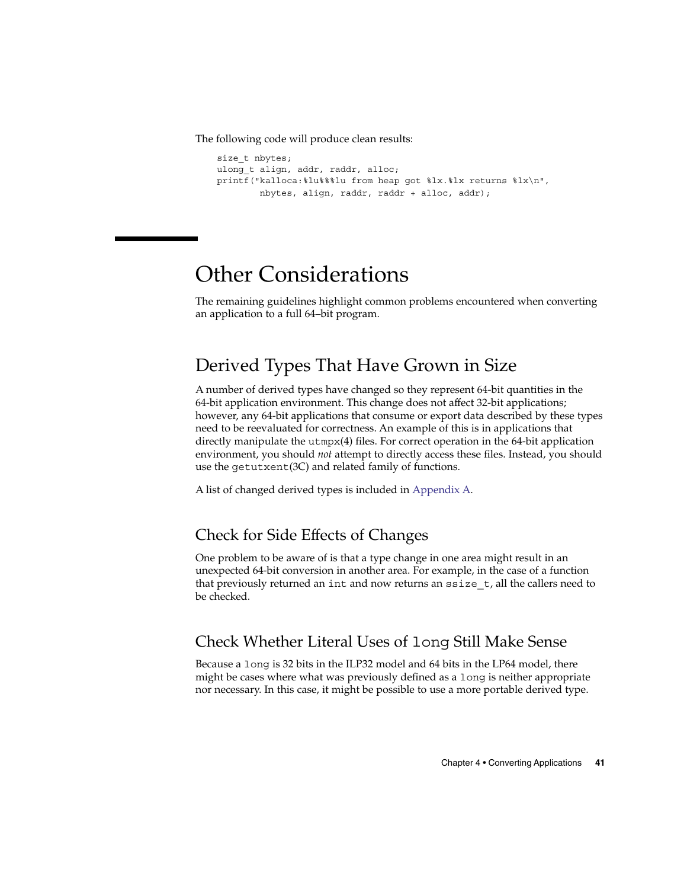The following code will produce clean results:

```
size t nbytes;
ulong t align, addr, raddr, alloc;
printf("kalloca:%lu%%%lu from heap got %lx.%lx returns %lx\n",
        nbytes, align, raddr, raddr + alloc, addr);
```
# Other Considerations

The remaining guidelines highlight common problems encountered when converting an application to a full 64–bit program.

## Derived Types That Have Grown in Size

A number of derived types have changed so they represent 64-bit quantities in the 64-bit application environment. This change does not affect 32-bit applications; however, any 64-bit applications that consume or export data described by these types need to be reevaluated for correctness. An example of this is in applications that directly manipulate the utmpx(4) files. For correct operation in the 64-bit application environment, you should *not* attempt to directly access these files. Instead, you should use the getutxent(3C) and related family of functions.

A list of changed derived types is included in [Appendix A.](#page-66-0)

### Check for Side Effects of Changes

One problem to be aware of is that a type change in one area might result in an unexpected 64-bit conversion in another area. For example, in the case of a function that previously returned an int and now returns an ssize\_t, all the callers need to be checked.

### Check Whether Literal Uses of long Still Make Sense

Because a long is 32 bits in the ILP32 model and 64 bits in the LP64 model, there might be cases where what was previously defined as a long is neither appropriate nor necessary. In this case, it might be possible to use a more portable derived type.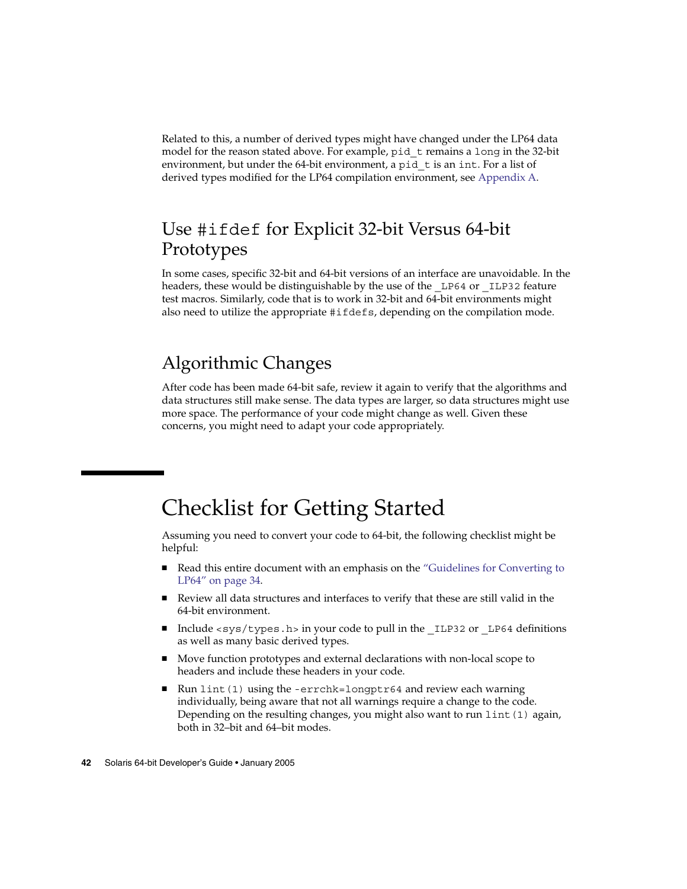Related to this, a number of derived types might have changed under the LP64 data model for the reason stated above. For example, pid t remains a long in the 32-bit environment, but under the 64-bit environment, a pid  $t$  is an int. For a list of derived types modified for the LP64 compilation environment, see [Appendix A.](#page-66-0)

## Use #ifdef for Explicit 32-bit Versus 64-bit Prototypes

In some cases, specific 32-bit and 64-bit versions of an interface are unavoidable. In the headers, these would be distinguishable by the use of the LP64 or LLP32 feature test macros. Similarly, code that is to work in 32-bit and 64-bit environments might also need to utilize the appropriate #ifdefs, depending on the compilation mode.

## Algorithmic Changes

After code has been made 64-bit safe, review it again to verify that the algorithms and data structures still make sense. The data types are larger, so data structures might use more space. The performance of your code might change as well. Given these concerns, you might need to adapt your code appropriately.

# Checklist for Getting Started

Assuming you need to convert your code to 64-bit, the following checklist might be helpful:

- Read this entire document with an emphasis on the ["Guidelines for Converting to](#page-33-0) LP64" [on page 34.](#page-33-0)
- Review all data structures and interfaces to verify that these are still valid in the 64-bit environment.
- Include <sys/types.h> in your code to pull in the \_ILP32 or \_LP64 definitions as well as many basic derived types.
- Move function prototypes and external declarations with non-local scope to headers and include these headers in your code.
- Run lint(1) using the -errchk=longptr64 and review each warning individually, being aware that not all warnings require a change to the code. Depending on the resulting changes, you might also want to run lint (1) again, both in 32–bit and 64–bit modes.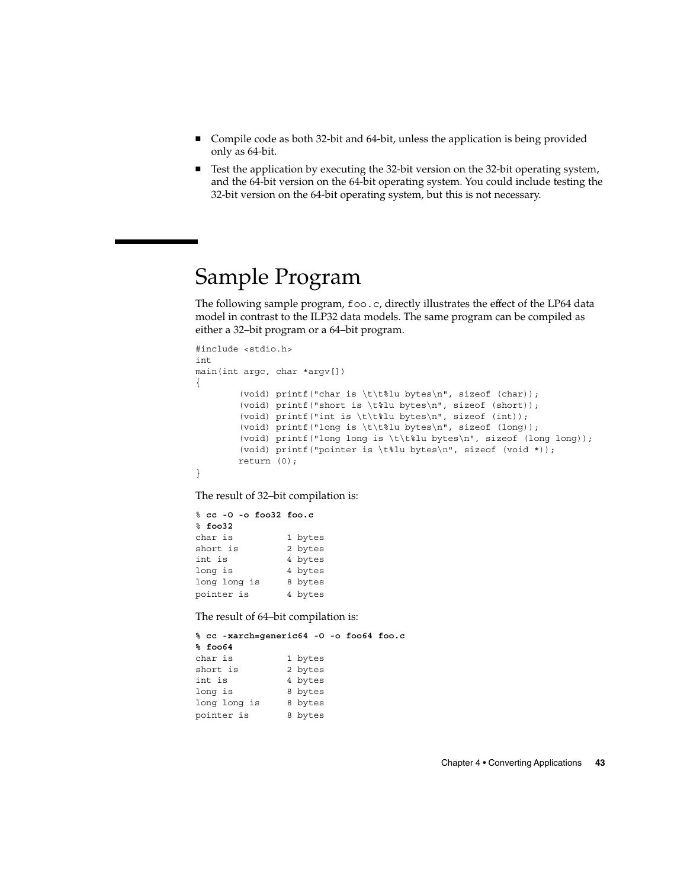- Compile code as both 32-bit and 64-bit, unless the application is being provided only as 64-bit.
- Test the application by executing the 32-bit version on the 32-bit operating system, and the 64-bit version on the 64-bit operating system. You could include testing the 32-bit version on the 64-bit operating system, but this is not necessary.

# Sample Program

The following sample program, foo.c, directly illustrates the effect of the LP64 data model in contrast to the ILP32 data models. The same program can be compiled as either a 32–bit program or a 64–bit program.

```
#include <stdio.h>
int
main(int argc, char *argv[])
{
        (void) printf("char is \t\t%lu bytes\n", sizeof (char));
        (void) printf("short is \t%lu bytes\n", sizeof (short));
        (void) printf("int is \t\t%lu bytes\n", sizeof (int));
        (void) printf("long is \t\t%lu bytes\n", sizeof (long));
        (void) printf("long long is \t\t%lu bytes\n", sizeof (long long));
        (void) printf("pointer is \t%lu bytes\n", sizeof (void *));
        return (0);
}
```
The result of 32–bit compilation is:

| % cc -0 -o foo32 foo.c |         |  |  |  |  |
|------------------------|---------|--|--|--|--|
| % foo32                |         |  |  |  |  |
| char is                | 1 bytes |  |  |  |  |
| short is               | 2 bytes |  |  |  |  |
| 4 bytes<br>int is      |         |  |  |  |  |
| long is                | 4 bytes |  |  |  |  |
| long long is           | 8 bytes |  |  |  |  |
| pointer is<br>4 bytes  |         |  |  |  |  |

The result of 64–bit compilation is:

```
% cc -xarch=generic64 -O -o foo64 foo.c
% foo64
char is 1 bytes
short is 2 bytes
int is 4 bytes
long is 8 bytes
long long is 8 bytes
pointer is 8 bytes
```
Chapter 4 • Converting Applications **43**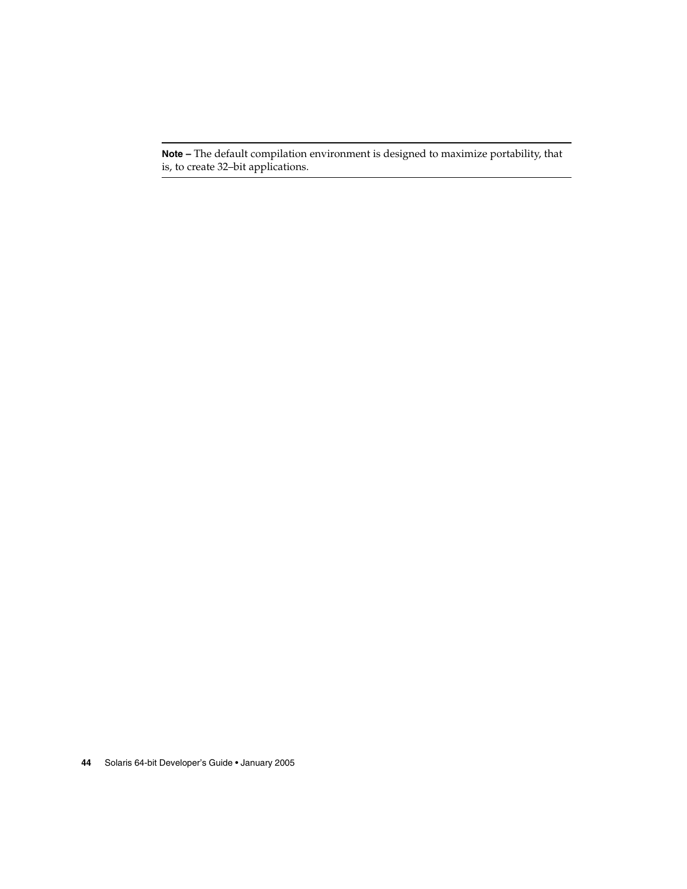**Note –** The default compilation environment is designed to maximize portability, that is, to create 32–bit applications.

**44** Solaris 64-bit Developer's Guide • January 2005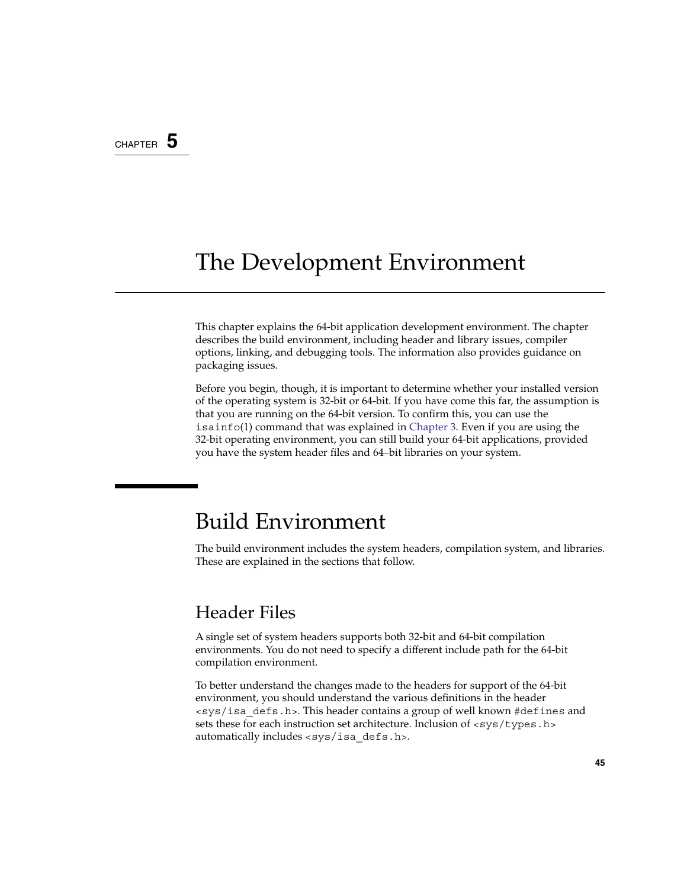## CHAPTER **5**

# The Development Environment

This chapter explains the 64-bit application development environment. The chapter describes the build environment, including header and library issues, compiler options, linking, and debugging tools. The information also provides guidance on packaging issues.

Before you begin, though, it is important to determine whether your installed version of the operating system is 32-bit or 64-bit. If you have come this far, the assumption is that you are running on the 64-bit version. To confirm this, you can use the isainfo(1) command that was explained in [Chapter 3.](#page-20-0) Even if you are using the 32-bit operating environment, you can still build your 64-bit applications, provided you have the system header files and 64–bit libraries on your system.

# Build Environment

The build environment includes the system headers, compilation system, and libraries. These are explained in the sections that follow.

### Header Files

A single set of system headers supports both 32-bit and 64-bit compilation environments. You do not need to specify a different include path for the 64-bit compilation environment.

To better understand the changes made to the headers for support of the 64-bit environment, you should understand the various definitions in the header <sys/isa\_defs.h>. This header contains a group of well known #defines and sets these for each instruction set architecture. Inclusion of <sys/types.h> automatically includes <sys/isa\_defs.h>.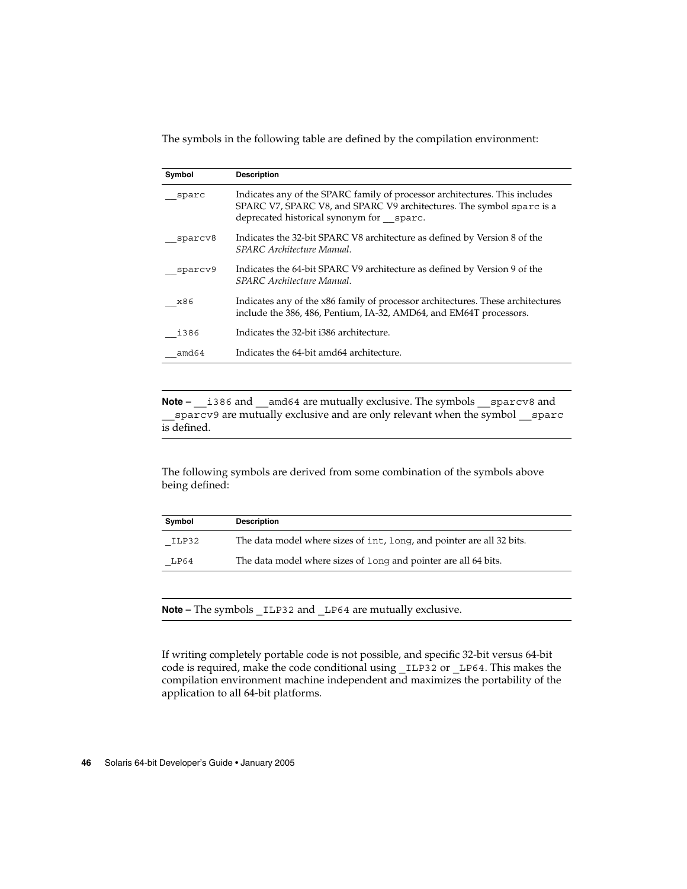The symbols in the following table are defined by the compilation environment:

| Symbol  | <b>Description</b>                                                                                                                                                                               |
|---------|--------------------------------------------------------------------------------------------------------------------------------------------------------------------------------------------------|
| sparc   | Indicates any of the SPARC family of processor architectures. This includes<br>SPARC V7, SPARC V8, and SPARC V9 architectures. The symbol sparc is a<br>deprecated historical synonym for sparc. |
| sparcv8 | Indicates the 32-bit SPARC V8 architecture as defined by Version 8 of the<br><b>SPARC</b> Architecture Manual.                                                                                   |
| sparcv9 | Indicates the 64-bit SPARC V9 architecture as defined by Version 9 of the<br>SPARC Architecture Manual.                                                                                          |
| x86     | Indicates any of the x86 family of processor architectures. These architectures<br>include the 386, 486, Pentium, IA-32, AMD64, and EM64T processors.                                            |
| i386    | Indicates the 32-bit i386 architecture.                                                                                                                                                          |
| amd64   | Indicates the 64-bit amd64 architecture.                                                                                                                                                         |
|         |                                                                                                                                                                                                  |

**Note** – i386 and amd64 are mutually exclusive. The symbols sparcv8 and \_\_sparcv9 are mutually exclusive and are only relevant when the symbol \_\_sparc is defined.

The following symbols are derived from some combination of the symbols above being defined:

| Symbol | <b>Description</b>                                                    |
|--------|-----------------------------------------------------------------------|
| ILP32  | The data model where sizes of int, long, and pointer are all 32 bits. |
| LP64   | The data model where sizes of long and pointer are all 64 bits.       |
|        |                                                                       |

**Note –** The symbols \_ILP32 and \_LP64 are mutually exclusive.

If writing completely portable code is not possible, and specific 32-bit versus 64-bit code is required, make the code conditional using \_ILP32 or \_LP64. This makes the compilation environment machine independent and maximizes the portability of the application to all 64-bit platforms.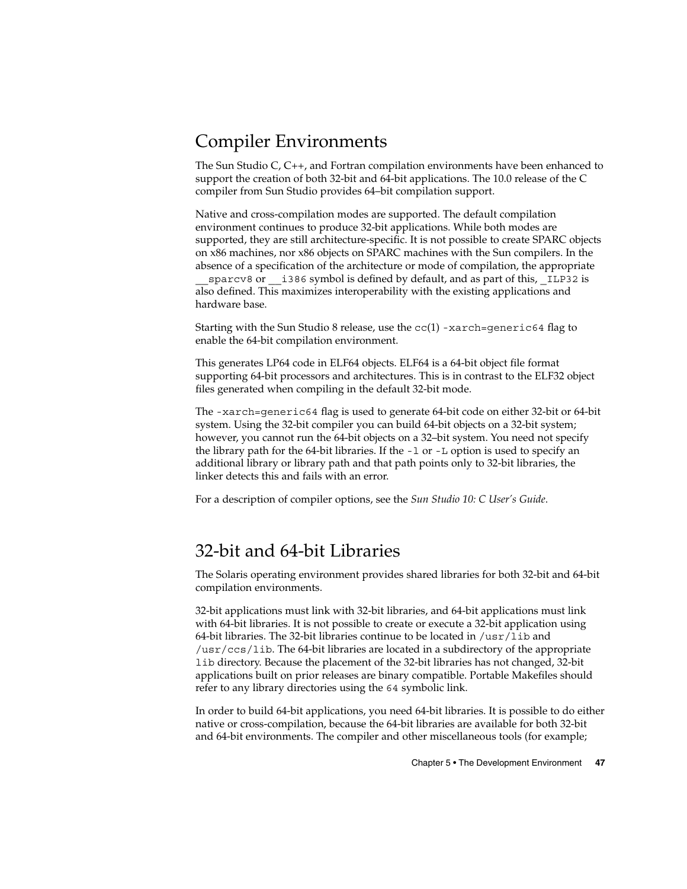## <span id="page-46-0"></span>Compiler Environments

The Sun Studio C, C++, and Fortran compilation environments have been enhanced to support the creation of both 32-bit and 64-bit applications. The 10.0 release of the C compiler from Sun Studio provides 64–bit compilation support.

Native and cross-compilation modes are supported. The default compilation environment continues to produce 32-bit applications. While both modes are supported, they are still architecture-specific. It is not possible to create SPARC objects on x86 machines, nor x86 objects on SPARC machines with the Sun compilers. In the absence of a specification of the architecture or mode of compilation, the appropriate sparcv8 or i386 symbol is defined by default, and as part of this, ILP32 is also defined. This maximizes interoperability with the existing applications and hardware base.

Starting with the Sun Studio 8 release, use the  $cc(1)$  -xarch=generic64 flag to enable the 64-bit compilation environment.

This generates LP64 code in ELF64 objects. ELF64 is a 64-bit object file format supporting 64-bit processors and architectures. This is in contrast to the ELF32 object files generated when compiling in the default 32-bit mode.

The -xarch=generic64 flag is used to generate 64-bit code on either 32-bit or 64-bit system. Using the 32-bit compiler you can build 64-bit objects on a 32-bit system; however, you cannot run the 64-bit objects on a 32–bit system. You need not specify the library path for the 64-bit libraries. If the -1 or -L option is used to specify an additional library or library path and that path points only to 32-bit libraries, the linker detects this and fails with an error.

For a description of compiler options, see the *Sun Studio 10: C User's Guide*.

### 32-bit and 64-bit Libraries

The Solaris operating environment provides shared libraries for both 32-bit and 64-bit compilation environments.

32-bit applications must link with 32-bit libraries, and 64-bit applications must link with 64-bit libraries. It is not possible to create or execute a 32-bit application using 64-bit libraries. The 32-bit libraries continue to be located in /usr/lib and /usr/ccs/lib. The 64-bit libraries are located in a subdirectory of the appropriate lib directory. Because the placement of the 32-bit libraries has not changed, 32-bit applications built on prior releases are binary compatible. Portable Makefiles should refer to any library directories using the 64 symbolic link.

In order to build 64-bit applications, you need 64-bit libraries. It is possible to do either native or cross-compilation, because the 64-bit libraries are available for both 32-bit and 64-bit environments. The compiler and other miscellaneous tools (for example;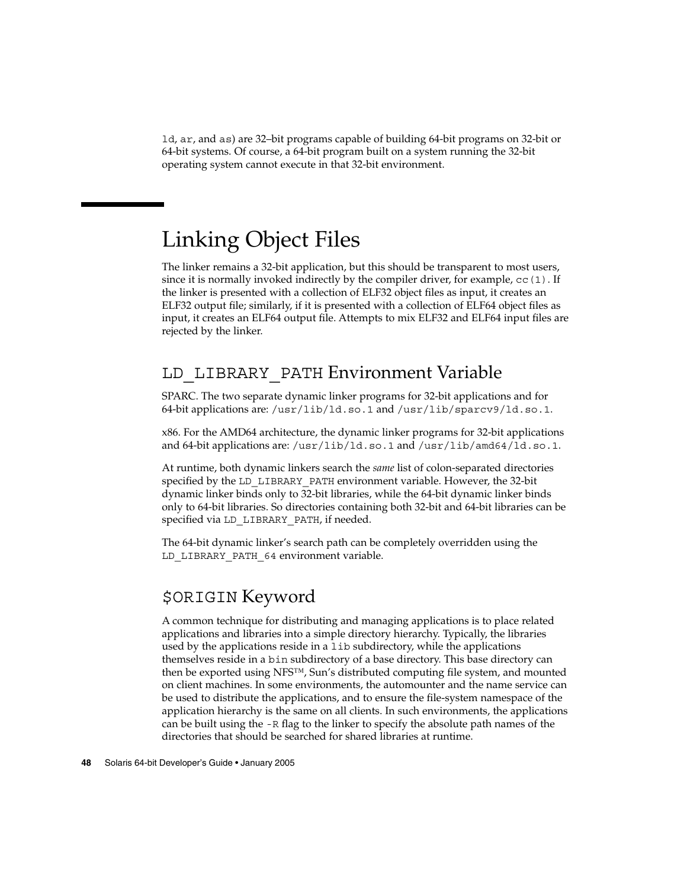ld, ar, and as) are 32–bit programs capable of building 64-bit programs on 32-bit or 64-bit systems. Of course, a 64-bit program built on a system running the 32-bit operating system cannot execute in that 32-bit environment.

# Linking Object Files

The linker remains a 32-bit application, but this should be transparent to most users, since it is normally invoked indirectly by the compiler driver, for example,  $cc(1)$ . If the linker is presented with a collection of ELF32 object files as input, it creates an ELF32 output file; similarly, if it is presented with a collection of ELF64 object files as input, it creates an ELF64 output file. Attempts to mix ELF32 and ELF64 input files are rejected by the linker.

### LD\_LIBRARY\_PATH Environment Variable

SPARC. The two separate dynamic linker programs for 32-bit applications and for 64-bit applications are: /usr/lib/ld.so.1 and /usr/lib/sparcv9/ld.so.1.

x86. For the AMD64 architecture, the dynamic linker programs for 32-bit applications and 64-bit applications are: /usr/lib/ld.so.1 and /usr/lib/amd64/ld.so.1.

At runtime, both dynamic linkers search the *same* list of colon-separated directories specified by the LD\_LIBRARY\_PATH environment variable. However, the 32-bit dynamic linker binds only to 32-bit libraries, while the 64-bit dynamic linker binds only to 64-bit libraries. So directories containing both 32-bit and 64-bit libraries can be specified via LD\_LIBRARY\_PATH, if needed.

The 64-bit dynamic linker's search path can be completely overridden using the LD\_LIBRARY\_PATH\_64 environment variable.

### \$ORIGIN Keyword

A common technique for distributing and managing applications is to place related applications and libraries into a simple directory hierarchy. Typically, the libraries used by the applications reside in a lib subdirectory, while the applications themselves reside in a bin subdirectory of a base directory. This base directory can then be exported using NFS™, Sun's distributed computing file system, and mounted on client machines. In some environments, the automounter and the name service can be used to distribute the applications, and to ensure the file-system namespace of the application hierarchy is the same on all clients. In such environments, the applications can be built using the -R flag to the linker to specify the absolute path names of the directories that should be searched for shared libraries at runtime.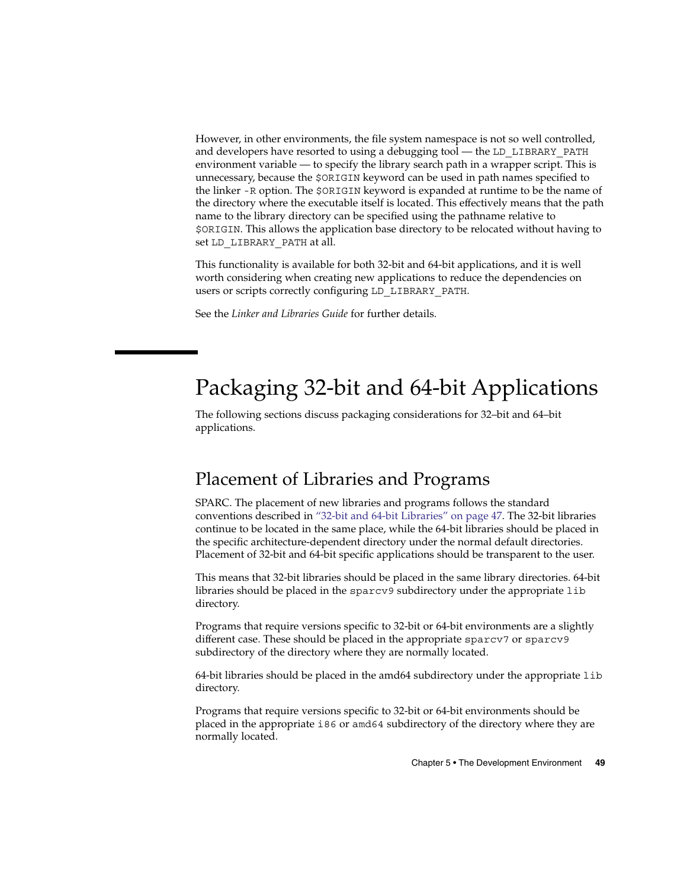<span id="page-48-0"></span>However, in other environments, the file system namespace is not so well controlled, and developers have resorted to using a debugging tool — the LD\_LIBRARY\_PATH environment variable — to specify the library search path in a wrapper script. This is unnecessary, because the \$ORIGIN keyword can be used in path names specified to the linker -R option. The \$ORIGIN keyword is expanded at runtime to be the name of the directory where the executable itself is located. This effectively means that the path name to the library directory can be specified using the pathname relative to \$ORIGIN. This allows the application base directory to be relocated without having to set LD\_LIBRARY\_PATH at all.

This functionality is available for both 32-bit and 64-bit applications, and it is well worth considering when creating new applications to reduce the dependencies on users or scripts correctly configuring LD\_LIBRARY\_PATH.

See the *Linker and Libraries Guide* for further details.

# Packaging 32-bit and 64-bit Applications

The following sections discuss packaging considerations for 32–bit and 64–bit applications.

### Placement of Libraries and Programs

SPARC. The placement of new libraries and programs follows the standard conventions described in ["32-bit and 64-bit Libraries"](#page-46-0) on page 47. The 32-bit libraries continue to be located in the same place, while the 64-bit libraries should be placed in the specific architecture-dependent directory under the normal default directories. Placement of 32-bit and 64-bit specific applications should be transparent to the user.

This means that 32-bit libraries should be placed in the same library directories. 64-bit libraries should be placed in the sparcv9 subdirectory under the appropriate lib directory.

Programs that require versions specific to 32-bit or 64-bit environments are a slightly different case. These should be placed in the appropriate sparcv7 or sparcv9 subdirectory of the directory where they are normally located.

64-bit libraries should be placed in the amd64 subdirectory under the appropriate lib directory.

Programs that require versions specific to 32-bit or 64-bit environments should be placed in the appropriate i86 or amd64 subdirectory of the directory where they are normally located.

Chapter 5 • The Development Environment **49**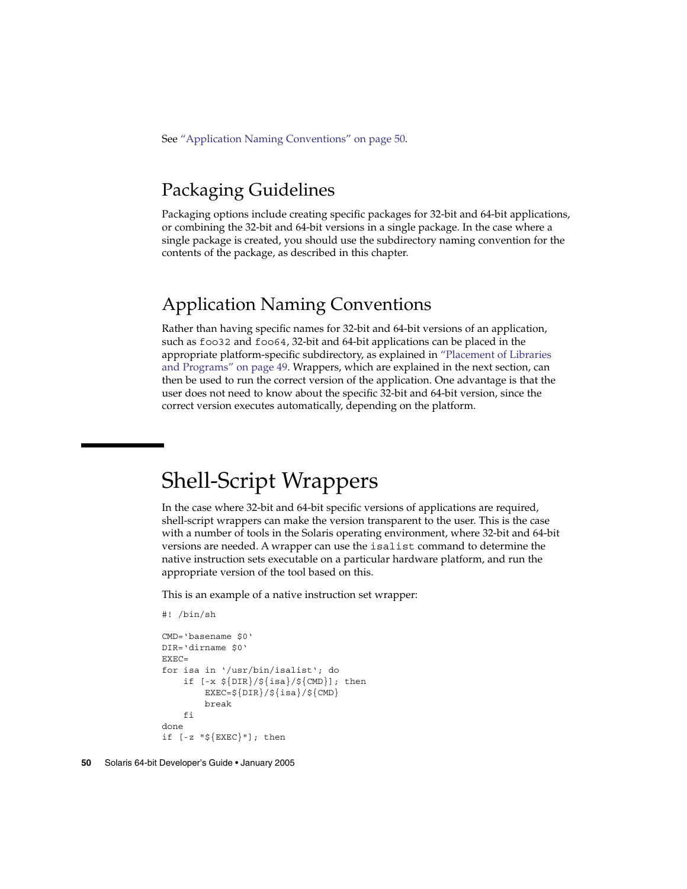See "Application Naming Conventions" on page 50.

## Packaging Guidelines

Packaging options include creating specific packages for 32-bit and 64-bit applications, or combining the 32-bit and 64-bit versions in a single package. In the case where a single package is created, you should use the subdirectory naming convention for the contents of the package, as described in this chapter.

## Application Naming Conventions

Rather than having specific names for 32-bit and 64-bit versions of an application, such as foo32 and foo64, 32-bit and 64-bit applications can be placed in the appropriate platform-specific subdirectory, as explained in ["Placement of Libraries](#page-48-0) [and Programs"](#page-48-0) on page 49. Wrappers, which are explained in the next section, can then be used to run the correct version of the application. One advantage is that the user does not need to know about the specific 32-bit and 64-bit version, since the correct version executes automatically, depending on the platform.

# Shell-Script Wrappers

In the case where 32-bit and 64-bit specific versions of applications are required, shell-script wrappers can make the version transparent to the user. This is the case with a number of tools in the Solaris operating environment, where 32-bit and 64-bit versions are needed. A wrapper can use the isalist command to determine the native instruction sets executable on a particular hardware platform, and run the appropriate version of the tool based on this.

This is an example of a native instruction set wrapper:

```
#! /bin/sh
```

```
CMD='basename $0'
DIR='dirname $0'
EXEC=for isa in '/usr/bin/isalist'; do
     if [-x \; \xi\{\text{DIR}\}/\xi\{\text{isa}\}/\xi\{\text{CMD}\}]; then
         EXEC = $DIR}/$; {isa}/$break
     fi
done
if [-z "\S{EXEC}"]; then
```
**50** Solaris 64-bit Developer's Guide • January 2005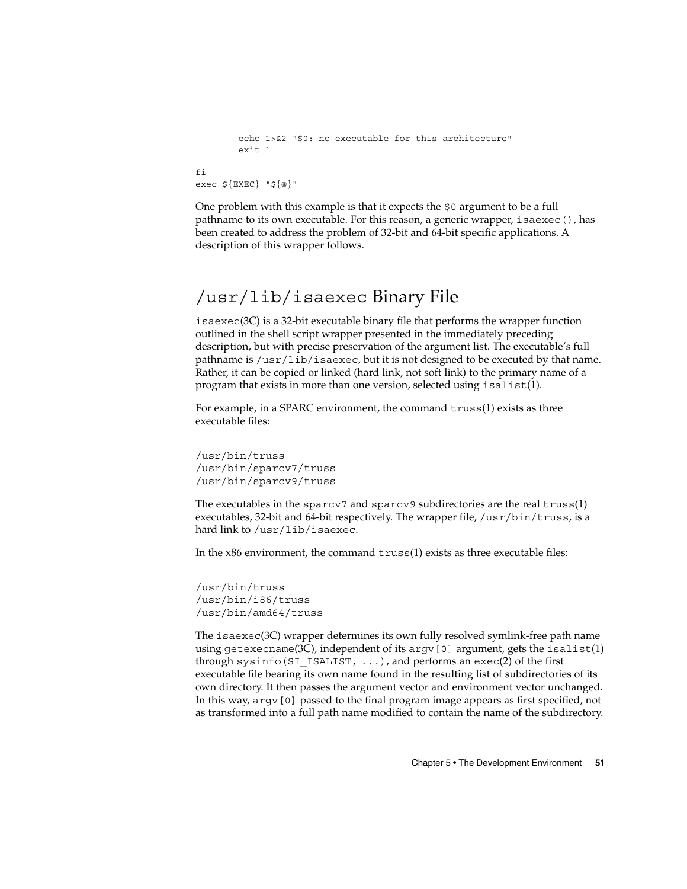```
echo 1>&2 "$0: no executable for this architecture"
        exit 1
fi
exec ${EXEC} "${@}"
```
One problem with this example is that it expects the \$0 argument to be a full pathname to its own executable. For this reason, a generic wrapper, isaexec(), has been created to address the problem of 32-bit and 64-bit specific applications. A description of this wrapper follows.

### /usr/lib/isaexec Binary File

isaexec(3C) is a 32-bit executable binary file that performs the wrapper function outlined in the shell script wrapper presented in the immediately preceding description, but with precise preservation of the argument list. The executable's full pathname is /usr/lib/isaexec, but it is not designed to be executed by that name. Rather, it can be copied or linked (hard link, not soft link) to the primary name of a program that exists in more than one version, selected using isalist(1).

For example, in a SPARC environment, the command truss(1) exists as three executable files:

/usr/bin/truss /usr/bin/sparcv7/truss /usr/bin/sparcv9/truss

The executables in the sparcv7 and sparcv9 subdirectories are the real  $trans(1)$ executables, 32-bit and 64-bit respectively. The wrapper file, /usr/bin/truss, is a hard link to /usr/lib/isaexec.

In the  $x86$  environment, the command  $\text{truss}(1)$  exists as three executable files:

/usr/bin/truss /usr/bin/i86/truss /usr/bin/amd64/truss

The isaexec(3C) wrapper determines its own fully resolved symlink-free path name using getexecname(3C), independent of its argv $[0]$  argument, gets the isalist(1) through sysinfo(SI\_ISALIST, ...), and performs an exec(2) of the first executable file bearing its own name found in the resulting list of subdirectories of its own directory. It then passes the argument vector and environment vector unchanged. In this way, argv [0] passed to the final program image appears as first specified, not as transformed into a full path name modified to contain the name of the subdirectory.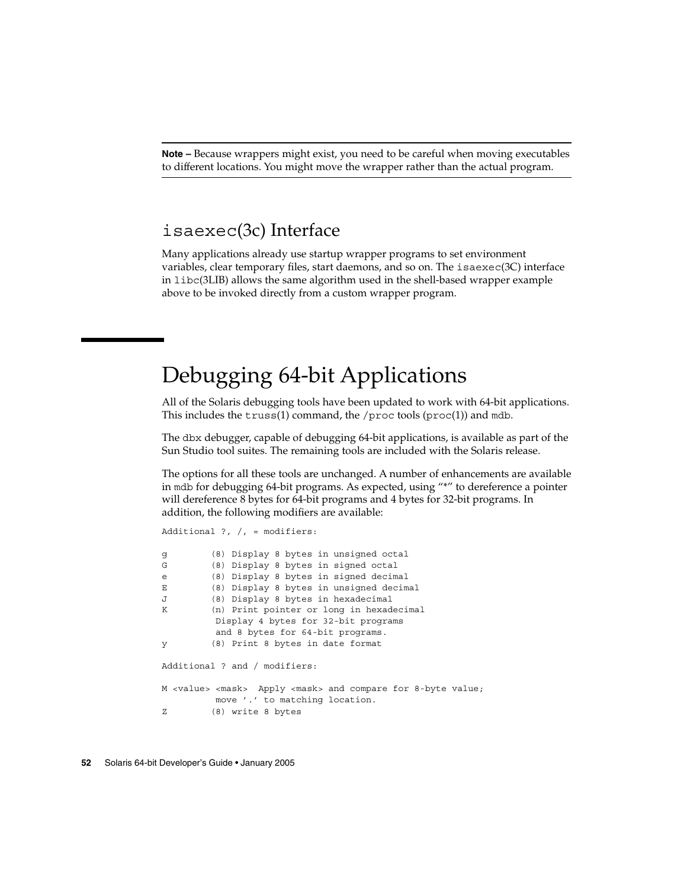**Note –** Because wrappers might exist, you need to be careful when moving executables to different locations. You might move the wrapper rather than the actual program.

## isaexec(3c) Interface

Many applications already use startup wrapper programs to set environment variables, clear temporary files, start daemons, and so on. The isaexec(3C) interface in libc(3LIB) allows the same algorithm used in the shell-based wrapper example above to be invoked directly from a custom wrapper program.

# Debugging 64-bit Applications

All of the Solaris debugging tools have been updated to work with 64-bit applications. This includes the  $trans(1)$  command, the /proc tools (proc(1)) and mdb.

The dbx debugger, capable of debugging 64-bit applications, is available as part of the Sun Studio tool suites. The remaining tools are included with the Solaris release.

The options for all these tools are unchanged. A number of enhancements are available in mdb for debugging 64-bit programs. As expected, using "\*" to dereference a pointer will dereference 8 bytes for 64-bit programs and 4 bytes for 32-bit programs. In addition, the following modifiers are available:

Additional ?, /, = modifiers:

```
g (8) Display 8 bytes in unsigned octal
G (8) Display 8 bytes in signed octal
e (8) Display 8 bytes in signed decimal
E (8) Display 8 bytes in unsigned decimal
J (8) Display 8 bytes in hexadecimal
K (n) Print pointer or long in hexadecimal
        Display 4 bytes for 32-bit programs
        and 8 bytes for 64-bit programs.
y (8) Print 8 bytes in date format
Additional ? and / modifiers:
M <value> <mask> Apply <mask> and compare for 8-byte value;
        move '.' to matching location.
Z (8) write 8 bytes
```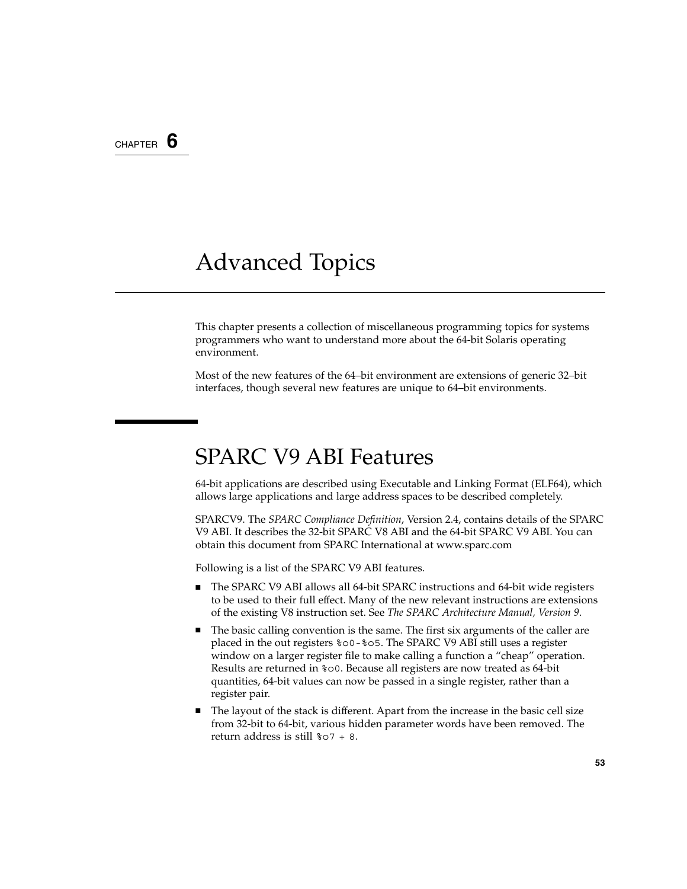### CHAPTER **6**

# Advanced Topics

This chapter presents a collection of miscellaneous programming topics for systems programmers who want to understand more about the 64-bit Solaris operating environment.

Most of the new features of the 64–bit environment are extensions of generic 32–bit interfaces, though several new features are unique to 64–bit environments.

# SPARC V9 ABI Features

64-bit applications are described using Executable and Linking Format (ELF64), which allows large applications and large address spaces to be described completely.

SPARCV9. The *SPARC Compliance Definition*, Version 2.4, contains details of the SPARC V9 ABI. It describes the 32-bit SPARC V8 ABI and the 64-bit SPARC V9 ABI. You can obtain this document from SPARC International at [www.sparc.com.](http://www.sparc.com)

Following is a list of the SPARC V9 ABI features.

- The SPARC V9 ABI allows all 64-bit SPARC instructions and 64-bit wide registers to be used to their full effect. Many of the new relevant instructions are extensions of the existing V8 instruction set. See *The SPARC Architecture Manual, Version 9*.
- The basic calling convention is the same. The first six arguments of the caller are placed in the out registers %o0-%o5. The SPARC V9 ABI still uses a register window on a larger register file to make calling a function a "cheap" operation. Results are returned in %o0. Because all registers are now treated as 64-bit quantities, 64-bit values can now be passed in a single register, rather than a register pair.
- The layout of the stack is different. Apart from the increase in the basic cell size from 32-bit to 64-bit, various hidden parameter words have been removed. The return address is still %o7 + 8.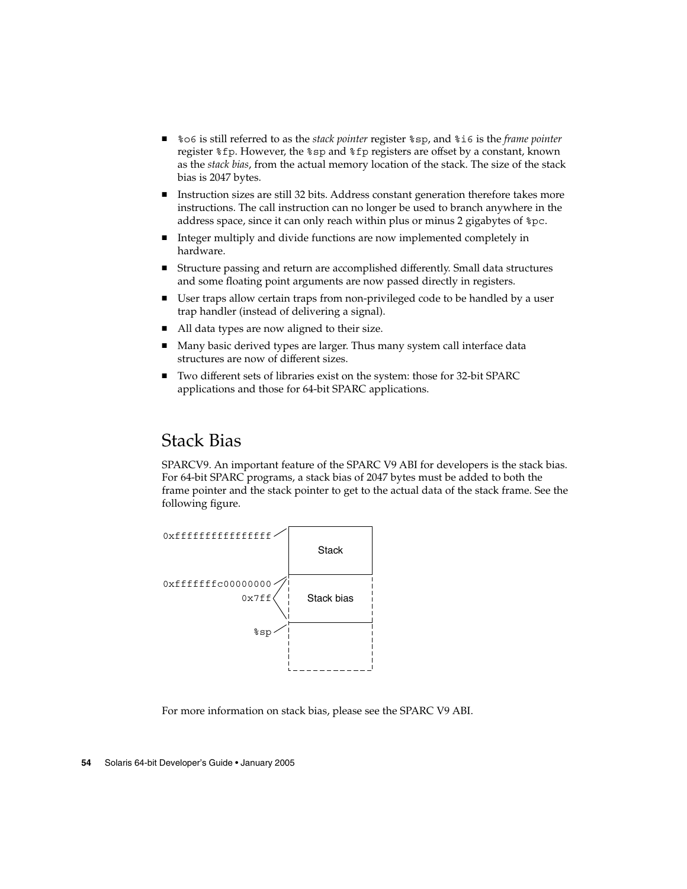- %o6 is still referred to as the *stack pointer* register %sp, and %i6 is the *frame pointer* register %fp. However, the %sp and %fp registers are offset by a constant, known as the *stack bias*, from the actual memory location of the stack. The size of the stack bias is 2047 bytes.
- Instruction sizes are still 32 bits. Address constant generation therefore takes more instructions. The call instruction can no longer be used to branch anywhere in the address space, since it can only reach within plus or minus 2 gigabytes of %pc.
- Integer multiply and divide functions are now implemented completely in hardware.
- Structure passing and return are accomplished differently. Small data structures and some floating point arguments are now passed directly in registers.
- User traps allow certain traps from non-privileged code to be handled by a user trap handler (instead of delivering a signal).
- All data types are now aligned to their size.
- Many basic derived types are larger. Thus many system call interface data structures are now of different sizes.
- Two different sets of libraries exist on the system: those for 32-bit SPARC applications and those for 64-bit SPARC applications.

## Stack Bias

SPARCV9. An important feature of the SPARC V9 ABI for developers is the stack bias. For 64-bit SPARC programs, a stack bias of 2047 bytes must be added to both the frame pointer and the stack pointer to get to the actual data of the stack frame. See the following figure.



For more information on stack bias, please see the SPARC V9 ABI.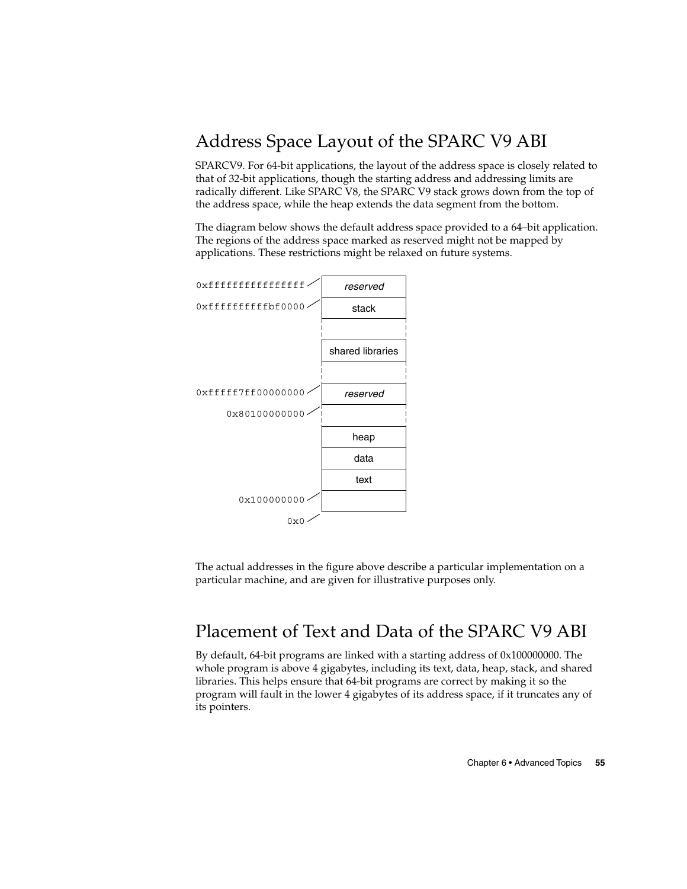# Address Space Layout of the SPARC V9 ABI

SPARCV9. For 64-bit applications, the layout of the address space is closely related to that of 32-bit applications, though the starting address and addressing limits are radically different. Like SPARC V8, the SPARC V9 stack grows down from the top of the address space, while the heap extends the data segment from the bottom.

The diagram below shows the default address space provided to a 64–bit application. The regions of the address space marked as reserved might not be mapped by applications. These restrictions might be relaxed on future systems.



The actual addresses in the figure above describe a particular implementation on a particular machine, and are given for illustrative purposes only.

## Placement of Text and Data of the SPARC V9 ABI

By default, 64-bit programs are linked with a starting address of 0x100000000. The whole program is above 4 gigabytes, including its text, data, heap, stack, and shared libraries. This helps ensure that 64-bit programs are correct by making it so the program will fault in the lower 4 gigabytes of its address space, if it truncates any of its pointers.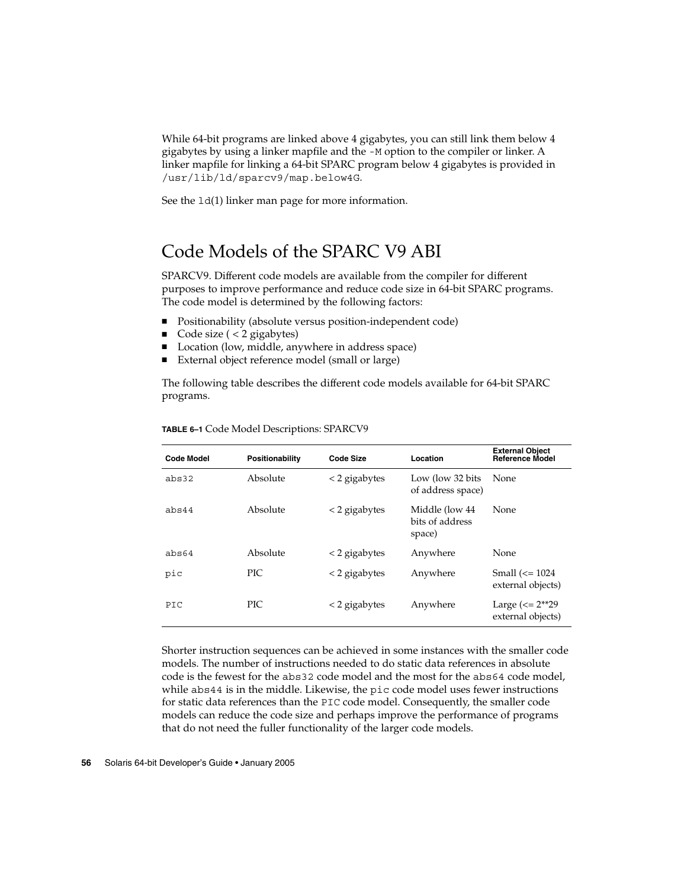While 64-bit programs are linked above 4 gigabytes, you can still link them below 4 gigabytes by using a linker mapfile and the -M option to the compiler or linker. A linker mapfile for linking a 64-bit SPARC program below 4 gigabytes is provided in /usr/lib/ld/sparcv9/map.below4G.

See the  $1d(1)$  linker man page for more information.

## Code Models of the SPARC V9 ABI

SPARCV9. Different code models are available from the compiler for different purposes to improve performance and reduce code size in 64-bit SPARC programs. The code model is determined by the following factors:

- Positionability (absolute versus position-independent code)
- Code size (<2 gigabytes)
- Location (low, middle, anywhere in address space)
- External object reference model (small or large)

The following table describes the different code models available for 64-bit SPARC programs.

| <b>Code Model</b> | Positionability | Code Size                     | Location                                    | <b>External Object</b><br><b>Reference Model</b>      |
|-------------------|-----------------|-------------------------------|---------------------------------------------|-------------------------------------------------------|
| abs32             | Absolute        | $<$ 2 gigabytes               | Low (low 32 bits)<br>of address space)      | None                                                  |
| abs44             | Absolute        | $<$ 2 gigabytes               | Middle (low 44<br>bits of address<br>space) | None                                                  |
| abs64             | Absolute        | $\langle 2 \rangle$ gigabytes | Anywhere                                    | None                                                  |
| pic               | PIC.            | < 2 gigabytes                 | Anywhere                                    | Small $\left(<=1024\right)$<br>external objects)      |
| PIC               | PIC.            | $<$ 2 gigabytes               | Anywhere                                    | Large $\left( \le 2**29 \right)$<br>external objects) |
|                   |                 |                               |                                             |                                                       |

**TABLE 6–1** Code Model Descriptions: SPARCV9

Shorter instruction sequences can be achieved in some instances with the smaller code models. The number of instructions needed to do static data references in absolute code is the fewest for the abs32 code model and the most for the abs64 code model, while abs44 is in the middle. Likewise, the pic code model uses fewer instructions for static data references than the PIC code model. Consequently, the smaller code models can reduce the code size and perhaps improve the performance of programs that do not need the fuller functionality of the larger code models.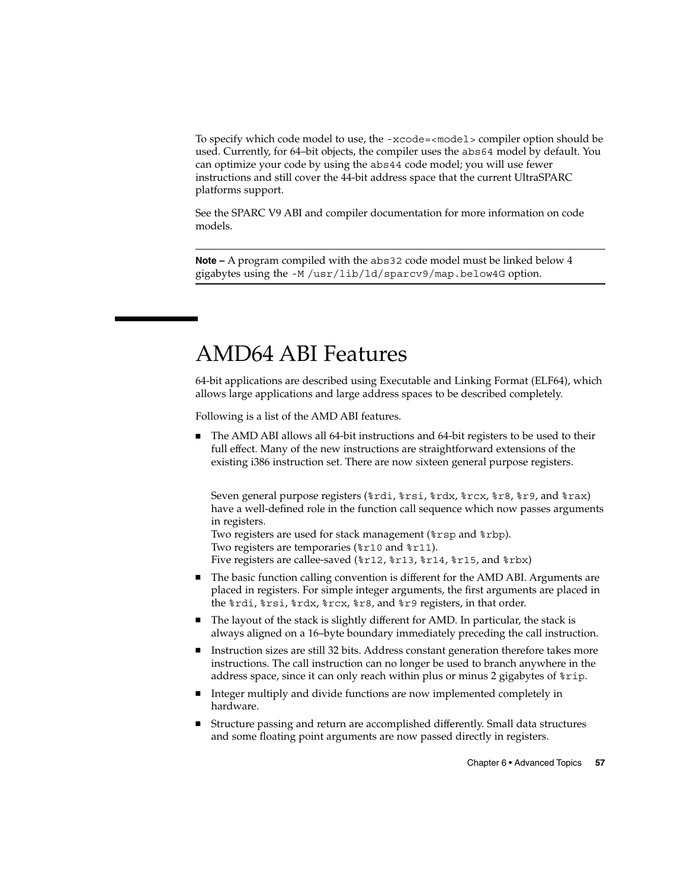To specify which code model to use, the -xcode=<model> compiler option should be used. Currently, for 64–bit objects, the compiler uses the abs64 model by default. You can optimize your code by using the abs44 code model; you will use fewer instructions and still cover the 44-bit address space that the current UltraSPARC platforms support.

See the SPARC V9 ABI and compiler documentation for more information on code models.

**Note –** A program compiled with the abs32 code model must be linked below 4 gigabytes using the -M /usr/lib/ld/sparcv9/map.below4G option.

# AMD64 ABI Features

64-bit applications are described using Executable and Linking Format (ELF64), which allows large applications and large address spaces to be described completely.

Following is a list of the AMD ABI features.

The AMD ABI allows all 64-bit instructions and 64-bit registers to be used to their full effect. Many of the new instructions are straightforward extensions of the existing i386 instruction set. There are now sixteen general purpose registers.

Seven general purpose registers (%rdi, %rsi, %rdx, %rcx, %r8, %r9, and %rax) have a well-defined role in the function call sequence which now passes arguments in registers.

Two registers are used for stack management (%rsp and %rbp). Two registers are temporaries (%r10 and %r11). Five registers are callee-saved (%r12, %r13, %r14, %r15, and %rbx)

- The basic function calling convention is different for the AMD ABI. Arguments are placed in registers. For simple integer arguments, the first arguments are placed in the %rdi, %rsi, %rdx, %rcx, %r8, and %r9 registers, in that order.
- The layout of the stack is slightly different for AMD. In particular, the stack is always aligned on a 16–byte boundary immediately preceding the call instruction.
- Instruction sizes are still 32 bits. Address constant generation therefore takes more instructions. The call instruction can no longer be used to branch anywhere in the address space, since it can only reach within plus or minus 2 gigabytes of %rip.
- Integer multiply and divide functions are now implemented completely in hardware.
- Structure passing and return are accomplished differently. Small data structures and some floating point arguments are now passed directly in registers.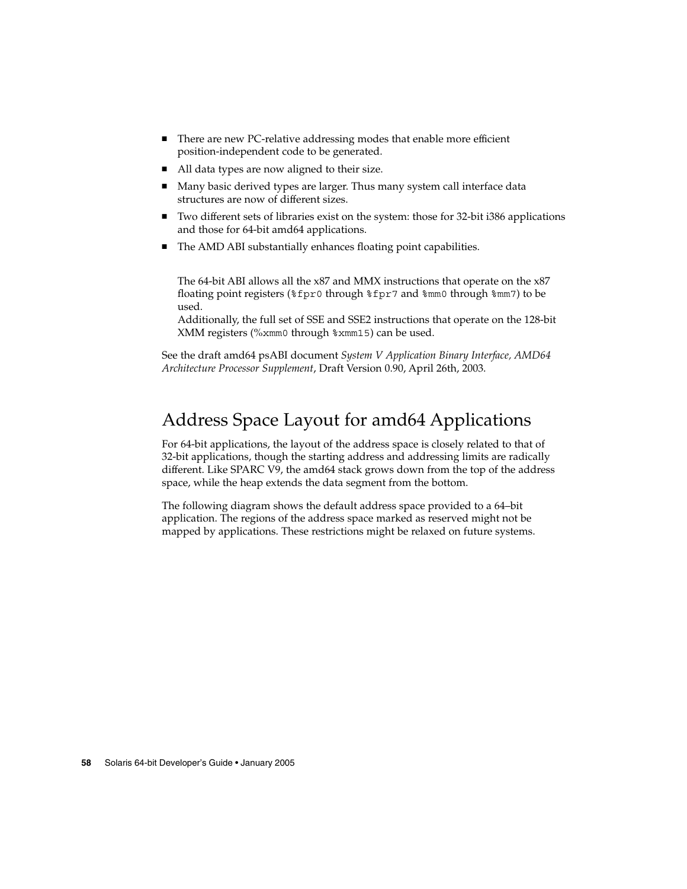- There are new PC-relative addressing modes that enable more efficient position-independent code to be generated.
- All data types are now aligned to their size.
- Many basic derived types are larger. Thus many system call interface data structures are now of different sizes.
- Two different sets of libraries exist on the system: those for 32-bit i386 applications and those for 64-bit amd64 applications.
- The AMD ABI substantially enhances floating point capabilities.

The 64-bit ABI allows all the x87 and MMX instructions that operate on the x87 floating point registers (%fpr0 through %fpr7 and %mm0 through %mm7) to be used.

Additionally, the full set of SSE and SSE2 instructions that operate on the 128-bit XMM registers (%xmm0 through %xmm15) can be used.

See the draft amd64 psABI document *System V Application Binary Interface, AMD64 Architecture Processor Supplement*, Draft Version 0.90, April 26th, 2003.

## Address Space Layout for amd64 Applications

For 64-bit applications, the layout of the address space is closely related to that of 32-bit applications, though the starting address and addressing limits are radically different. Like SPARC V9, the amd64 stack grows down from the top of the address space, while the heap extends the data segment from the bottom.

The following diagram shows the default address space provided to a 64–bit application. The regions of the address space marked as reserved might not be mapped by applications. These restrictions might be relaxed on future systems.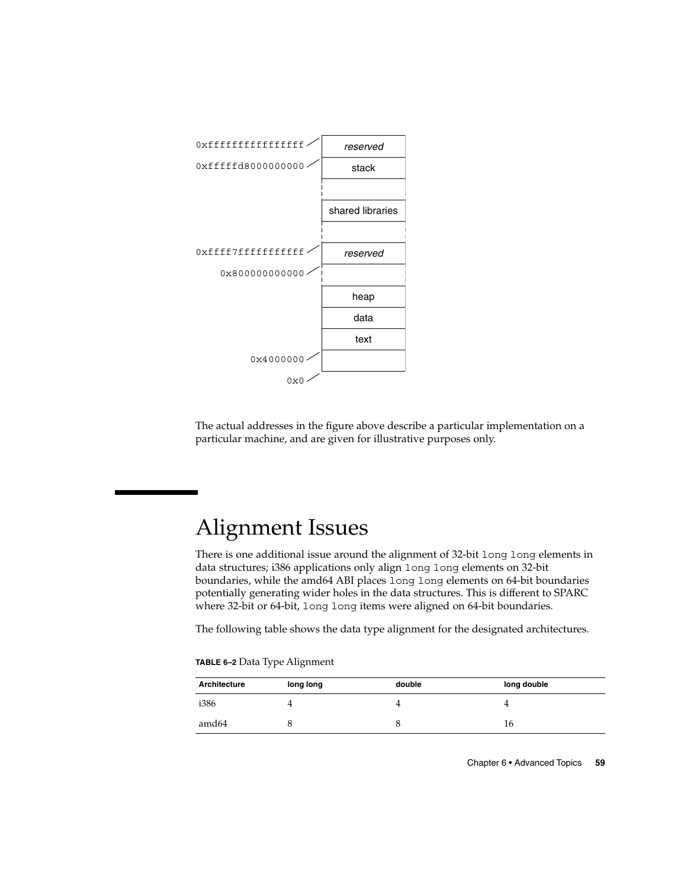<span id="page-58-0"></span>

The actual addresses in the figure above describe a particular implementation on a particular machine, and are given for illustrative purposes only.

# Alignment Issues

There is one additional issue around the alignment of 32-bit long long elements in data structures; i386 applications only align long long elements on 32-bit boundaries, while the amd64 ABI places long long elements on 64-bit boundaries potentially generating wider holes in the data structures. This is different to SPARC where 32-bit or 64-bit, long long items were aligned on 64-bit boundaries.

The following table shows the data type alignment for the designated architectures.

| Architecture | long long | double | long double |
|--------------|-----------|--------|-------------|
| i386         |           |        |             |
| amd64        |           |        | 16          |

Chapter 6 • Advanced Topics **59**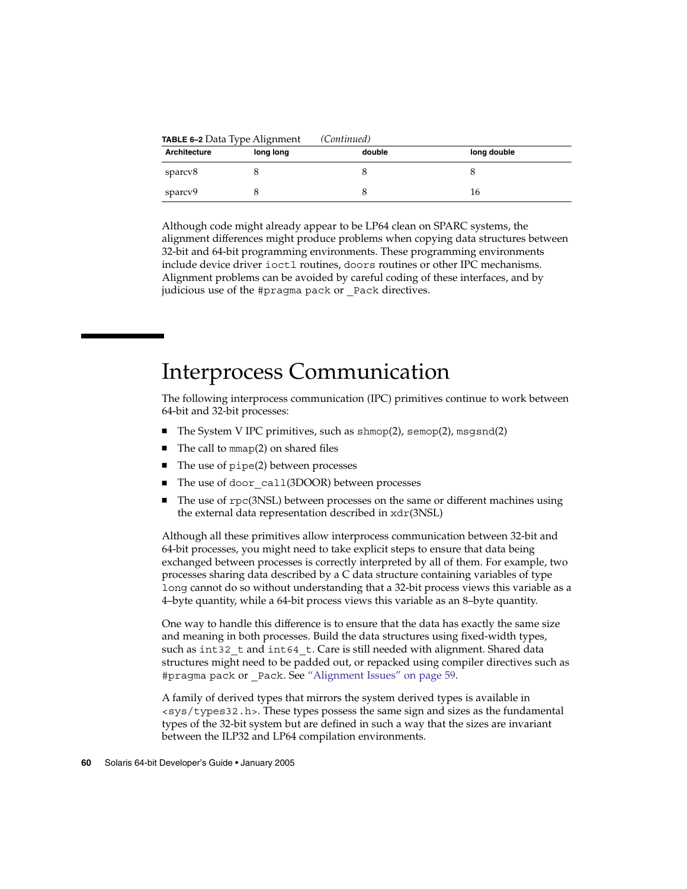| TABLE 6-2 Data Type Alignment |           | (Continued) |             |  |
|-------------------------------|-----------|-------------|-------------|--|
| Architecture                  | long long | double      | long double |  |
| sparcy8                       |           |             |             |  |
| sparcv9                       |           |             | 16          |  |

Although code might already appear to be LP64 clean on SPARC systems, the alignment differences might produce problems when copying data structures between 32-bit and 64-bit programming environments. These programming environments include device driver ioctl routines, doors routines or other IPC mechanisms. Alignment problems can be avoided by careful coding of these interfaces, and by judicious use of the #pragma pack or \_Pack directives.

# Interprocess Communication

The following interprocess communication (IPC) primitives continue to work between 64-bit and 32-bit processes:

- The System V IPC primitives, such as shmop(2), semop(2), msgsnd(2)
- The call to  $mmap(2)$  on shared files
- The use of  $pipe(2)$  between processes
- The use of door\_call(3DOOR) between processes
- The use of rpc(3NSL) between processes on the same or different machines using the external data representation described in xdr(3NSL)

Although all these primitives allow interprocess communication between 32-bit and 64-bit processes, you might need to take explicit steps to ensure that data being exchanged between processes is correctly interpreted by all of them. For example, two processes sharing data described by a C data structure containing variables of type long cannot do so without understanding that a 32-bit process views this variable as a 4–byte quantity, while a 64-bit process views this variable as an 8–byte quantity.

One way to handle this difference is to ensure that the data has exactly the same size and meaning in both processes. Build the data structures using fixed-width types, such as int32 t and int64  $t$ . Care is still needed with alignment. Shared data structures might need to be padded out, or repacked using compiler directives such as #pragma pack or \_Pack. See ["Alignment Issues"](#page-58-0) on page 59.

A family of derived types that mirrors the system derived types is available in <sys/types32.h>. These types possess the same sign and sizes as the fundamental types of the 32-bit system but are defined in such a way that the sizes are invariant between the ILP32 and LP64 compilation environments.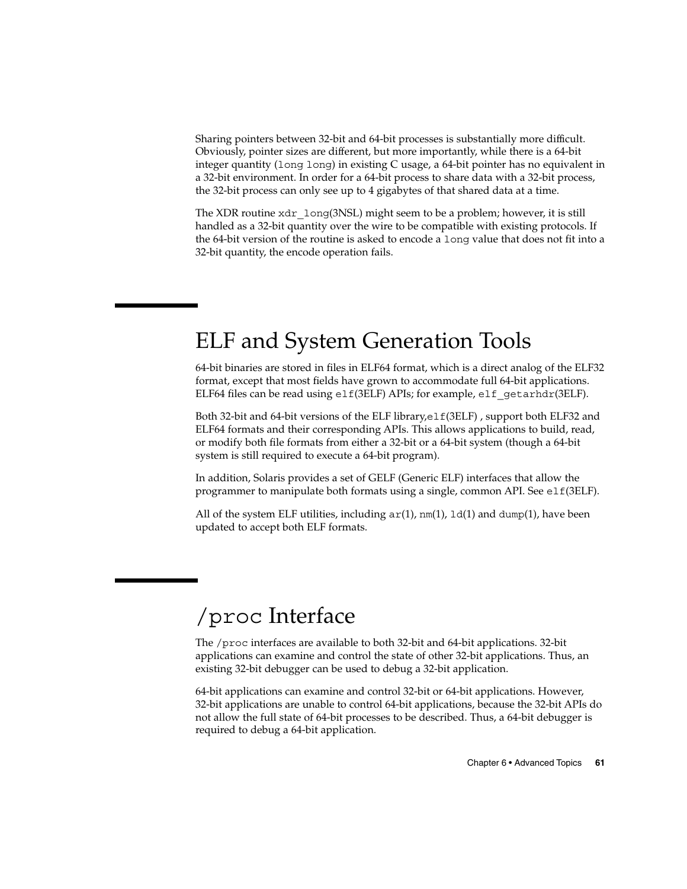Sharing pointers between 32-bit and 64-bit processes is substantially more difficult. Obviously, pointer sizes are different, but more importantly, while there is a 64-bit integer quantity (long long) in existing C usage, a 64-bit pointer has no equivalent in a 32-bit environment. In order for a 64-bit process to share data with a 32-bit process, the 32-bit process can only see up to 4 gigabytes of that shared data at a time.

The XDR routine xdr long(3NSL) might seem to be a problem; however, it is still handled as a 32-bit quantity over the wire to be compatible with existing protocols. If the 64-bit version of the routine is asked to encode a long value that does not fit into a 32-bit quantity, the encode operation fails.

# ELF and System Generation Tools

64-bit binaries are stored in files in ELF64 format, which is a direct analog of the ELF32 format, except that most fields have grown to accommodate full 64-bit applications. ELF64 files can be read using elf(3ELF) APIs; for example, elf getarhdr(3ELF).

Both 32-bit and 64-bit versions of the ELF library,elf(3ELF) , support both ELF32 and ELF64 formats and their corresponding APIs. This allows applications to build, read, or modify both file formats from either a 32-bit or a 64-bit system (though a 64-bit system is still required to execute a 64-bit program).

In addition, Solaris provides a set of GELF (Generic ELF) interfaces that allow the programmer to manipulate both formats using a single, common API. See elf(3ELF).

All of the system ELF utilities, including  $ar(1)$ ,  $nm(1)$ ,  $1d(1)$  and  $dump(1)$ , have been updated to accept both ELF formats.

# /proc Interface

The /proc interfaces are available to both 32-bit and 64-bit applications. 32-bit applications can examine and control the state of other 32-bit applications. Thus, an existing 32-bit debugger can be used to debug a 32-bit application.

64-bit applications can examine and control 32-bit or 64-bit applications. However, 32-bit applications are unable to control 64-bit applications, because the 32-bit APIs do not allow the full state of 64-bit processes to be described. Thus, a 64-bit debugger is required to debug a 64-bit application.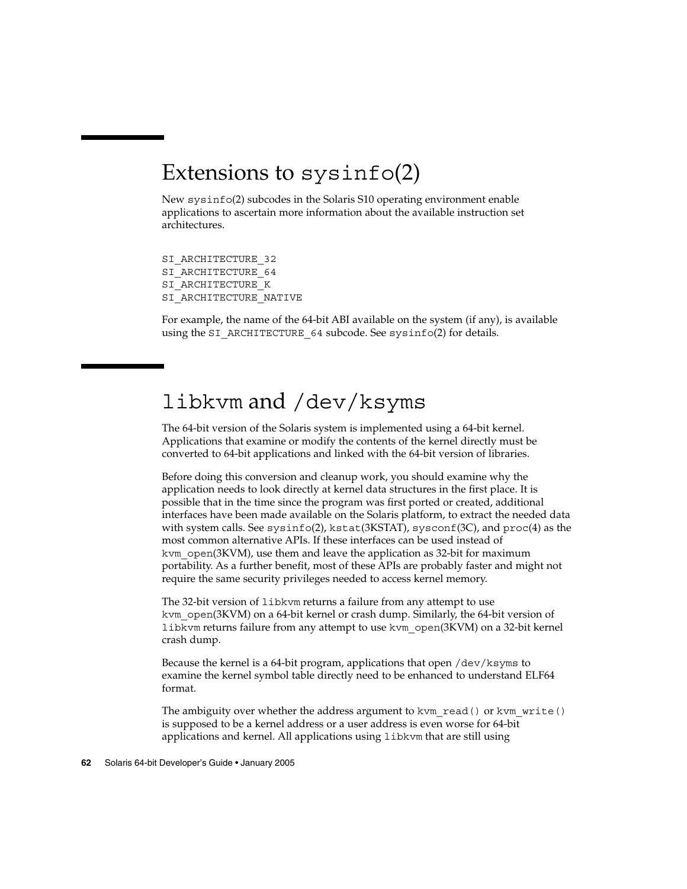# Extensions to sysinfo(2)

New sysinfo(2) subcodes in the Solaris S10 operating environment enable applications to ascertain more information about the available instruction set architectures.

```
SI_ARCHITECTURE_32
SI_ARCHITECTURE_64
SI ARCHITECTURE K
SI ARCHITECTURE NATIVE
```
For example, the name of the 64-bit ABI available on the system (if any), is available using the SI\_ARCHITECTURE\_64 subcode. See sysinfo(2) for details.

# libkvm and /dev/ksyms

The 64-bit version of the Solaris system is implemented using a 64-bit kernel. Applications that examine or modify the contents of the kernel directly must be converted to 64-bit applications and linked with the 64-bit version of libraries.

Before doing this conversion and cleanup work, you should examine why the application needs to look directly at kernel data structures in the first place. It is possible that in the time since the program was first ported or created, additional interfaces have been made available on the Solaris platform, to extract the needed data with system calls. See sysinfo(2), kstat(3KSTAT), sysconf(3C), and  $proc(4)$  as the most common alternative APIs. If these interfaces can be used instead of kvm\_open(3KVM), use them and leave the application as 32-bit for maximum portability. As a further benefit, most of these APIs are probably faster and might not require the same security privileges needed to access kernel memory.

The 32-bit version of libkvm returns a failure from any attempt to use kvm\_open(3KVM) on a 64-bit kernel or crash dump. Similarly, the 64-bit version of libkvm returns failure from any attempt to use kvm\_open(3KVM) on a 32-bit kernel crash dump.

Because the kernel is a 64-bit program, applications that open /dev/ksyms to examine the kernel symbol table directly need to be enhanced to understand ELF64 format.

The ambiguity over whether the address argument to kvm\_read() or kvm\_write() is supposed to be a kernel address or a user address is even worse for 64-bit applications and kernel. All applications using libkvm that are still using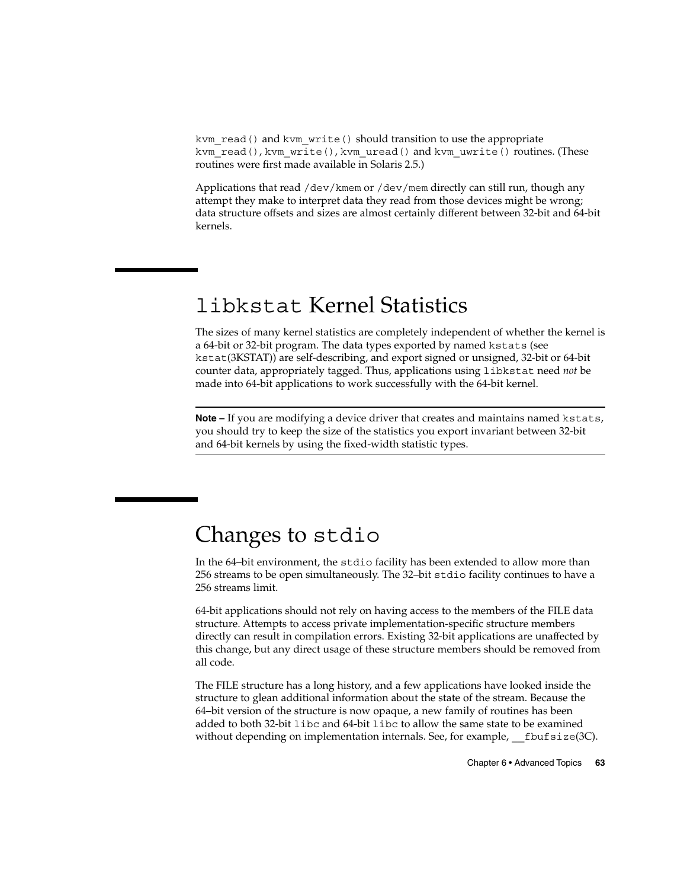kvm read() and kvm write() should transition to use the appropriate kvm read(), kvm write(), kvm uread() and kvm uwrite() routines. (These routines were first made available in Solaris 2.5.)

Applications that read /dev/kmem or /dev/mem directly can still run, though any attempt they make to interpret data they read from those devices might be wrong; data structure offsets and sizes are almost certainly different between 32-bit and 64-bit kernels.

# libkstat Kernel Statistics

The sizes of many kernel statistics are completely independent of whether the kernel is a 64-bit or 32-bit program. The data types exported by named kstats (see kstat(3KSTAT)) are self-describing, and export signed or unsigned, 32-bit or 64-bit counter data, appropriately tagged. Thus, applications using libkstat need *not* be made into 64-bit applications to work successfully with the 64-bit kernel.

**Note –** If you are modifying a device driver that creates and maintains named kstats, you should try to keep the size of the statistics you export invariant between 32-bit and 64-bit kernels by using the fixed-width statistic types.

# Changes to stdio

In the 64–bit environment, the stdio facility has been extended to allow more than 256 streams to be open simultaneously. The 32–bit stdio facility continues to have a 256 streams limit.

64-bit applications should not rely on having access to the members of the FILE data structure. Attempts to access private implementation-specific structure members directly can result in compilation errors. Existing 32-bit applications are unaffected by this change, but any direct usage of these structure members should be removed from all code.

The FILE structure has a long history, and a few applications have looked inside the structure to glean additional information about the state of the stream. Because the 64–bit version of the structure is now opaque, a new family of routines has been added to both 32-bit libc and 64-bit libc to allow the same state to be examined without depending on implementation internals. See, for example, fbufsize(3C).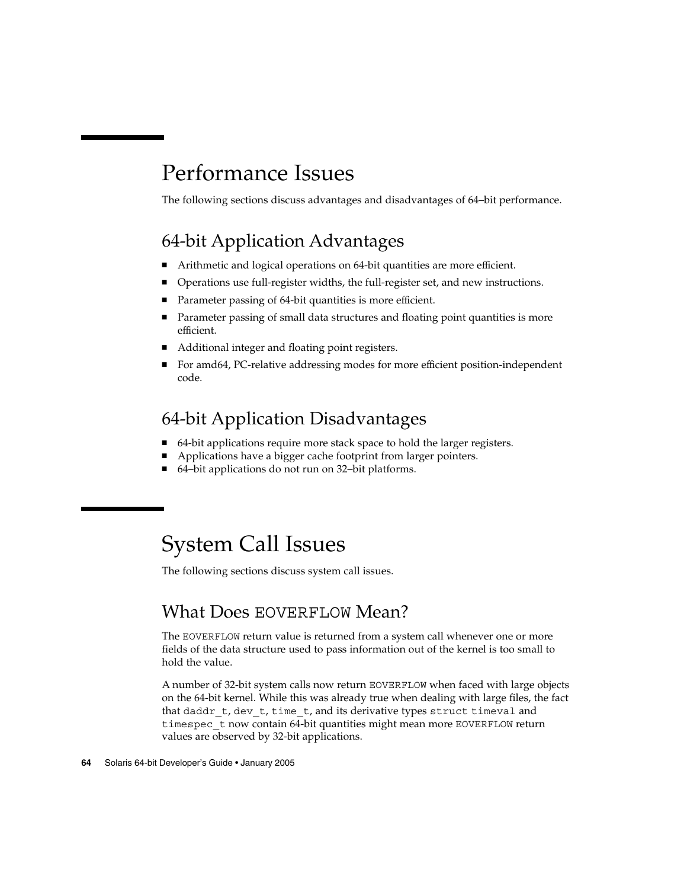# Performance Issues

The following sections discuss advantages and disadvantages of 64–bit performance.

## 64-bit Application Advantages

- Arithmetic and logical operations on 64-bit quantities are more efficient.
- Operations use full-register widths, the full-register set, and new instructions.
- Parameter passing of 64-bit quantities is more efficient.
- Parameter passing of small data structures and floating point quantities is more efficient.
- Additional integer and floating point registers.
- For amd64, PC-relative addressing modes for more efficient position-independent code.

## 64-bit Application Disadvantages

- 64-bit applications require more stack space to hold the larger registers.
- Applications have a bigger cache footprint from larger pointers.
- 64–bit applications do not run on 32–bit platforms.

# System Call Issues

The following sections discuss system call issues.

### What Does EOVERFLOW Mean?

The EOVERFLOW return value is returned from a system call whenever one or more fields of the data structure used to pass information out of the kernel is too small to hold the value.

A number of 32-bit system calls now return EOVERFLOW when faced with large objects on the 64-bit kernel. While this was already true when dealing with large files, the fact that daddr\_t, dev\_t, time\_t, and its derivative types struct timeval and timespec\_t now contain 64-bit quantities might mean more EOVERFLOW return values are observed by 32-bit applications.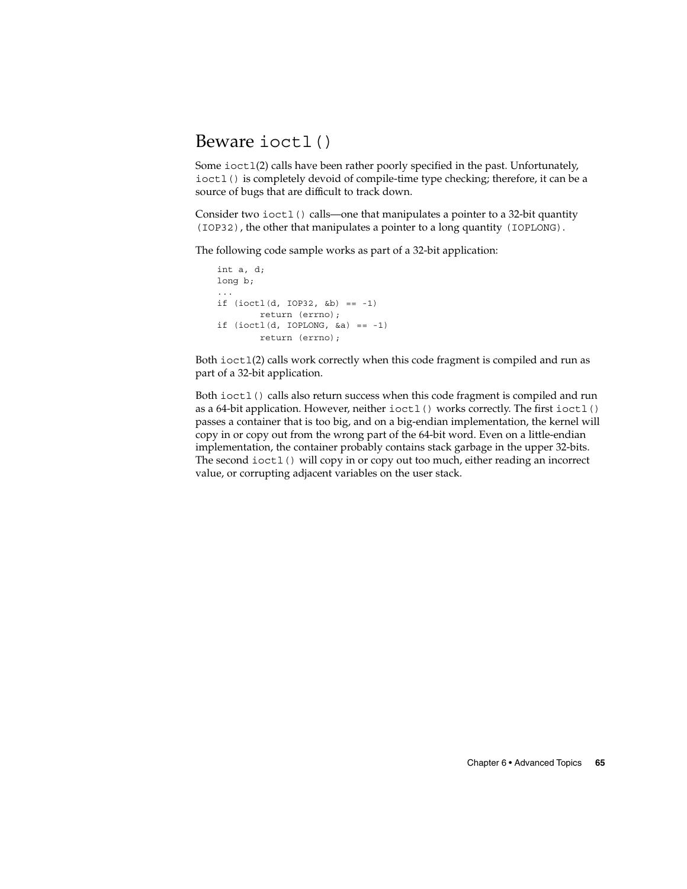## Beware ioctl()

Some ioct1(2) calls have been rather poorly specified in the past. Unfortunately, ioctl() is completely devoid of compile-time type checking; therefore, it can be a source of bugs that are difficult to track down.

Consider two ioctl() calls—one that manipulates a pointer to a 32-bit quantity (IOP32), the other that manipulates a pointer to a long quantity (IOPLONG).

The following code sample works as part of a 32-bit application:

```
int a, d;
long b;
...
if (ioctl(d, IOP32, \&b) == -1)return (errno);
if (ioctl(d, IDPLONG, & a) == -1)return (errno);
```
Both ioctl(2) calls work correctly when this code fragment is compiled and run as part of a 32-bit application.

Both ioctl() calls also return success when this code fragment is compiled and run as a 64-bit application. However, neither ioctl() works correctly. The first ioctl() passes a container that is too big, and on a big-endian implementation, the kernel will copy in or copy out from the wrong part of the 64-bit word. Even on a little-endian implementation, the container probably contains stack garbage in the upper 32-bits. The second ioctl() will copy in or copy out too much, either reading an incorrect value, or corrupting adjacent variables on the user stack.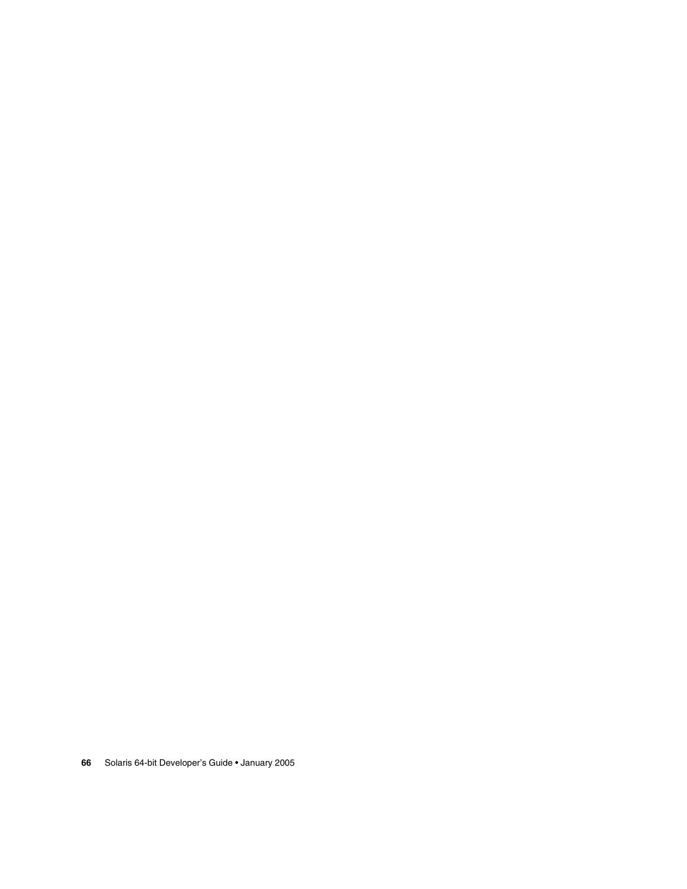Solaris 64-bit Developer's Guide • January 2005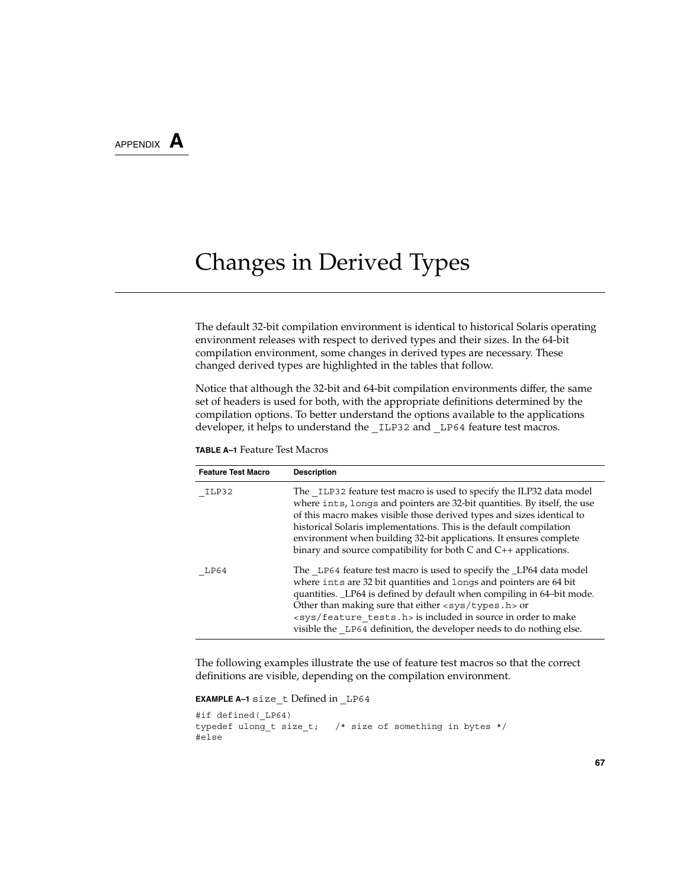<span id="page-66-0"></span>APPENDIX **A**

# Changes in Derived Types

The default 32-bit compilation environment is identical to historical Solaris operating environment releases with respect to derived types and their sizes. In the 64-bit compilation environment, some changes in derived types are necessary. These changed derived types are highlighted in the tables that follow.

Notice that although the 32-bit and 64-bit compilation environments differ, the same set of headers is used for both, with the appropriate definitions determined by the compilation options. To better understand the options available to the applications developer, it helps to understand the ILP32 and LP64 feature test macros.

**TABLE A–1** Feature Test Macros

| <b>Feature Test Macro</b> | <b>Description</b>                                                                                                                                                                                                                                                                                                                                                                                                                                 |
|---------------------------|----------------------------------------------------------------------------------------------------------------------------------------------------------------------------------------------------------------------------------------------------------------------------------------------------------------------------------------------------------------------------------------------------------------------------------------------------|
| ILP32                     | The ILP32 feature test macro is used to specify the ILP32 data model<br>where ints, longs and pointers are 32-bit quantities. By itself, the use<br>of this macro makes visible those derived types and sizes identical to<br>historical Solaris implementations. This is the default compilation<br>environment when building 32-bit applications. It ensures complete<br>binary and source compatibility for both $C$ and $C_{++}$ applications. |
| LP64                      | The LP64 feature test macro is used to specify the LP64 data model<br>where ints are 32 bit quantities and longs and pointers are 64 bit<br>quantities. LP64 is defined by default when compiling in 64-bit mode.<br>Other than making sure that either <sys types.h=""> or<br/><sys feature="" tests.h=""> is included in source in order to make<br/>visible the LP64 definition, the developer needs to do nothing else.</sys></sys>            |

The following examples illustrate the use of feature test macros so that the correct definitions are visible, depending on the compilation environment.

**EXAMPLE A–1** size\_t Defined in \_LP64

```
#if defined( LP64)
typedef ulong t size t; /* size of something in bytes */
#else
```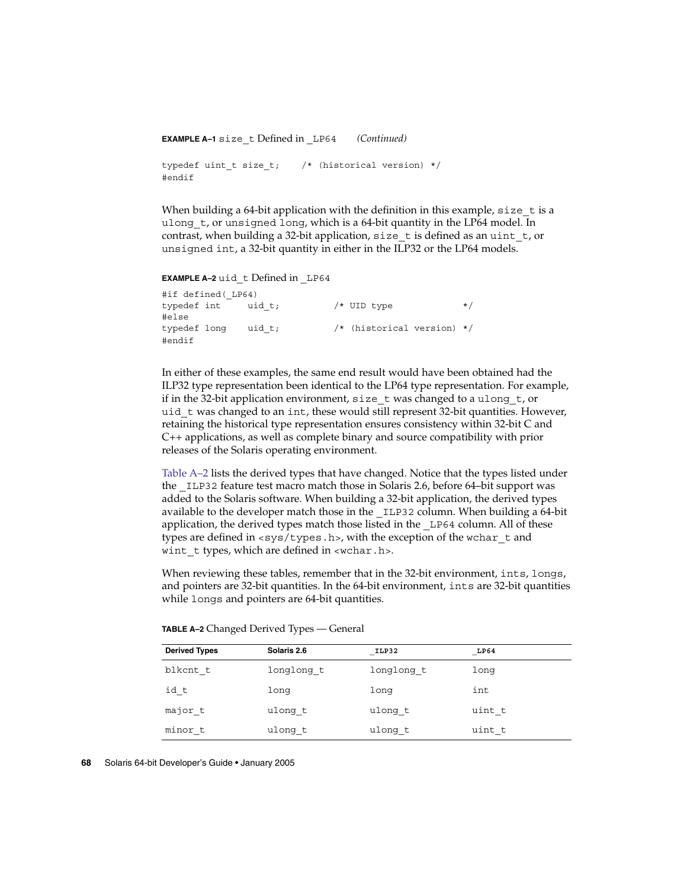```
EXAMPLE A–1 size_t Defined in _LP64 (Continued)
```

```
typedef uint_t size_t; /* (historical version) */
#endif
```
When building a 64-bit application with the definition in this example,  $size$  t is a ulong t, or unsigned long, which is a 64-bit quantity in the LP64 model. In contrast, when building a 32-bit application, size  $t$  is defined as an uint  $t$ , or unsigned int, a 32-bit quantity in either in the ILP32 or the LP64 models.

**EXAMPLE A–2** uid\_t Defined in \_LP64

|              | #if defined( LP64) |        |                              |           |
|--------------|--------------------|--------|------------------------------|-----------|
| typedef int  |                    | uid t; | /* UID type                  | $\star$ / |
| #else        |                    |        |                              |           |
| typedef long |                    | uid t; | $/*$ (historical version) */ |           |
| #endif       |                    |        |                              |           |

In either of these examples, the same end result would have been obtained had the ILP32 type representation been identical to the LP64 type representation. For example, if in the 32-bit application environment, size  $t$  was changed to a ulong  $t$ , or uid\_t was changed to an int, these would still represent 32-bit quantities. However, retaining the historical type representation ensures consistency within 32-bit C and C++ applications, as well as complete binary and source compatibility with prior releases of the Solaris operating environment.

Table A–2 lists the derived types that have changed. Notice that the types listed under the \_ILP32 feature test macro match those in Solaris 2.6, before 64–bit support was added to the Solaris software. When building a 32-bit application, the derived types available to the developer match those in the \_ILP32 column. When building a 64-bit application, the derived types match those listed in the LP64 column. All of these types are defined in <sys/types.h>, with the exception of the wchar t and wint t types, which are defined in <wchar.h>.

When reviewing these tables, remember that in the 32-bit environment, ints, longs, and pointers are 32-bit quantities. In the 64-bit environment, ints are 32-bit quantities while longs and pointers are 64-bit quantities.

| <b>Derived Types</b> | Solaris 2.6 | ILP32      | LP64   |
|----------------------|-------------|------------|--------|
| blkcnt t             | longlong t  | longlong t | long   |
| id t                 | long        | long       | int    |
| major t              | ulong t     | ulong t    | uint t |
| minor t              | ulong t     | ulong t    | uint t |

**TABLE A–2** Changed Derived Types — General

**68** Solaris 64-bit Developer's Guide • January 2005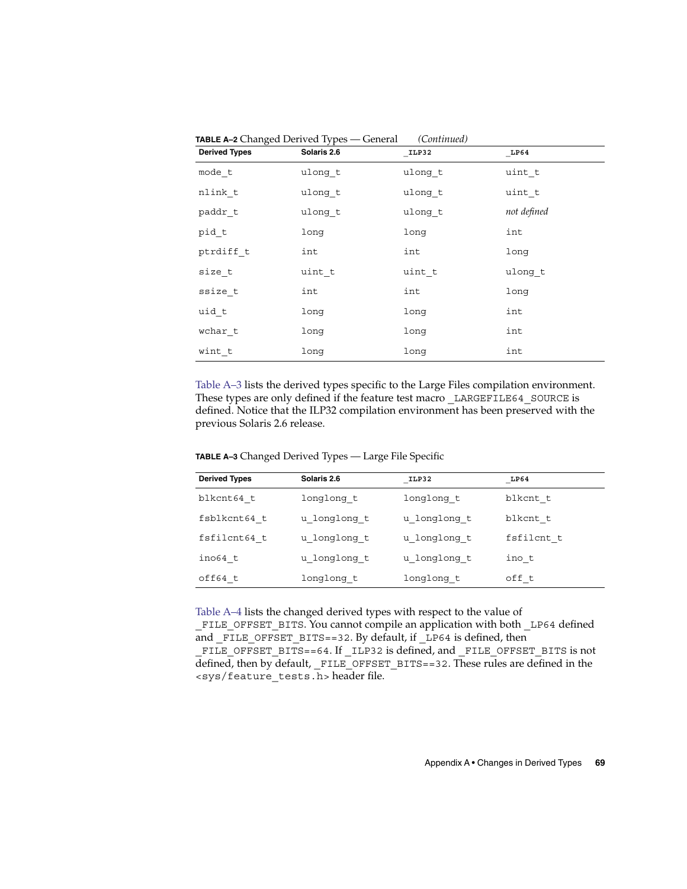| <b>Derived Types</b> | Solaris 2.6 | $_{\texttt{ILP32}}$ | LP64        |
|----------------------|-------------|---------------------|-------------|
| mode t               | ulong t     | ulong t             | uint t      |
| nlink t              | ulong t     | ulong t             | uint t      |
| paddr t              | ulong t     | ulong t             | not defined |
| pid t                | long        | long                | int         |
| ptrdiff t            | int         | int                 | long        |
| size t               | uint t      | uint t              | ulong t     |
| ssize t              | int         | int                 | long        |
| uid t                | long        | long                | int         |
| wchar t              | long        | long                | int         |
| wint t               | long        | long                | int         |

Table A–3 lists the derived types specific to the Large Files compilation environment. These types are only defined if the feature test macro LARGEFILE64 SOURCE is defined. Notice that the ILP32 compilation environment has been preserved with the previous Solaris 2.6 release.

| <b>Derived Types</b> | Solaris 2.6  | ILP32        | <b>LP64</b> |
|----------------------|--------------|--------------|-------------|
| blkcnt64 t           | longlong t   | longlong t   | blkcnt t    |
| fsblkcnt64 t         | u longlong t | u longlong t | blkcnt t    |
| fsfilcnt64 t         | u longlong t | u longlong t | fsfilcnt t  |
| ino64 t              | u longlong t | u longlong t | ino t       |
| off64 t              | longlong t   | longlong t   | off t       |

**TABLE A–3** Changed Derived Types — Large File Specific

[Table A–4](#page-69-0) lists the changed derived types with respect to the value of \_FILE\_OFFSET\_BITS. You cannot compile an application with both \_LP64 defined and FILE OFFSET BITS==32. By default, if LP64 is defined, then FILE\_OFFSET\_BITS==64. If \_ILP32 is defined, and \_FILE\_OFFSET\_BITS is not

defined, then by default, \_FILE\_OFFSET\_BITS==32. These rules are defined in the <sys/feature\_tests.h> header file.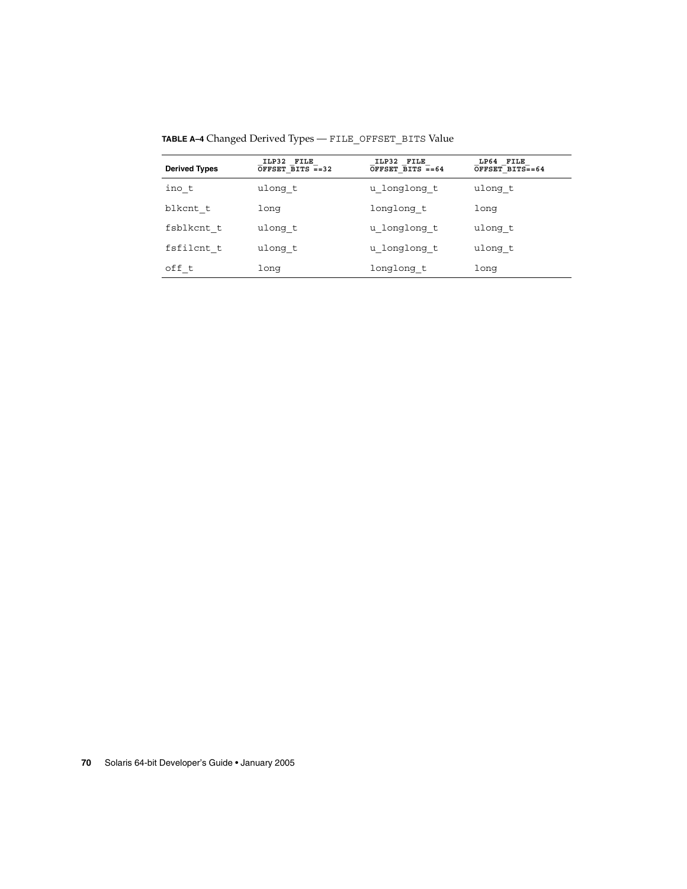| <b>Derived Types</b> | ILP32 FILE<br>OFFSET BITS $= = 32$ | ILP32 FILE<br>OFFSET BITS $= = 64$ | LP64 FILE<br>OFFSET BITS==64 |
|----------------------|------------------------------------|------------------------------------|------------------------------|
| ino t                | ulong t                            | u longlong t                       | ulong t                      |
| blkcnt t             | long                               | longlong t                         | long                         |
| fsblkcnt t           | ulong t                            | u longlong t                       | ulong t                      |
| fsfilcnt t           | ulong t                            | u longlong t                       | ulong t                      |
| off t                | long                               | longlong t                         | long                         |

<span id="page-69-0"></span>**TABLE A–4** Changed Derived Types — FILE\_OFFSET\_BITS Value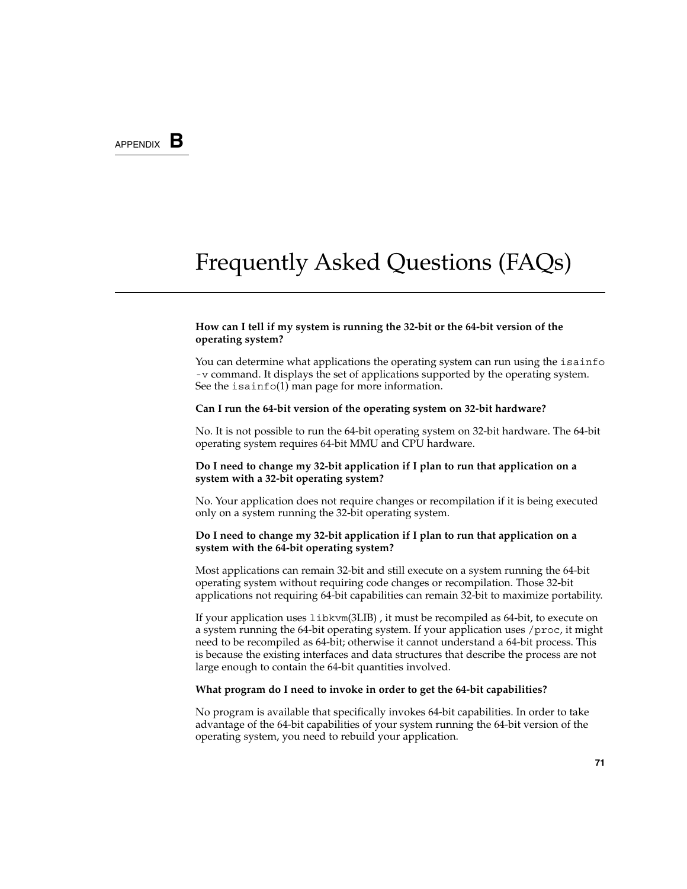### APPENDIX **B**

# Frequently Asked Questions (FAQs)

#### **How can I tell if my system is running the 32-bit or the 64-bit version of the operating system?**

You can determine what applications the operating system can run using the isainfo -v command. It displays the set of applications supported by the operating system. See the isainfo(1) man page for more information.

#### **Can I run the 64-bit version of the operating system on 32-bit hardware?**

No. It is not possible to run the 64-bit operating system on 32-bit hardware. The 64-bit operating system requires 64-bit MMU and CPU hardware.

#### **Do I need to change my 32-bit application if I plan to run that application on a system with a 32-bit operating system?**

No. Your application does not require changes or recompilation if it is being executed only on a system running the 32-bit operating system.

#### **Do I need to change my 32-bit application if I plan to run that application on a system with the 64-bit operating system?**

Most applications can remain 32-bit and still execute on a system running the 64-bit operating system without requiring code changes or recompilation. Those 32-bit applications not requiring 64-bit capabilities can remain 32-bit to maximize portability.

If your application uses libkvm(3LIB) , it must be recompiled as 64-bit, to execute on a system running the 64-bit operating system. If your application uses /proc, it might need to be recompiled as 64-bit; otherwise it cannot understand a 64-bit process. This is because the existing interfaces and data structures that describe the process are not large enough to contain the 64-bit quantities involved.

#### **What program do I need to invoke in order to get the 64-bit capabilities?**

No program is available that specifically invokes 64-bit capabilities. In order to take advantage of the 64-bit capabilities of your system running the 64-bit version of the operating system, you need to rebuild your application.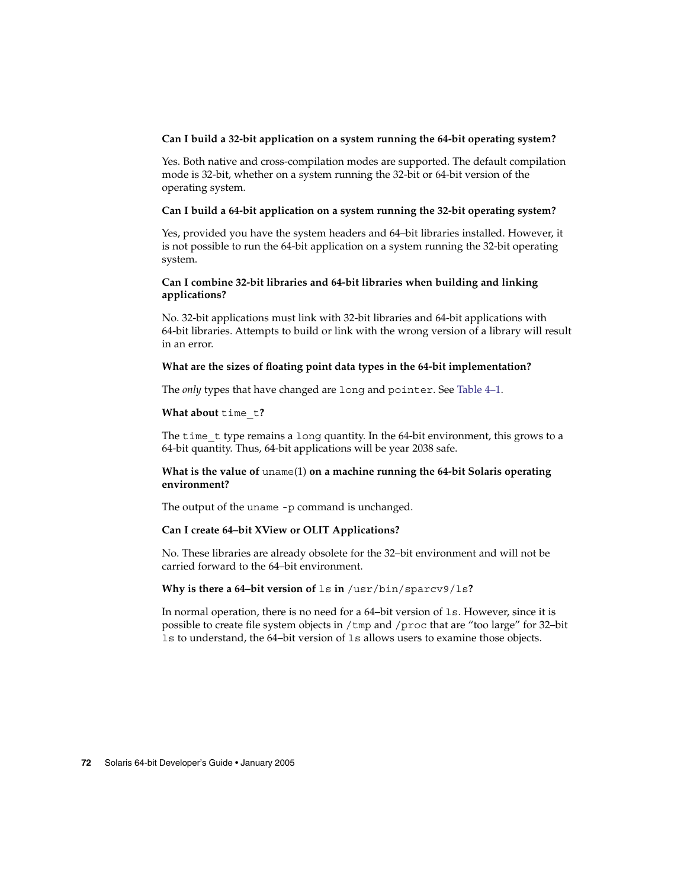#### **Can I build a 32-bit application on a system running the 64-bit operating system?**

Yes. Both native and cross-compilation modes are supported. The default compilation mode is 32-bit, whether on a system running the 32-bit or 64-bit version of the operating system.

### **Can I build a 64-bit application on a system running the 32-bit operating system?**

Yes, provided you have the system headers and 64–bit libraries installed. However, it is not possible to run the 64-bit application on a system running the 32-bit operating system.

### **Can I combine 32-bit libraries and 64-bit libraries when building and linking applications?**

No. 32-bit applications must link with 32-bit libraries and 64-bit applications with 64-bit libraries. Attempts to build or link with the wrong version of a library will result in an error.

### **What are the sizes of floating point data types in the 64-bit implementation?**

The *only* types that have changed are long and pointer. See [Table 4–1.](#page-25-0)

### What about time t?

The time t type remains a long quantity. In the 64-bit environment, this grows to a 64-bit quantity. Thus, 64-bit applications will be year 2038 safe.

### **What is the value of** uname(1) **on a machine running the 64-bit Solaris operating environment?**

The output of the uname -p command is unchanged.

#### **Can I create 64–bit XView or OLIT Applications?**

No. These libraries are already obsolete for the 32–bit environment and will not be carried forward to the 64–bit environment.

#### **Why is there a 64–bit version of** ls **in** /usr/bin/sparcv9/ls**?**

In normal operation, there is no need for a 64–bit version of ls. However, since it is possible to create file system objects in /tmp and /proc that are "too large" for 32–bit ls to understand, the 64–bit version of ls allows users to examine those objects.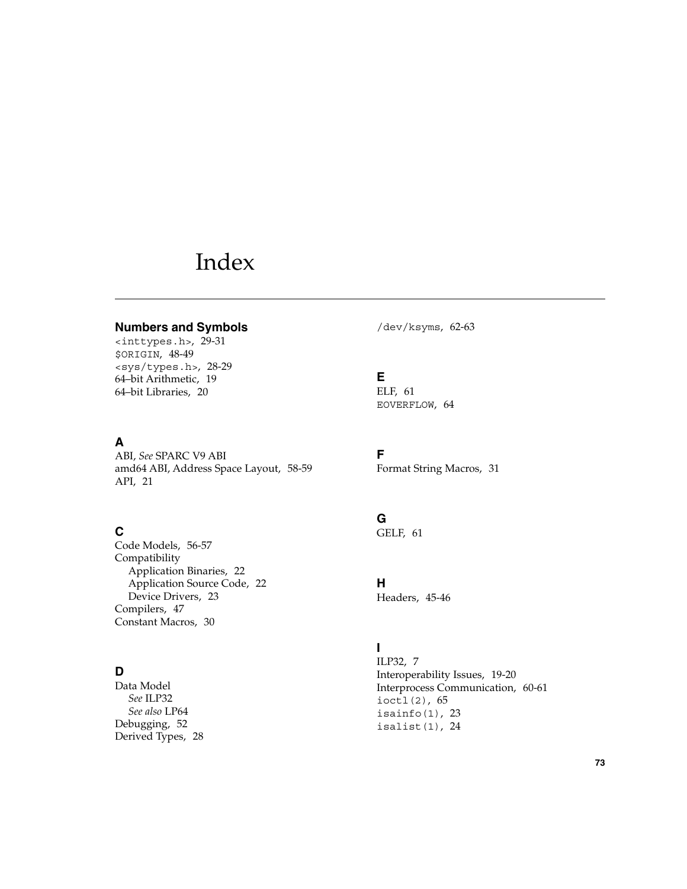# Index

#### **Numbers and Symbols**

<inttypes.h>, [29-31](#page-28-0) \$ORIGIN, [48-49](#page-47-0) <sys/types.h>, [28-29](#page-27-0) 64–bit Arithmetic, [19](#page-18-0) 64–bit Libraries, [20](#page-19-0)

## **A**

ABI, *See* SPARC V9 ABI amd64 ABI, Address Space Layout, [58-59](#page-57-0) API, [21](#page-20-0)

# **C**

Code Models, [56-57](#page-55-0) Compatibility Application Binaries, [22](#page-21-0) Application Source Code, [22](#page-21-0) Device Drivers, [23](#page-22-0) Compilers, [47](#page-46-0) Constant Macros, [30](#page-29-0)

## **D**

Data Model *See* ILP32 *See also* LP64 Debugging, [52](#page-51-0) Derived Types, [28](#page-27-0) /dev/ksyms, [62-63](#page-61-0)

## **E**

ELF, [61](#page-60-0) EOVERFLOW, [64](#page-63-0)

**F** Format String Macros, [31](#page-30-0)

# **G**

GELF, [61](#page-60-0)

**H** Headers, [45-46](#page-44-0)

## **I**

ILP32, [7](#page-6-0) Interoperability Issues, [19-20](#page-18-0) Interprocess Communication, [60-61](#page-59-0) ioctl(2), [65](#page-64-0) isainfo(1), [23](#page-22-0) isalist(1), [24](#page-23-0)